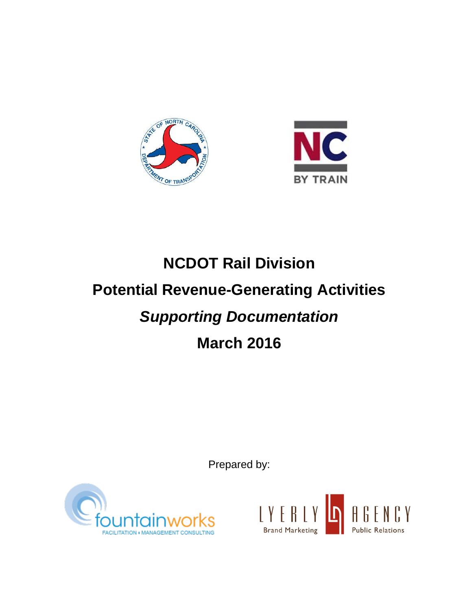



# **NCDOT Rail Division Potential Revenue-Generating Activities**  *Supporting Documentation* **March 2016**

Prepared by:



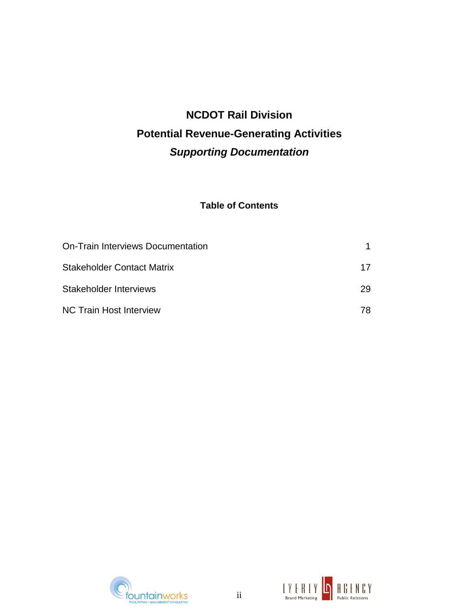# **NCDOT Rail Division Potential Revenue-Generating Activities**  *Supporting Documentation*

### **Table of Contents**

| On-Train Interviews Documentation |    |
|-----------------------------------|----|
| <b>Stakeholder Contact Matrix</b> | 17 |
| Stakeholder Interviews            | 29 |
| <b>NC Train Host Interview</b>    | 78 |



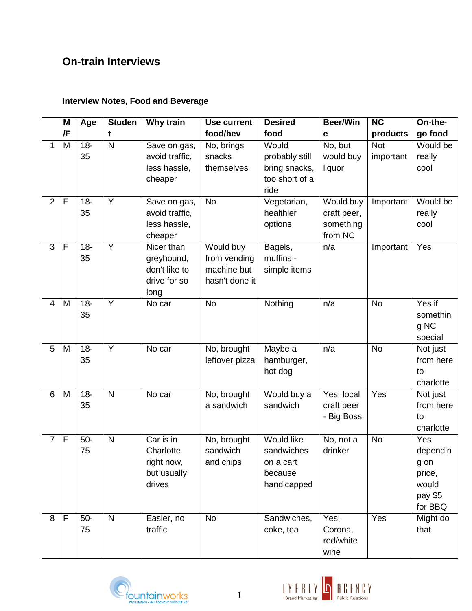# **On-train Interviews**

### **Interview Notes, Food and Beverage**

|                | M           | Age          | <b>Studen</b> | Why train                                                         | <b>Use current</b>                                         | <b>Desired</b>                                                         | <b>Beer/Win</b>                                  | <b>NC</b>               | On-the-                                                                        |
|----------------|-------------|--------------|---------------|-------------------------------------------------------------------|------------------------------------------------------------|------------------------------------------------------------------------|--------------------------------------------------|-------------------------|--------------------------------------------------------------------------------|
|                | /F          |              | t             |                                                                   | food/bev                                                   | food                                                                   | е                                                | products                | go food                                                                        |
| 1              | M           | $18 -$<br>35 | $\mathsf{N}$  | Save on gas,<br>avoid traffic,<br>less hassle,<br>cheaper         | No, brings<br>snacks<br>themselves                         | Would<br>probably still<br>bring snacks,<br>too short of a<br>ride     | No, but<br>would buy<br>liquor                   | <b>Not</b><br>important | Would be<br>really<br>cool                                                     |
| $\overline{2}$ | F           | $18 -$<br>35 | Y             | Save on gas,<br>avoid traffic,<br>less hassle,<br>cheaper         | <b>No</b>                                                  | Vegetarian,<br>healthier<br>options                                    | Would buy<br>craft beer,<br>something<br>from NC | Important               | Would be<br>really<br>cool                                                     |
| 3              | F           | $18 -$<br>35 | Y             | Nicer than<br>greyhound,<br>don't like to<br>drive for so<br>long | Would buy<br>from vending<br>machine but<br>hasn't done it | Bagels,<br>muffins -<br>simple items                                   | n/a                                              | Important               | Yes                                                                            |
| $\overline{4}$ | M           | $18 -$<br>35 | Y             | No car                                                            | <b>No</b>                                                  | Nothing                                                                | n/a                                              | <b>No</b>               | Yes if<br>somethin<br>g NC<br>special                                          |
| 5              | M           | $18 -$<br>35 | Y             | No car                                                            | No, brought<br>leftover pizza                              | Maybe a<br>hamburger,<br>hot dog                                       | n/a                                              | <b>No</b>               | Not just<br>from here<br>to<br>charlotte                                       |
| 6              | M           | $18 -$<br>35 | $\mathsf{N}$  | No car                                                            | No, brought<br>a sandwich                                  | Would buy a<br>sandwich                                                | Yes, local<br>craft beer<br>- Big Boss           | Yes                     | Not just<br>from here<br>to<br>charlotte                                       |
| $\overline{7}$ | $\mathsf F$ | $50-$<br>75  | $\mathsf{N}$  | Car is in<br>Charlotte<br>right now,<br>but usually<br>drives     | No, brought<br>sandwich<br>and chips                       | <b>Would like</b><br>sandwiches<br>on a cart<br>because<br>handicapped | No, not a<br>drinker                             | <b>No</b>               | $\overline{Y}$ es<br>dependin<br>g on<br>price,<br>would<br>pay \$5<br>for BBQ |
| 8              | $\mathsf F$ | $50-$<br>75  | $\mathsf{N}$  | Easier, no<br>traffic                                             | <b>No</b>                                                  | Sandwiches,<br>coke, tea                                               | Yes,<br>Corona,<br>red/white<br>wine             | $\overline{Yes}$        | Might do<br>that                                                               |



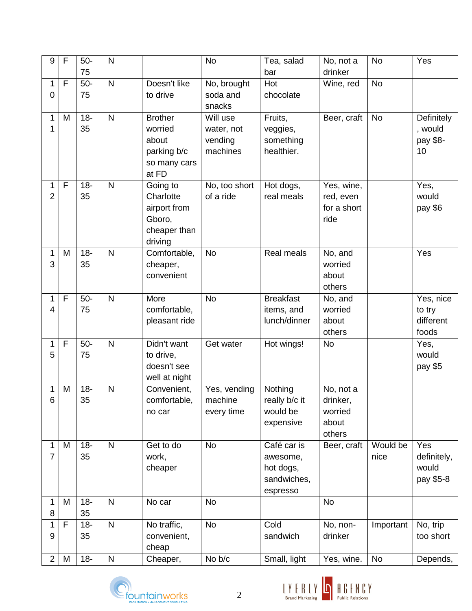| 9              | F | $50-$        | N                       |                          | <b>No</b>     | Tea, salad       | No, not a   | N <sub>o</sub> | Yes           |
|----------------|---|--------------|-------------------------|--------------------------|---------------|------------------|-------------|----------------|---------------|
|                |   | 75           |                         |                          |               | bar              | drinker     |                |               |
| 1              | F | $50-$        | $\mathsf{N}$            | Doesn't like             | No, brought   | Hot              | Wine, red   | <b>No</b>      |               |
| 0              |   | 75           |                         | to drive                 | soda and      | chocolate        |             |                |               |
|                |   |              |                         |                          | snacks        |                  |             |                |               |
| 1              | M | $18 -$       | $\mathsf{N}$            | <b>Brother</b>           | Will use      | Fruits,          | Beer, craft | <b>No</b>      | Definitely    |
| 1              |   | 35           |                         | worried                  | water, not    | veggies,         |             |                | , would       |
|                |   |              |                         | about                    | vending       | something        |             |                | pay \$8-      |
|                |   |              |                         | parking b/c              | machines      | healthier.       |             |                | 10            |
|                |   |              |                         | so many cars<br>at FD    |               |                  |             |                |               |
| 1              | F | $18 -$       | N                       | Going to                 | No, too short | Hot dogs,        | Yes, wine,  |                | Yes,          |
| $\overline{2}$ |   | 35           |                         | Charlotte                | of a ride     | real meals       | red, even   |                | would         |
|                |   |              |                         | airport from             |               |                  | for a short |                | pay \$6       |
|                |   |              |                         | Gboro,                   |               |                  | ride        |                |               |
|                |   |              |                         | cheaper than             |               |                  |             |                |               |
|                |   |              |                         | driving                  |               |                  |             |                |               |
| 1              | M | $18 -$       | $\overline{\mathsf{N}}$ | Comfortable,             | <b>No</b>     | Real meals       | No, and     |                | Yes           |
| 3              |   | 35           |                         | cheaper,                 |               |                  | worried     |                |               |
|                |   |              |                         | convenient               |               |                  | about       |                |               |
|                |   |              |                         |                          |               |                  | others      |                |               |
| 1              | F | $50-$        | $\overline{\mathsf{N}}$ | More                     | <b>No</b>     | <b>Breakfast</b> | No, and     |                | Yes, nice     |
| 4              |   | 75           |                         | comfortable,             |               | items, and       | worried     |                | to try        |
|                |   |              |                         | pleasant ride            |               | lunch/dinner     | about       |                | different     |
|                |   |              |                         |                          |               |                  | others      |                | foods         |
| 1<br>5         | F | $50-$<br>75  | $\mathsf{N}$            | Didn't want<br>to drive, | Get water     | Hot wings!       | <b>No</b>   |                | Yes,<br>would |
|                |   |              |                         | doesn't see              |               |                  |             |                | pay \$5       |
|                |   |              |                         | well at night            |               |                  |             |                |               |
| 1              | M | $18 -$       | N                       | Convenient,              | Yes, vending  | Nothing          | No, not a   |                |               |
| 6              |   | 35           |                         | comfortable,             | machine       | really b/c it    | drinker,    |                |               |
|                |   |              |                         | no car                   | every time    | would be         | worried     |                |               |
|                |   |              |                         |                          |               | expensive        | about       |                |               |
|                |   |              |                         |                          |               |                  | others      |                |               |
| 1              | M | $18 -$       | $\mathsf{N}$            | Get to do                | No            | Café car is      | Beer, craft | Would be       | Yes           |
| $\overline{7}$ |   | 35           |                         | work,                    |               | awesome,         |             | nice           | definitely,   |
|                |   |              |                         | cheaper                  |               | hot dogs,        |             |                | would         |
|                |   |              |                         |                          |               | sandwiches,      |             |                | pay \$5-8     |
|                |   |              |                         |                          |               | espresso         |             |                |               |
| 1              | M | $18 -$       | $\mathsf{N}$            | No car                   | No            |                  | <b>No</b>   |                |               |
| 8<br>1         | F | 35<br>$18 -$ | $\mathsf{N}$            | No traffic,              | <b>No</b>     | Cold             | No, non-    | Important      | No, trip      |
| 9              |   | 35           |                         | convenient,              |               | sandwich         | drinker     |                | too short     |
|                |   |              |                         | cheap                    |               |                  |             |                |               |
| $\overline{2}$ | M | $18 -$       | ${\sf N}$               | Cheaper,                 | No b/c        | Small, light     | Yes, wine.  | <b>No</b>      | Depends,      |
|                |   |              |                         |                          |               |                  |             |                |               |



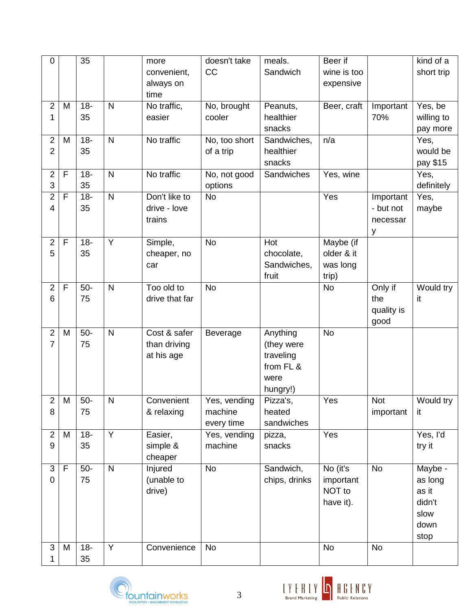| $\pmb{0}$        |              | $\overline{35}$ |                         | more           | doesn't take  | meals.        | Beer if     |            | kind of a  |
|------------------|--------------|-----------------|-------------------------|----------------|---------------|---------------|-------------|------------|------------|
|                  |              |                 |                         | convenient,    | CC            | Sandwich      | wine is too |            | short trip |
|                  |              |                 |                         | always on      |               |               | expensive   |            |            |
|                  |              |                 |                         | time           |               |               |             |            |            |
| $\overline{2}$   | M            | $18 -$          | $\mathsf{N}$            | No traffic,    | No, brought   | Peanuts,      | Beer, craft | Important  | Yes, be    |
| 1                |              | 35              |                         | easier         | cooler        | healthier     |             | 70%        | willing to |
|                  |              |                 |                         |                |               | snacks        |             |            | pay more   |
| $\overline{2}$   | M            | $18 -$          | $\mathsf{N}$            | No traffic     | No, too short | Sandwiches,   | n/a         |            | Yes,       |
| $\overline{2}$   |              | 35              |                         |                | of a trip     | healthier     |             |            | would be   |
|                  |              |                 |                         |                |               | snacks        |             |            | pay \$15   |
| $\overline{2}$   | $\mathsf{F}$ | $18 -$          | $\mathsf{N}$            | No traffic     | No, not good  | Sandwiches    | Yes, wine   |            | Yes,       |
| 3                |              | 35              |                         |                | options       |               |             |            | definitely |
| $\overline{2}$   | F            | $18 -$          | $\overline{\mathsf{N}}$ | Don't like to  | <b>No</b>     |               | Yes         | Important  | Yes,       |
| 4                |              | 35              |                         | drive - love   |               |               |             | - but not  | maybe      |
|                  |              |                 |                         | trains         |               |               |             | necessar   |            |
|                  |              |                 |                         |                |               |               |             | у          |            |
| $\overline{2}$   | F            | $18 -$          | Y                       | Simple,        | <b>No</b>     | Hot           | Maybe (if   |            |            |
| 5                |              | 35              |                         | cheaper, no    |               | chocolate,    | older & it  |            |            |
|                  |              |                 |                         | car            |               | Sandwiches,   | was long    |            |            |
|                  |              |                 |                         |                |               | fruit         | trip)       |            |            |
| $\overline{2}$   | F            | $50-$           | $\mathsf{N}$            | Too old to     | <b>No</b>     |               | <b>No</b>   | Only if    | Would try  |
| 6                |              | 75              |                         | drive that far |               |               |             | the        | it         |
|                  |              |                 |                         |                |               |               |             | quality is |            |
|                  |              |                 |                         |                |               |               |             | good       |            |
| $\overline{2}$   | M            | $50-$           | $\mathsf{N}$            | Cost & safer   | Beverage      | Anything      | <b>No</b>   |            |            |
| $\overline{7}$   |              | 75              |                         | than driving   |               | (they were    |             |            |            |
|                  |              |                 |                         | at his age     |               | traveling     |             |            |            |
|                  |              |                 |                         |                |               | from FL &     |             |            |            |
|                  |              |                 |                         |                |               | were          |             |            |            |
|                  |              |                 |                         |                |               | hungry!)      |             |            |            |
| $\overline{a}$   | ${\sf M}$    | $50-$           | ${\sf N}$               | Convenient     | Yes, vending  | Pizza's,      | Yes         | Not        | Would try  |
| 8                |              | 75              |                         | & relaxing     | machine       | heated        |             | important  | it         |
|                  |              |                 |                         |                | every time    | sandwiches    |             |            |            |
| $\overline{2}$   | M            | $18 -$          | $\overline{Y}$          | Easier,        | Yes, vending  | pizza,        | Yes         |            | Yes, I'd   |
| $\boldsymbol{9}$ |              | 35              |                         | simple &       | machine       | snacks        |             |            | try it     |
|                  |              |                 |                         | cheaper        |               |               |             |            |            |
| 3                | F            | $50-$           | $\mathsf{N}$            | Injured        | <b>No</b>     | Sandwich,     | No (it's    | <b>No</b>  | Maybe -    |
| $\mathbf 0$      |              | 75              |                         | (unable to     |               | chips, drinks | important   |            | as long    |
|                  |              |                 |                         | drive)         |               |               | NOT to      |            | as it      |
|                  |              |                 |                         |                |               |               | have it).   |            | didn't     |
|                  |              |                 |                         |                |               |               |             |            | slow       |
|                  |              |                 |                         |                |               |               |             |            | down       |
|                  |              |                 |                         |                |               |               |             |            | stop       |
| 3                | M            | $18 -$          | Y                       | Convenience    | <b>No</b>     |               | <b>No</b>   | <b>No</b>  |            |
| 1                |              | 35              |                         |                |               |               |             |            |            |



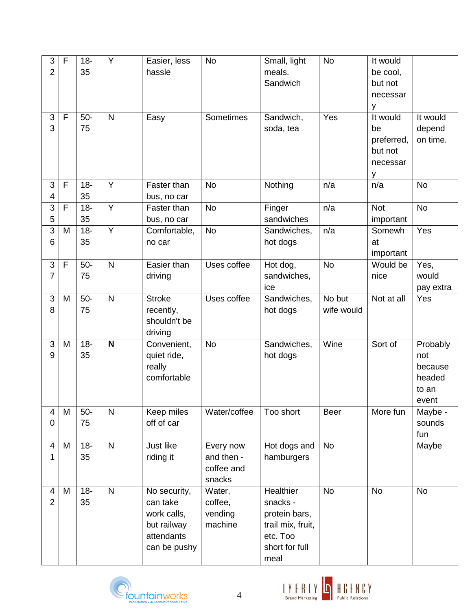| 3              | $\mathsf F$ | $18 -$ | Y                       | Easier, less          | No           | Small, light      | <b>No</b>      | It would   |                  |
|----------------|-------------|--------|-------------------------|-----------------------|--------------|-------------------|----------------|------------|------------------|
| $\overline{2}$ |             | 35     |                         | hassle                |              | meals.            |                | be cool,   |                  |
|                |             |        |                         |                       |              | Sandwich          |                | but not    |                  |
|                |             |        |                         |                       |              |                   |                | necessar   |                  |
|                |             |        |                         |                       |              |                   |                | у          |                  |
| $\mathfrak{S}$ | $\mathsf F$ | $50-$  | $\mathsf{N}$            | Easy                  | Sometimes    | Sandwich,         | Yes            | It would   | It would         |
| 3              |             | 75     |                         |                       |              | soda, tea         |                | be         | depend           |
|                |             |        |                         |                       |              |                   |                | preferred, | on time.         |
|                |             |        |                         |                       |              |                   |                | but not    |                  |
|                |             |        |                         |                       |              |                   |                | necessar   |                  |
|                |             |        |                         |                       |              |                   |                | у          |                  |
| $\sqrt{3}$     | F           | $18 -$ | Y                       | Faster than           | No           | Nothing           | n/a            | n/a        | <b>No</b>        |
| 4              |             | 35     |                         | bus, no car           |              |                   |                |            |                  |
| 3              | F           | $18 -$ | $\overline{Y}$          | Faster than           | <b>No</b>    | Finger            | n/a            | <b>Not</b> | <b>No</b>        |
| 5              |             | 35     |                         | bus, no car           |              | sandwiches        |                | important  |                  |
| 3              | M           | $18 -$ | $\overline{Y}$          | Comfortable,          | <b>No</b>    | Sandwiches,       | n/a            | Somewh     | Yes              |
| 6              |             | 35     |                         | no car                |              | hot dogs          |                | at         |                  |
|                |             |        |                         |                       |              |                   |                | important  |                  |
| 3              | $\mathsf F$ | $50-$  | $\mathsf{N}$            | Easier than           | Uses coffee  | Hot dog,          | <b>No</b>      | Would be   | Yes,             |
| 7              |             | 75     |                         | driving               |              | sandwiches,       |                | nice       | would            |
|                |             |        |                         |                       |              | ice               |                |            | pay extra        |
| 3              | M           | $50-$  | $\overline{\mathsf{N}}$ | <b>Stroke</b>         | Uses coffee  | Sandwiches,       | No but         | Not at all | Yes              |
| 8              |             | 75     |                         | recently,             |              | hot dogs          | wife would     |            |                  |
|                |             |        |                         | shouldn't be          |              |                   |                |            |                  |
|                |             |        |                         | driving               |              |                   |                |            |                  |
| 3              | M           | $18 -$ | $\mathbf N$             | Convenient,           | <b>No</b>    | Sandwiches,       | Wine           | Sort of    | Probably         |
| 9              |             | 35     |                         | quiet ride,           |              | hot dogs          |                |            | not              |
|                |             |        |                         | really<br>comfortable |              |                   |                |            | because          |
|                |             |        |                         |                       |              |                   |                |            | headed           |
|                |             |        |                         |                       |              |                   |                |            | to an            |
| 4              | M           | $50-$  | $\mathsf{N}$            | Keep miles            | Water/coffee | Too short         | Beer           | More fun   | event<br>Maybe - |
| 0              |             | 75     |                         | off of car            |              |                   |                |            | sounds           |
|                |             |        |                         |                       |              |                   |                |            | fun              |
| 4              | M           | $18 -$ | $\overline{\mathsf{N}}$ | Just like             | Every now    | Hot dogs and      | $\overline{N}$ |            | Maybe            |
| 1              |             | 35     |                         | riding it             | and then -   | hamburgers        |                |            |                  |
|                |             |        |                         |                       | coffee and   |                   |                |            |                  |
|                |             |        |                         |                       | snacks       |                   |                |            |                  |
| 4              | M           | $18 -$ | $\mathsf{N}$            | No security,          | Water,       | Healthier         | <b>No</b>      | <b>No</b>  | <b>No</b>        |
| $\overline{2}$ |             | 35     |                         | can take              | coffee,      | snacks -          |                |            |                  |
|                |             |        |                         | work calls,           | vending      | protein bars,     |                |            |                  |
|                |             |        |                         | but railway           | machine      | trail mix, fruit, |                |            |                  |
|                |             |        |                         | attendants            |              | etc. Too          |                |            |                  |
|                |             |        |                         | can be pushy          |              | short for full    |                |            |                  |
|                |             |        |                         |                       |              | meal              |                |            |                  |



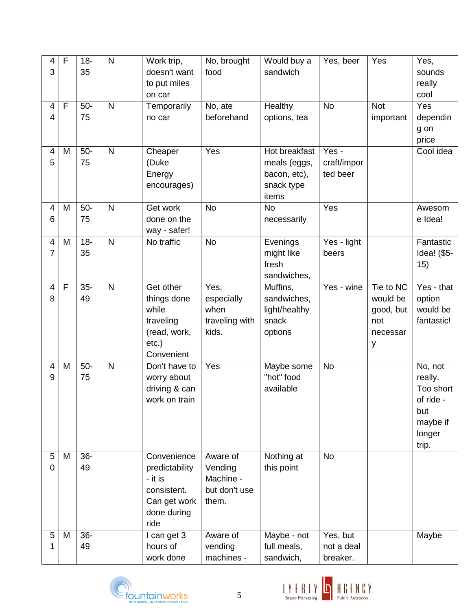| 4<br>3              | F           | $18 -$<br>35 | $\mathsf{N}$            | Work trip,<br>doesn't want<br>to put miles<br>on car                                           | No, brought<br>food                                        | Would buy a<br>sandwich                                                     | Yes, beer                          | Yes                                                        | Yes,<br>sounds<br>really<br>cool                                                 |
|---------------------|-------------|--------------|-------------------------|------------------------------------------------------------------------------------------------|------------------------------------------------------------|-----------------------------------------------------------------------------|------------------------------------|------------------------------------------------------------|----------------------------------------------------------------------------------|
| 4<br>4              | $\mathsf F$ | $50-$<br>75  | $\mathsf{N}$            | Temporarily<br>no car                                                                          | No, ate<br>beforehand                                      | Healthy<br>options, tea                                                     | <b>No</b>                          | <b>Not</b><br>important                                    | Yes<br>dependin<br>g on<br>price                                                 |
| 4<br>5              | M           | $50-$<br>75  | $\overline{\mathsf{N}}$ | Cheaper<br>(Duke<br>Energy<br>encourages)                                                      | Yes                                                        | <b>Hot breakfast</b><br>meals (eggs,<br>bacon, etc),<br>snack type<br>items | Yes -<br>craft/impor<br>ted beer   |                                                            | Cool idea                                                                        |
| 4<br>6              | M           | $50-$<br>75  | $\mathsf{N}$            | Get work<br>done on the<br>way - safer!                                                        | <b>No</b>                                                  | <b>No</b><br>necessarily                                                    | Yes                                |                                                            | Awesom<br>e Idea!                                                                |
| 4<br>$\overline{7}$ | M           | $18 -$<br>35 | $\mathsf{N}$            | No traffic                                                                                     | <b>No</b>                                                  | Evenings<br>might like<br>fresh<br>sandwiches,                              | Yes - light<br>beers               |                                                            | Fantastic<br>Idea! (\$5-<br>15)                                                  |
| 4<br>8              | F           | $35-$<br>49  | $\mathsf{N}$            | Get other<br>things done<br>while<br>traveling<br>(read, work,<br>$etc.$ )<br>Convenient       | Yes,<br>especially<br>when<br>traveling with<br>kids.      | Muffins,<br>sandwiches,<br>light/healthy<br>snack<br>options                | Yes - wine                         | Tie to NC<br>would be<br>good, but<br>not<br>necessar<br>У | Yes - that<br>option<br>would be<br>fantastic!                                   |
| 4<br>9              | M           | $50-$<br>75  | $\mathsf{N}$            | Don't have to<br>worry about<br>driving & can<br>work on train                                 | Yes                                                        | Maybe some<br>"hot" food<br>available                                       | <b>No</b>                          |                                                            | No, not<br>really.<br>Too short<br>of ride<br>but<br>maybe if<br>longer<br>trip. |
| 5<br>$\mathbf 0$    | M           | $36 -$<br>49 |                         | Convenience<br>predictability<br>- it is<br>consistent.<br>Can get work<br>done during<br>ride | Aware of<br>Vending<br>Machine -<br>but don't use<br>them. | Nothing at<br>this point                                                    | <b>No</b>                          |                                                            |                                                                                  |
| 5<br>1              | M           | $36 -$<br>49 |                         | I can get 3<br>hours of<br>work done                                                           | Aware of<br>vending<br>machines -                          | Maybe - not<br>full meals,<br>sandwich,                                     | Yes, but<br>not a deal<br>breaker. |                                                            | Maybe                                                                            |



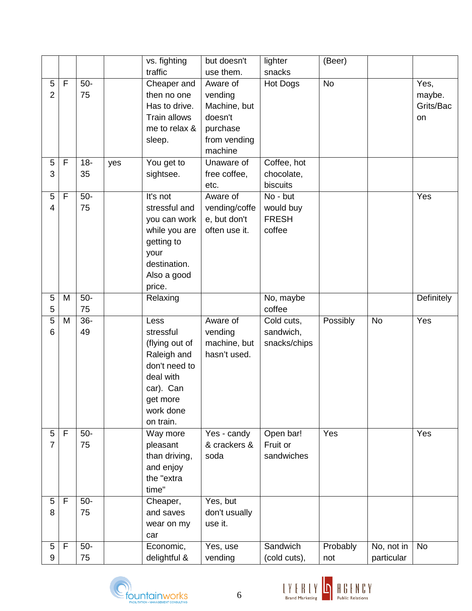|                |   |        |     | vs. fighting   | but doesn't   | lighter         | (Beer)    |            |                   |
|----------------|---|--------|-----|----------------|---------------|-----------------|-----------|------------|-------------------|
|                |   |        |     | traffic        | use them.     | snacks          |           |            |                   |
| 5              | F | $50-$  |     | Cheaper and    | Aware of      | <b>Hot Dogs</b> | <b>No</b> |            | Yes,              |
| $\overline{2}$ |   | 75     |     | then no one    | vending       |                 |           |            | maybe.            |
|                |   |        |     | Has to drive.  | Machine, but  |                 |           |            | Grits/Bac         |
|                |   |        |     | Train allows   | doesn't       |                 |           |            | on                |
|                |   |        |     | me to relax &  | purchase      |                 |           |            |                   |
|                |   |        |     | sleep.         | from vending  |                 |           |            |                   |
|                |   |        |     |                | machine       |                 |           |            |                   |
| 5              | F | $18 -$ | yes | You get to     | Unaware of    | Coffee, hot     |           |            |                   |
| 3              |   | 35     |     | sightsee.      | free coffee,  | chocolate,      |           |            |                   |
|                |   |        |     |                | etc.          | biscuits        |           |            |                   |
| 5              | F | $50-$  |     | It's not       | Aware of      | No - but        |           |            | Yes               |
| 4              |   | 75     |     | stressful and  | vending/coffe | would buy       |           |            |                   |
|                |   |        |     | you can work   | e, but don't  | <b>FRESH</b>    |           |            |                   |
|                |   |        |     | while you are  | often use it. | coffee          |           |            |                   |
|                |   |        |     | getting to     |               |                 |           |            |                   |
|                |   |        |     | your           |               |                 |           |            |                   |
|                |   |        |     | destination.   |               |                 |           |            |                   |
|                |   |        |     | Also a good    |               |                 |           |            |                   |
|                |   |        |     | price.         |               |                 |           |            |                   |
| 5              | M | $50-$  |     | Relaxing       |               | No, maybe       |           |            | <b>Definitely</b> |
| 5              |   | 75     |     |                |               | coffee          |           |            |                   |
| 5              | M | $36 -$ |     | Less           | Aware of      | Cold cuts,      | Possibly  | <b>No</b>  | Yes               |
| 6              |   | 49     |     | stressful      | vending       | sandwich,       |           |            |                   |
|                |   |        |     | (flying out of | machine, but  | snacks/chips    |           |            |                   |
|                |   |        |     | Raleigh and    | hasn't used.  |                 |           |            |                   |
|                |   |        |     | don't need to  |               |                 |           |            |                   |
|                |   |        |     | deal with      |               |                 |           |            |                   |
|                |   |        |     | car). Can      |               |                 |           |            |                   |
|                |   |        |     | get more       |               |                 |           |            |                   |
|                |   |        |     | work done      |               |                 |           |            |                   |
|                |   |        |     | on train.      |               |                 |           |            |                   |
| 5              | F | $50-$  |     | Way more       | Yes - candy   | Open bar!       | Yes       |            | Yes               |
| $\overline{7}$ |   | 75     |     | pleasant       | & crackers &  | Fruit or        |           |            |                   |
|                |   |        |     | than driving,  | soda          | sandwiches      |           |            |                   |
|                |   |        |     | and enjoy      |               |                 |           |            |                   |
|                |   |        |     | the "extra     |               |                 |           |            |                   |
|                |   |        |     | time"          |               |                 |           |            |                   |
| 5              | F | $50-$  |     | Cheaper,       | Yes, but      |                 |           |            |                   |
| 8              |   | 75     |     | and saves      | don't usually |                 |           |            |                   |
|                |   |        |     | wear on my     | use it.       |                 |           |            |                   |
|                |   |        |     | car            |               |                 |           |            |                   |
| 5              | F | $50-$  |     | Economic,      | Yes, use      | Sandwich        | Probably  | No, not in | <b>No</b>         |
| 9              |   | 75     |     | delightful &   | vending       | (cold cuts),    | not       | particular |                   |



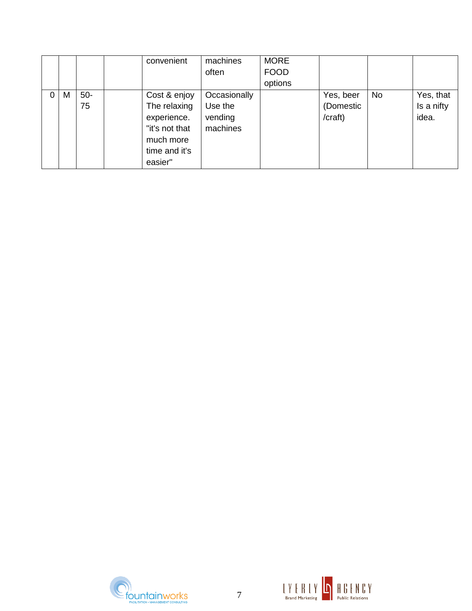|   |   |       | convenient     | machines     | <b>MORE</b> |           |           |            |
|---|---|-------|----------------|--------------|-------------|-----------|-----------|------------|
|   |   |       |                | often        | <b>FOOD</b> |           |           |            |
|   |   |       |                |              | options     |           |           |            |
| 0 | M | $50-$ | Cost & enjoy   | Occasionally |             | Yes, beer | <b>No</b> | Yes, that  |
|   |   | 75    | The relaxing   | Use the      |             | (Domestic |           | Is a nifty |
|   |   |       | experience.    | vending      |             | /craft)   |           | idea.      |
|   |   |       | "it's not that | machines     |             |           |           |            |
|   |   |       | much more      |              |             |           |           |            |
|   |   |       | time and it's  |              |             |           |           |            |
|   |   |       | easier"        |              |             |           |           |            |



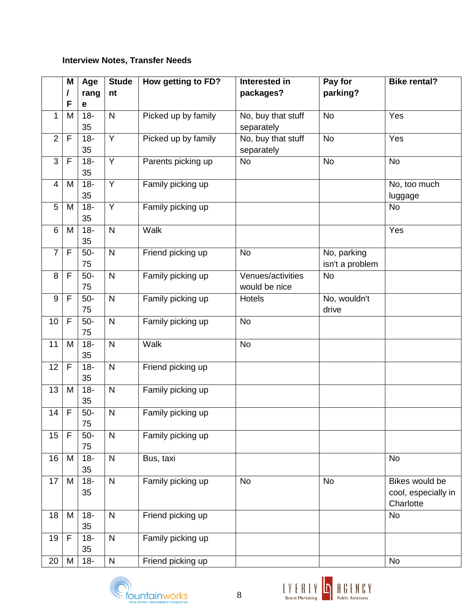### **Interview Notes, Transfer Needs**

|                | M              | Age          | <b>Stude</b>   | How getting to FD?  | Interested in                      | Pay for                        | <b>Bike rental?</b>                                |
|----------------|----------------|--------------|----------------|---------------------|------------------------------------|--------------------------------|----------------------------------------------------|
|                | I              | rang         | nt             |                     | packages?                          | parking?                       |                                                    |
|                | F              | е            |                |                     |                                    |                                |                                                    |
| 1              | M              | $18 -$<br>35 | $\mathsf{N}$   | Picked up by family | No, buy that stuff<br>separately   | <b>No</b>                      | Yes                                                |
| $\overline{2}$ | F              | $18 -$<br>35 | $\overline{Y}$ | Picked up by family | No, buy that stuff<br>separately   | <b>No</b>                      | Yes                                                |
| $\mathfrak{S}$ | $\mathsf{F}$   | $18 -$<br>35 | $\overline{Y}$ | Parents picking up  | <b>No</b>                          | <b>No</b>                      | <b>No</b>                                          |
| $\overline{4}$ | M              | $18 -$<br>35 | $\overline{Y}$ | Family picking up   |                                    |                                | No, too much<br>luggage                            |
| 5              | M              | $18 -$<br>35 | Y              | Family picking up   |                                    |                                | <b>No</b>                                          |
| 6              | M              | $18 -$<br>35 | $\mathsf{N}$   | Walk                |                                    |                                | Yes                                                |
| $\overline{7}$ | $\mathsf{F}$   | $50-$<br>75  | $\mathsf{N}$   | Friend picking up   | <b>No</b>                          | No, parking<br>isn't a problem |                                                    |
| 8              | $\mathsf{F}$   | $50-$<br>75  | $\mathsf{N}$   | Family picking up   | Venues/activities<br>would be nice | <b>No</b>                      |                                                    |
| 9              | F              | $50-$<br>75  | $\mathsf{N}$   | Family picking up   | <b>Hotels</b>                      | No, wouldn't<br>drive          |                                                    |
| 10             | $\mathsf{F}$   | $50-$<br>75  | $\mathsf{N}$   | Family picking up   | <b>No</b>                          |                                |                                                    |
| 11             | M              | $18 -$<br>35 | $\mathsf{N}$   | Walk                | <b>No</b>                          |                                |                                                    |
| 12             | F              | $18 -$<br>35 | $\mathsf{N}$   | Friend picking up   |                                    |                                |                                                    |
| 13             | M              | $18 -$<br>35 | $\mathsf{N}$   | Family picking up   |                                    |                                |                                                    |
| 14             | $\mathsf{F}$   | $50-$<br>75  | $\mathsf{N}$   | Family picking up   |                                    |                                |                                                    |
| 15             | $\overline{F}$ | $50-$<br>75  | $\mathsf{N}$   | Family picking up   |                                    |                                |                                                    |
| 16             | M              | $18 -$<br>35 | $\mathsf{N}$   | Bus, taxi           |                                    |                                | <b>No</b>                                          |
| 17             | M              | $18 -$<br>35 | $\mathsf{N}$   | Family picking up   | <b>No</b>                          | No                             | Bikes would be<br>cool, especially in<br>Charlotte |
| 18             | M              | $18 -$<br>35 | $\mathsf{N}$   | Friend picking up   |                                    |                                | <b>No</b>                                          |
| 19             | F              | $18 -$<br>35 | $\mathsf{N}$   | Family picking up   |                                    |                                |                                                    |
| 20             | M              | $18 -$       | ${\sf N}$      | Friend picking up   |                                    |                                | <b>No</b>                                          |



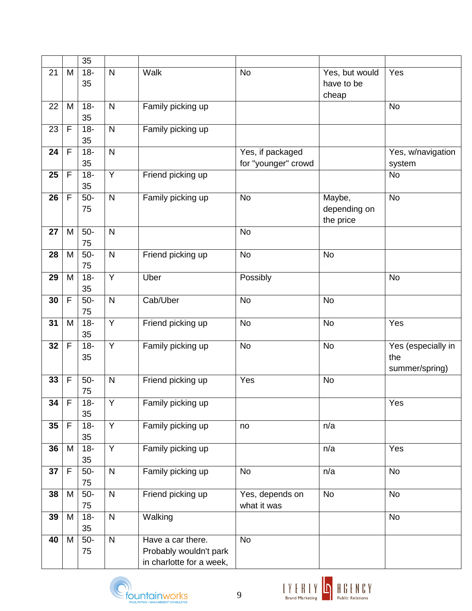|                 |                | 35           |                         |                                                                         |                                         |                                       |                                             |
|-----------------|----------------|--------------|-------------------------|-------------------------------------------------------------------------|-----------------------------------------|---------------------------------------|---------------------------------------------|
| 21              | M              | $18 -$<br>35 | $\mathsf{N}$            | Walk                                                                    | <b>No</b>                               | Yes, but would<br>have to be<br>cheap | Yes                                         |
| 22              | M              | $18 -$<br>35 | $\mathsf{N}$            | Family picking up                                                       |                                         |                                       | <b>No</b>                                   |
| 23              | $\mathsf F$    | $18 -$<br>35 | $\mathsf{N}$            | Family picking up                                                       |                                         |                                       |                                             |
| 24              | F              | $18-$<br>35  | $\mathsf{N}$            |                                                                         | Yes, if packaged<br>for "younger" crowd |                                       | Yes, w/navigation<br>system                 |
| 25              | F              | $18 -$<br>35 | $\overline{Y}$          | Friend picking up                                                       |                                         |                                       | <b>No</b>                                   |
| 26              | F              | $50-$<br>75  | $\mathsf{N}$            | Family picking up                                                       | <b>No</b>                               | Maybe,<br>depending on<br>the price   | <b>No</b>                                   |
| 27              | M              | $50-$<br>75  | $\mathsf{N}$            |                                                                         | <b>No</b>                               |                                       |                                             |
| 28              | M              | $50-$<br>75  | $\mathsf{N}$            | Friend picking up                                                       | <b>No</b>                               | <b>No</b>                             |                                             |
| 29              | M              | $18 -$<br>35 | $\overline{Y}$          | Uber                                                                    | Possibly                                |                                       | <b>No</b>                                   |
| 30              | F              | $50-$<br>75  | $\mathsf{N}$            | Cab/Uber                                                                | <b>No</b>                               | <b>No</b>                             |                                             |
| 31              | M              | $18 -$<br>35 | $\overline{Y}$          | Friend picking up                                                       | <b>No</b>                               | <b>No</b>                             | Yes                                         |
| 32              | F              | $18 -$<br>35 | $\overline{Y}$          | Family picking up                                                       | <b>No</b>                               | <b>No</b>                             | Yes (especially in<br>the<br>summer/spring) |
| 33              | F              | $50-$<br>75  | $\mathsf{N}$            | Friend picking up                                                       | Yes                                     | <b>No</b>                             |                                             |
| 34              | $\overline{F}$ | $18-$<br>35  | Y                       | Family picking up                                                       |                                         |                                       | Yes                                         |
| 35 <sub>5</sub> | $\mathsf F$    | $18 -$<br>35 | $\overline{Y}$          | Family picking up                                                       | no                                      | n/a                                   |                                             |
| 36              | M              | $18 -$<br>35 | $\overline{Y}$          | Family picking up                                                       |                                         | n/a                                   | Yes                                         |
| 37              | F              | $50-$<br>75  | $\mathsf{N}$            | Family picking up                                                       | <b>No</b>                               | n/a                                   | <b>No</b>                                   |
| 38              | M              | $50-$<br>75  | $\mathsf{N}$            | Friend picking up                                                       | Yes, depends on<br>what it was          | <b>No</b>                             | <b>No</b>                                   |
| 39              | M              | $18 -$<br>35 | $\overline{\mathsf{N}}$ | Walking                                                                 |                                         |                                       | <b>No</b>                                   |
| 40              | M              | $50-$<br>75  | $\mathsf{N}$            | Have a car there.<br>Probably wouldn't park<br>in charlotte for a week, | $\overline{N}$                          |                                       |                                             |



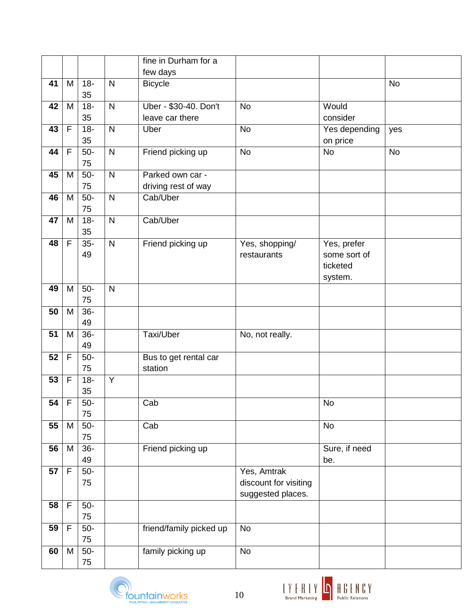|    |                |        |                | fine in Durham for a    |                       |               |           |
|----|----------------|--------|----------------|-------------------------|-----------------------|---------------|-----------|
|    |                |        |                | few days                |                       |               |           |
| 41 | M              | $18 -$ | $\mathsf{N}$   | <b>Bicycle</b>          |                       |               | <b>No</b> |
|    |                | 35     |                |                         |                       |               |           |
| 42 | M              | $18 -$ | $\mathsf{N}$   | Uber - \$30-40. Don't   | <b>No</b>             | Would         |           |
|    |                | 35     |                | leave car there         |                       | consider      |           |
| 43 | F              | $18 -$ | $\overline{N}$ | Uber                    | <b>No</b>             | Yes depending | yes       |
|    |                | 35     |                |                         |                       | on price      |           |
| 44 | F              | $50-$  | $\overline{N}$ | Friend picking up       | <b>No</b>             | <b>No</b>     | <b>No</b> |
|    |                | 75     |                |                         |                       |               |           |
| 45 | M              | $50-$  | N              | Parked own car -        |                       |               |           |
|    |                | 75     |                | driving rest of way     |                       |               |           |
| 46 | M              | $50-$  | $\mathsf{N}$   | Cab/Uber                |                       |               |           |
|    |                | 75     |                |                         |                       |               |           |
| 47 | M              | $18 -$ | $\mathsf{N}$   | Cab/Uber                |                       |               |           |
|    |                | 35     |                |                         |                       |               |           |
| 48 | $\overline{F}$ | $35-$  | $\overline{N}$ | Friend picking up       | Yes, shopping/        | Yes, prefer   |           |
|    |                | 49     |                |                         | restaurants           | some sort of  |           |
|    |                |        |                |                         |                       | ticketed      |           |
|    |                |        |                |                         |                       | system.       |           |
| 49 | M              | $50-$  | $\mathsf{N}$   |                         |                       |               |           |
|    |                | 75     |                |                         |                       |               |           |
| 50 | M              | $36-$  |                |                         |                       |               |           |
|    |                | 49     |                |                         |                       |               |           |
| 51 | M              | $36-$  |                | Taxi/Uber               | No, not really.       |               |           |
|    |                | 49     |                |                         |                       |               |           |
| 52 | F              | $50-$  |                | Bus to get rental car   |                       |               |           |
|    |                | 75     |                | station                 |                       |               |           |
| 53 | F              | $18 -$ | $\overline{Y}$ |                         |                       |               |           |
|    |                | 35     |                |                         |                       |               |           |
| 54 | $\overline{F}$ | $50-$  |                | Cab                     |                       | No            |           |
|    |                | 75     |                |                         |                       |               |           |
| 55 | M              | $50-$  |                | Cab                     |                       | <b>No</b>     |           |
|    |                | 75     |                |                         |                       |               |           |
| 56 | M              | $36 -$ |                | Friend picking up       |                       | Sure, if need |           |
|    |                | 49     |                |                         |                       | be.           |           |
| 57 | F              | $50-$  |                |                         | Yes, Amtrak           |               |           |
|    |                | 75     |                |                         | discount for visiting |               |           |
|    |                |        |                |                         | suggested places.     |               |           |
| 58 | F              | $50-$  |                |                         |                       |               |           |
|    |                | 75     |                |                         |                       |               |           |
| 59 | F              | $50-$  |                | friend/family picked up | No                    |               |           |
|    |                | 75     |                |                         |                       |               |           |
| 60 | M              | $50-$  |                | family picking up       | No                    |               |           |
|    |                | 75     |                |                         |                       |               |           |



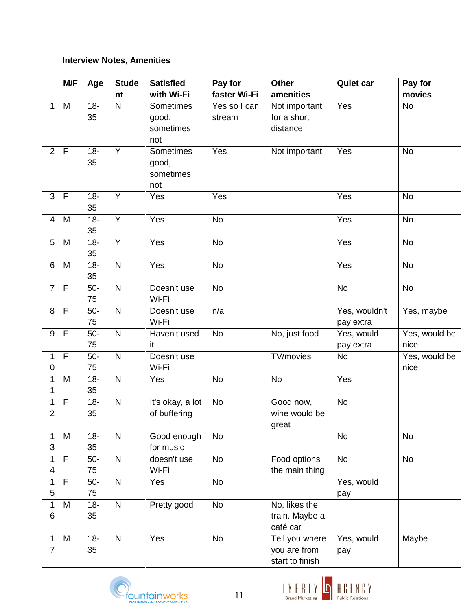### **Interview Notes, Amenities**

|                          | M/F          | Age    | <b>Stude</b>   | <b>Satisfied</b> | Pay for      | <b>Other</b>    | <b>Quiet car</b> | Pay for       |
|--------------------------|--------------|--------|----------------|------------------|--------------|-----------------|------------------|---------------|
|                          |              |        | nt             | with Wi-Fi       | faster Wi-Fi | amenities       |                  | movies        |
| 1                        | M            | $18 -$ | $\mathsf{N}$   | Sometimes        | Yes so I can | Not important   | Yes              | No            |
|                          |              | 35     |                | good,            | stream       | for a short     |                  |               |
|                          |              |        |                | sometimes        |              | distance        |                  |               |
|                          |              |        |                | not              |              |                 |                  |               |
| $\overline{2}$           | $\mathsf{F}$ | $18 -$ | $\overline{Y}$ | <b>Sometimes</b> | Yes          | Not important   | Yes              | No            |
|                          |              | 35     |                | good,            |              |                 |                  |               |
|                          |              |        |                | sometimes        |              |                 |                  |               |
|                          |              |        |                | not              |              |                 |                  |               |
| 3                        | F            | $18 -$ | Y              | Yes              | Yes          |                 | Yes              | <b>No</b>     |
|                          |              | 35     |                |                  |              |                 |                  |               |
| $\overline{\mathcal{A}}$ | M            | $18 -$ | Y              | Yes              | <b>No</b>    |                 | Yes              | <b>No</b>     |
|                          |              | 35     |                |                  |              |                 |                  |               |
| 5                        | M            | $18 -$ | Y              | Yes              | <b>No</b>    |                 | Yes              | <b>No</b>     |
|                          |              | 35     |                |                  |              |                 |                  |               |
| 6                        | M            | $18 -$ | $\mathsf{N}$   | Yes              | <b>No</b>    |                 | Yes              | <b>No</b>     |
|                          |              | 35     |                |                  |              |                 |                  |               |
| $\overline{7}$           | F            | $50-$  | $\mathsf{N}$   | Doesn't use      | <b>No</b>    |                 | <b>No</b>        | <b>No</b>     |
|                          |              | 75     |                | Wi-Fi            |              |                 |                  |               |
| 8                        | F            | $50-$  | $\mathsf{N}$   | Doesn't use      | n/a          |                 | Yes, wouldn't    | Yes, maybe    |
|                          |              | 75     |                | Wi-Fi            |              |                 | pay extra        |               |
| 9                        | F            | $50-$  | ${\sf N}$      | Haven't used     | <b>No</b>    | No, just food   | Yes, would       | Yes, would be |
|                          |              | 75     |                | it               |              |                 | pay extra        | nice          |
| 1                        | F            | $50-$  | $\mathsf{N}$   | Doesn't use      |              | TV/movies       | <b>No</b>        | Yes, would be |
| 0                        |              | 75     |                | Wi-Fi            |              |                 |                  | nice          |
| 1                        | M            | $18 -$ | ${\sf N}$      | Yes              | <b>No</b>    | <b>No</b>       | Yes              |               |
| 1                        |              | 35     |                |                  |              |                 |                  |               |
| 1                        | $\mathsf F$  | $18 -$ | ${\sf N}$      | It's okay, a lot | <b>No</b>    | Good now,       | <b>No</b>        |               |
| $\overline{2}$           |              | 35     |                | of buffering     |              | wine would be   |                  |               |
|                          |              |        |                |                  |              | great           |                  |               |
| 1                        | M            | $18 -$ | $\mathsf{N}$   | Good enough      | <b>No</b>    |                 | No               | <b>No</b>     |
| 3                        |              | 35     |                | for music        |              |                 |                  |               |
| 1                        | F            | $50-$  | $\mathsf{N}$   | doesn't use      | <b>No</b>    | Food options    | <b>No</b>        | <b>No</b>     |
| 4                        |              | 75     |                | Wi-Fi            |              | the main thing  |                  |               |
| 1                        | F            | $50-$  | ${\sf N}$      | Yes              | <b>No</b>    |                 | Yes, would       |               |
| 5                        |              | 75     |                |                  |              |                 | pay              |               |
|                          | M            | $18 -$ | ${\sf N}$      | Pretty good      | <b>No</b>    | No, likes the   |                  |               |
| 6                        |              | 35     |                |                  |              | train. Maybe a  |                  |               |
|                          |              |        |                |                  |              | café car        |                  |               |
| 1                        | M            | $18 -$ | ${\sf N}$      | Yes              | <b>No</b>    | Tell you where  | Yes, would       | Maybe         |
| 7                        |              | 35     |                |                  |              | you are from    | pay              |               |
|                          |              |        |                |                  |              | start to finish |                  |               |



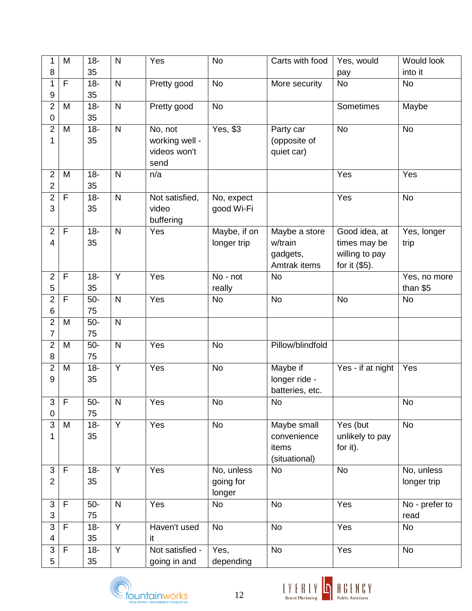| 35<br>8<br>into it<br>pay<br>F<br>$18 -$<br>$\mathsf{N}$<br>1<br>No<br><b>No</b><br>No<br>Pretty good<br>More security<br>$\overline{9}$<br>35<br>$\overline{2}$<br>$18 -$<br>$\mathsf{N}$<br><b>No</b><br>Maybe<br>M<br>Pretty good<br>Sometimes<br>35<br>$\pmb{0}$<br>$\overline{c}$<br>$18 -$<br>$\mathsf{N}$<br>No, not<br>Yes, \$3<br><b>No</b><br>M<br><b>No</b><br>Party car<br>1<br>35<br>working well -<br>(opposite of<br>videos won't<br>quiet car)<br>send<br>Yes<br>$\mathbf 2$<br>$18 -$<br>$\mathsf{N}$<br>n/a<br>Yes<br>M<br>$\overline{2}$<br>35<br>$\overline{2}$<br>$18 -$<br>F<br>$\mathsf{N}$<br>Not satisfied,<br>Yes<br><b>No</b><br>No, expect<br>3<br>good Wi-Fi<br>35<br>video<br>buffering<br>$\mathsf F$<br>Maybe, if on<br>$\mathbf{2}$<br>$18 -$<br>$\mathsf{N}$<br>Yes<br>Good idea, at<br>Maybe a store<br>Yes, longer<br>35<br>longer trip<br>w/train<br>4<br>times may be<br>trip<br>willing to pay<br>gadgets,<br>for it (\$5).<br>Amtrak items<br>Y<br>$\overline{2}$<br>$\mathsf F$<br>$18 -$<br>Yes<br>No - not<br><b>No</b><br>Yes, no more<br>5<br>35<br>than \$5<br>really<br>$\overline{2}$<br>$\mathsf{N}$<br>Yes<br><b>No</b><br>F<br>$50-$<br><b>No</b><br><b>No</b><br><b>No</b><br>$\,6\,$<br>75<br>$\overline{2}$<br>$50-$<br>$\mathsf{N}$<br>M<br>7<br>75<br>$\overline{2}$<br>$\mathsf{N}$<br>Pillow/blindfold<br>$50-$<br>Yes<br><b>No</b><br>M<br>8<br>75<br>$\overline{c}$<br>$\overline{Y}$<br>$18 -$<br>Maybe if<br>Yes<br><b>No</b><br>Yes - if at night<br>Yes<br>M<br>9<br>35<br>longer ride -<br>batteries, etc.<br>$3 \mid F$<br>$50-$<br>${\sf N}$<br>Yes<br>$\mathsf{No}$<br>$\mathsf{No}$<br>$\mathsf{No}$<br>75<br>$\mathbf 0$<br>$\overline{3}$<br>$\overline{Y}$<br>$18 -$<br>$\overline{Yes}$<br><b>No</b><br>Yes (but<br><b>No</b><br>Maybe small<br>M<br>1<br>35<br>unlikely to pay<br>convenience<br>for it).<br>items<br>(situational)<br>$\overline{3}$<br>$\overline{Y}$<br>$\mathsf F$<br>$18 -$<br>Yes<br>No, unless<br><b>No</b><br><b>No</b><br>No, unless<br>$\overline{2}$<br>35<br>going for<br>longer trip<br>longer<br>$\mathsf F$<br><b>No</b><br>Yes<br>$\mathfrak{B}$<br>$\mathsf{N}$<br>Yes<br><b>No</b><br>No - prefer to<br>$50-$<br>3<br>75<br>read<br>$\overline{Y}$<br>3<br>$\mathsf F$<br><b>No</b><br>Yes<br>$18 -$<br>Haven't used<br><b>No</b><br>No<br>35<br>4<br>it<br>$\overline{Y}$<br>3<br>$\mathsf F$<br>Not satisfied -<br><b>No</b><br>Yes<br><b>No</b><br>$18 -$<br>Yes,<br>5<br>35<br>going in and<br>depending | 1 | M | $18 -$ | $\mathsf{N}$ | Yes | <b>No</b> | Carts with food | Yes, would | <b>Would look</b> |
|--------------------------------------------------------------------------------------------------------------------------------------------------------------------------------------------------------------------------------------------------------------------------------------------------------------------------------------------------------------------------------------------------------------------------------------------------------------------------------------------------------------------------------------------------------------------------------------------------------------------------------------------------------------------------------------------------------------------------------------------------------------------------------------------------------------------------------------------------------------------------------------------------------------------------------------------------------------------------------------------------------------------------------------------------------------------------------------------------------------------------------------------------------------------------------------------------------------------------------------------------------------------------------------------------------------------------------------------------------------------------------------------------------------------------------------------------------------------------------------------------------------------------------------------------------------------------------------------------------------------------------------------------------------------------------------------------------------------------------------------------------------------------------------------------------------------------------------------------------------------------------------------------------------------------------------------------------------------------------------------------------------------------------------------------------------------------------------------------------------------------------------------------------------------------------------------------------------------------------------------------------------------------------------------------------------------------------------------------------------------------------------------------------------------------------------------------------------------------------------------------------------------------|---|---|--------|--------------|-----|-----------|-----------------|------------|-------------------|
|                                                                                                                                                                                                                                                                                                                                                                                                                                                                                                                                                                                                                                                                                                                                                                                                                                                                                                                                                                                                                                                                                                                                                                                                                                                                                                                                                                                                                                                                                                                                                                                                                                                                                                                                                                                                                                                                                                                                                                                                                                                                                                                                                                                                                                                                                                                                                                                                                                                                                                                          |   |   |        |              |     |           |                 |            |                   |
|                                                                                                                                                                                                                                                                                                                                                                                                                                                                                                                                                                                                                                                                                                                                                                                                                                                                                                                                                                                                                                                                                                                                                                                                                                                                                                                                                                                                                                                                                                                                                                                                                                                                                                                                                                                                                                                                                                                                                                                                                                                                                                                                                                                                                                                                                                                                                                                                                                                                                                                          |   |   |        |              |     |           |                 |            |                   |
|                                                                                                                                                                                                                                                                                                                                                                                                                                                                                                                                                                                                                                                                                                                                                                                                                                                                                                                                                                                                                                                                                                                                                                                                                                                                                                                                                                                                                                                                                                                                                                                                                                                                                                                                                                                                                                                                                                                                                                                                                                                                                                                                                                                                                                                                                                                                                                                                                                                                                                                          |   |   |        |              |     |           |                 |            |                   |
|                                                                                                                                                                                                                                                                                                                                                                                                                                                                                                                                                                                                                                                                                                                                                                                                                                                                                                                                                                                                                                                                                                                                                                                                                                                                                                                                                                                                                                                                                                                                                                                                                                                                                                                                                                                                                                                                                                                                                                                                                                                                                                                                                                                                                                                                                                                                                                                                                                                                                                                          |   |   |        |              |     |           |                 |            |                   |
|                                                                                                                                                                                                                                                                                                                                                                                                                                                                                                                                                                                                                                                                                                                                                                                                                                                                                                                                                                                                                                                                                                                                                                                                                                                                                                                                                                                                                                                                                                                                                                                                                                                                                                                                                                                                                                                                                                                                                                                                                                                                                                                                                                                                                                                                                                                                                                                                                                                                                                                          |   |   |        |              |     |           |                 |            |                   |
|                                                                                                                                                                                                                                                                                                                                                                                                                                                                                                                                                                                                                                                                                                                                                                                                                                                                                                                                                                                                                                                                                                                                                                                                                                                                                                                                                                                                                                                                                                                                                                                                                                                                                                                                                                                                                                                                                                                                                                                                                                                                                                                                                                                                                                                                                                                                                                                                                                                                                                                          |   |   |        |              |     |           |                 |            |                   |
|                                                                                                                                                                                                                                                                                                                                                                                                                                                                                                                                                                                                                                                                                                                                                                                                                                                                                                                                                                                                                                                                                                                                                                                                                                                                                                                                                                                                                                                                                                                                                                                                                                                                                                                                                                                                                                                                                                                                                                                                                                                                                                                                                                                                                                                                                                                                                                                                                                                                                                                          |   |   |        |              |     |           |                 |            |                   |
|                                                                                                                                                                                                                                                                                                                                                                                                                                                                                                                                                                                                                                                                                                                                                                                                                                                                                                                                                                                                                                                                                                                                                                                                                                                                                                                                                                                                                                                                                                                                                                                                                                                                                                                                                                                                                                                                                                                                                                                                                                                                                                                                                                                                                                                                                                                                                                                                                                                                                                                          |   |   |        |              |     |           |                 |            |                   |
|                                                                                                                                                                                                                                                                                                                                                                                                                                                                                                                                                                                                                                                                                                                                                                                                                                                                                                                                                                                                                                                                                                                                                                                                                                                                                                                                                                                                                                                                                                                                                                                                                                                                                                                                                                                                                                                                                                                                                                                                                                                                                                                                                                                                                                                                                                                                                                                                                                                                                                                          |   |   |        |              |     |           |                 |            |                   |
|                                                                                                                                                                                                                                                                                                                                                                                                                                                                                                                                                                                                                                                                                                                                                                                                                                                                                                                                                                                                                                                                                                                                                                                                                                                                                                                                                                                                                                                                                                                                                                                                                                                                                                                                                                                                                                                                                                                                                                                                                                                                                                                                                                                                                                                                                                                                                                                                                                                                                                                          |   |   |        |              |     |           |                 |            |                   |
|                                                                                                                                                                                                                                                                                                                                                                                                                                                                                                                                                                                                                                                                                                                                                                                                                                                                                                                                                                                                                                                                                                                                                                                                                                                                                                                                                                                                                                                                                                                                                                                                                                                                                                                                                                                                                                                                                                                                                                                                                                                                                                                                                                                                                                                                                                                                                                                                                                                                                                                          |   |   |        |              |     |           |                 |            |                   |
|                                                                                                                                                                                                                                                                                                                                                                                                                                                                                                                                                                                                                                                                                                                                                                                                                                                                                                                                                                                                                                                                                                                                                                                                                                                                                                                                                                                                                                                                                                                                                                                                                                                                                                                                                                                                                                                                                                                                                                                                                                                                                                                                                                                                                                                                                                                                                                                                                                                                                                                          |   |   |        |              |     |           |                 |            |                   |
|                                                                                                                                                                                                                                                                                                                                                                                                                                                                                                                                                                                                                                                                                                                                                                                                                                                                                                                                                                                                                                                                                                                                                                                                                                                                                                                                                                                                                                                                                                                                                                                                                                                                                                                                                                                                                                                                                                                                                                                                                                                                                                                                                                                                                                                                                                                                                                                                                                                                                                                          |   |   |        |              |     |           |                 |            |                   |
|                                                                                                                                                                                                                                                                                                                                                                                                                                                                                                                                                                                                                                                                                                                                                                                                                                                                                                                                                                                                                                                                                                                                                                                                                                                                                                                                                                                                                                                                                                                                                                                                                                                                                                                                                                                                                                                                                                                                                                                                                                                                                                                                                                                                                                                                                                                                                                                                                                                                                                                          |   |   |        |              |     |           |                 |            |                   |
|                                                                                                                                                                                                                                                                                                                                                                                                                                                                                                                                                                                                                                                                                                                                                                                                                                                                                                                                                                                                                                                                                                                                                                                                                                                                                                                                                                                                                                                                                                                                                                                                                                                                                                                                                                                                                                                                                                                                                                                                                                                                                                                                                                                                                                                                                                                                                                                                                                                                                                                          |   |   |        |              |     |           |                 |            |                   |
|                                                                                                                                                                                                                                                                                                                                                                                                                                                                                                                                                                                                                                                                                                                                                                                                                                                                                                                                                                                                                                                                                                                                                                                                                                                                                                                                                                                                                                                                                                                                                                                                                                                                                                                                                                                                                                                                                                                                                                                                                                                                                                                                                                                                                                                                                                                                                                                                                                                                                                                          |   |   |        |              |     |           |                 |            |                   |
|                                                                                                                                                                                                                                                                                                                                                                                                                                                                                                                                                                                                                                                                                                                                                                                                                                                                                                                                                                                                                                                                                                                                                                                                                                                                                                                                                                                                                                                                                                                                                                                                                                                                                                                                                                                                                                                                                                                                                                                                                                                                                                                                                                                                                                                                                                                                                                                                                                                                                                                          |   |   |        |              |     |           |                 |            |                   |
|                                                                                                                                                                                                                                                                                                                                                                                                                                                                                                                                                                                                                                                                                                                                                                                                                                                                                                                                                                                                                                                                                                                                                                                                                                                                                                                                                                                                                                                                                                                                                                                                                                                                                                                                                                                                                                                                                                                                                                                                                                                                                                                                                                                                                                                                                                                                                                                                                                                                                                                          |   |   |        |              |     |           |                 |            |                   |
|                                                                                                                                                                                                                                                                                                                                                                                                                                                                                                                                                                                                                                                                                                                                                                                                                                                                                                                                                                                                                                                                                                                                                                                                                                                                                                                                                                                                                                                                                                                                                                                                                                                                                                                                                                                                                                                                                                                                                                                                                                                                                                                                                                                                                                                                                                                                                                                                                                                                                                                          |   |   |        |              |     |           |                 |            |                   |
|                                                                                                                                                                                                                                                                                                                                                                                                                                                                                                                                                                                                                                                                                                                                                                                                                                                                                                                                                                                                                                                                                                                                                                                                                                                                                                                                                                                                                                                                                                                                                                                                                                                                                                                                                                                                                                                                                                                                                                                                                                                                                                                                                                                                                                                                                                                                                                                                                                                                                                                          |   |   |        |              |     |           |                 |            |                   |
|                                                                                                                                                                                                                                                                                                                                                                                                                                                                                                                                                                                                                                                                                                                                                                                                                                                                                                                                                                                                                                                                                                                                                                                                                                                                                                                                                                                                                                                                                                                                                                                                                                                                                                                                                                                                                                                                                                                                                                                                                                                                                                                                                                                                                                                                                                                                                                                                                                                                                                                          |   |   |        |              |     |           |                 |            |                   |
|                                                                                                                                                                                                                                                                                                                                                                                                                                                                                                                                                                                                                                                                                                                                                                                                                                                                                                                                                                                                                                                                                                                                                                                                                                                                                                                                                                                                                                                                                                                                                                                                                                                                                                                                                                                                                                                                                                                                                                                                                                                                                                                                                                                                                                                                                                                                                                                                                                                                                                                          |   |   |        |              |     |           |                 |            |                   |
|                                                                                                                                                                                                                                                                                                                                                                                                                                                                                                                                                                                                                                                                                                                                                                                                                                                                                                                                                                                                                                                                                                                                                                                                                                                                                                                                                                                                                                                                                                                                                                                                                                                                                                                                                                                                                                                                                                                                                                                                                                                                                                                                                                                                                                                                                                                                                                                                                                                                                                                          |   |   |        |              |     |           |                 |            |                   |
|                                                                                                                                                                                                                                                                                                                                                                                                                                                                                                                                                                                                                                                                                                                                                                                                                                                                                                                                                                                                                                                                                                                                                                                                                                                                                                                                                                                                                                                                                                                                                                                                                                                                                                                                                                                                                                                                                                                                                                                                                                                                                                                                                                                                                                                                                                                                                                                                                                                                                                                          |   |   |        |              |     |           |                 |            |                   |
|                                                                                                                                                                                                                                                                                                                                                                                                                                                                                                                                                                                                                                                                                                                                                                                                                                                                                                                                                                                                                                                                                                                                                                                                                                                                                                                                                                                                                                                                                                                                                                                                                                                                                                                                                                                                                                                                                                                                                                                                                                                                                                                                                                                                                                                                                                                                                                                                                                                                                                                          |   |   |        |              |     |           |                 |            |                   |
|                                                                                                                                                                                                                                                                                                                                                                                                                                                                                                                                                                                                                                                                                                                                                                                                                                                                                                                                                                                                                                                                                                                                                                                                                                                                                                                                                                                                                                                                                                                                                                                                                                                                                                                                                                                                                                                                                                                                                                                                                                                                                                                                                                                                                                                                                                                                                                                                                                                                                                                          |   |   |        |              |     |           |                 |            |                   |
|                                                                                                                                                                                                                                                                                                                                                                                                                                                                                                                                                                                                                                                                                                                                                                                                                                                                                                                                                                                                                                                                                                                                                                                                                                                                                                                                                                                                                                                                                                                                                                                                                                                                                                                                                                                                                                                                                                                                                                                                                                                                                                                                                                                                                                                                                                                                                                                                                                                                                                                          |   |   |        |              |     |           |                 |            |                   |
|                                                                                                                                                                                                                                                                                                                                                                                                                                                                                                                                                                                                                                                                                                                                                                                                                                                                                                                                                                                                                                                                                                                                                                                                                                                                                                                                                                                                                                                                                                                                                                                                                                                                                                                                                                                                                                                                                                                                                                                                                                                                                                                                                                                                                                                                                                                                                                                                                                                                                                                          |   |   |        |              |     |           |                 |            |                   |
|                                                                                                                                                                                                                                                                                                                                                                                                                                                                                                                                                                                                                                                                                                                                                                                                                                                                                                                                                                                                                                                                                                                                                                                                                                                                                                                                                                                                                                                                                                                                                                                                                                                                                                                                                                                                                                                                                                                                                                                                                                                                                                                                                                                                                                                                                                                                                                                                                                                                                                                          |   |   |        |              |     |           |                 |            |                   |
|                                                                                                                                                                                                                                                                                                                                                                                                                                                                                                                                                                                                                                                                                                                                                                                                                                                                                                                                                                                                                                                                                                                                                                                                                                                                                                                                                                                                                                                                                                                                                                                                                                                                                                                                                                                                                                                                                                                                                                                                                                                                                                                                                                                                                                                                                                                                                                                                                                                                                                                          |   |   |        |              |     |           |                 |            |                   |
|                                                                                                                                                                                                                                                                                                                                                                                                                                                                                                                                                                                                                                                                                                                                                                                                                                                                                                                                                                                                                                                                                                                                                                                                                                                                                                                                                                                                                                                                                                                                                                                                                                                                                                                                                                                                                                                                                                                                                                                                                                                                                                                                                                                                                                                                                                                                                                                                                                                                                                                          |   |   |        |              |     |           |                 |            |                   |
|                                                                                                                                                                                                                                                                                                                                                                                                                                                                                                                                                                                                                                                                                                                                                                                                                                                                                                                                                                                                                                                                                                                                                                                                                                                                                                                                                                                                                                                                                                                                                                                                                                                                                                                                                                                                                                                                                                                                                                                                                                                                                                                                                                                                                                                                                                                                                                                                                                                                                                                          |   |   |        |              |     |           |                 |            |                   |
|                                                                                                                                                                                                                                                                                                                                                                                                                                                                                                                                                                                                                                                                                                                                                                                                                                                                                                                                                                                                                                                                                                                                                                                                                                                                                                                                                                                                                                                                                                                                                                                                                                                                                                                                                                                                                                                                                                                                                                                                                                                                                                                                                                                                                                                                                                                                                                                                                                                                                                                          |   |   |        |              |     |           |                 |            |                   |
|                                                                                                                                                                                                                                                                                                                                                                                                                                                                                                                                                                                                                                                                                                                                                                                                                                                                                                                                                                                                                                                                                                                                                                                                                                                                                                                                                                                                                                                                                                                                                                                                                                                                                                                                                                                                                                                                                                                                                                                                                                                                                                                                                                                                                                                                                                                                                                                                                                                                                                                          |   |   |        |              |     |           |                 |            |                   |
|                                                                                                                                                                                                                                                                                                                                                                                                                                                                                                                                                                                                                                                                                                                                                                                                                                                                                                                                                                                                                                                                                                                                                                                                                                                                                                                                                                                                                                                                                                                                                                                                                                                                                                                                                                                                                                                                                                                                                                                                                                                                                                                                                                                                                                                                                                                                                                                                                                                                                                                          |   |   |        |              |     |           |                 |            |                   |
|                                                                                                                                                                                                                                                                                                                                                                                                                                                                                                                                                                                                                                                                                                                                                                                                                                                                                                                                                                                                                                                                                                                                                                                                                                                                                                                                                                                                                                                                                                                                                                                                                                                                                                                                                                                                                                                                                                                                                                                                                                                                                                                                                                                                                                                                                                                                                                                                                                                                                                                          |   |   |        |              |     |           |                 |            |                   |
|                                                                                                                                                                                                                                                                                                                                                                                                                                                                                                                                                                                                                                                                                                                                                                                                                                                                                                                                                                                                                                                                                                                                                                                                                                                                                                                                                                                                                                                                                                                                                                                                                                                                                                                                                                                                                                                                                                                                                                                                                                                                                                                                                                                                                                                                                                                                                                                                                                                                                                                          |   |   |        |              |     |           |                 |            |                   |
|                                                                                                                                                                                                                                                                                                                                                                                                                                                                                                                                                                                                                                                                                                                                                                                                                                                                                                                                                                                                                                                                                                                                                                                                                                                                                                                                                                                                                                                                                                                                                                                                                                                                                                                                                                                                                                                                                                                                                                                                                                                                                                                                                                                                                                                                                                                                                                                                                                                                                                                          |   |   |        |              |     |           |                 |            |                   |
|                                                                                                                                                                                                                                                                                                                                                                                                                                                                                                                                                                                                                                                                                                                                                                                                                                                                                                                                                                                                                                                                                                                                                                                                                                                                                                                                                                                                                                                                                                                                                                                                                                                                                                                                                                                                                                                                                                                                                                                                                                                                                                                                                                                                                                                                                                                                                                                                                                                                                                                          |   |   |        |              |     |           |                 |            |                   |
|                                                                                                                                                                                                                                                                                                                                                                                                                                                                                                                                                                                                                                                                                                                                                                                                                                                                                                                                                                                                                                                                                                                                                                                                                                                                                                                                                                                                                                                                                                                                                                                                                                                                                                                                                                                                                                                                                                                                                                                                                                                                                                                                                                                                                                                                                                                                                                                                                                                                                                                          |   |   |        |              |     |           |                 |            |                   |
|                                                                                                                                                                                                                                                                                                                                                                                                                                                                                                                                                                                                                                                                                                                                                                                                                                                                                                                                                                                                                                                                                                                                                                                                                                                                                                                                                                                                                                                                                                                                                                                                                                                                                                                                                                                                                                                                                                                                                                                                                                                                                                                                                                                                                                                                                                                                                                                                                                                                                                                          |   |   |        |              |     |           |                 |            |                   |
|                                                                                                                                                                                                                                                                                                                                                                                                                                                                                                                                                                                                                                                                                                                                                                                                                                                                                                                                                                                                                                                                                                                                                                                                                                                                                                                                                                                                                                                                                                                                                                                                                                                                                                                                                                                                                                                                                                                                                                                                                                                                                                                                                                                                                                                                                                                                                                                                                                                                                                                          |   |   |        |              |     |           |                 |            |                   |
|                                                                                                                                                                                                                                                                                                                                                                                                                                                                                                                                                                                                                                                                                                                                                                                                                                                                                                                                                                                                                                                                                                                                                                                                                                                                                                                                                                                                                                                                                                                                                                                                                                                                                                                                                                                                                                                                                                                                                                                                                                                                                                                                                                                                                                                                                                                                                                                                                                                                                                                          |   |   |        |              |     |           |                 |            |                   |
|                                                                                                                                                                                                                                                                                                                                                                                                                                                                                                                                                                                                                                                                                                                                                                                                                                                                                                                                                                                                                                                                                                                                                                                                                                                                                                                                                                                                                                                                                                                                                                                                                                                                                                                                                                                                                                                                                                                                                                                                                                                                                                                                                                                                                                                                                                                                                                                                                                                                                                                          |   |   |        |              |     |           |                 |            |                   |



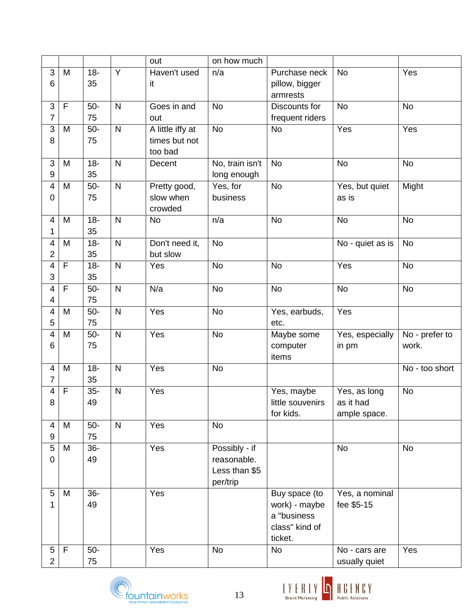| $\overline{Y}$<br>3<br>Haven't used<br>Yes<br>$18 -$<br><b>No</b><br>M<br>n/a<br>Purchase neck<br>6<br>35<br>pillow, bigger<br>it<br>armrests<br><b>No</b><br>3<br>F<br>$50-$<br>$\mathsf{N}$<br><b>No</b><br><b>No</b><br>Goes in and<br>Discounts for<br>7<br>75<br>frequent riders<br>out<br>A little iffy at<br>${\sf N}$<br>Yes<br>$50-$<br><b>No</b><br>Yes<br>3<br>M<br><b>No</b><br>8<br>75<br>times but not<br>too bad<br>3<br>No, train isn't<br><b>No</b><br><b>No</b><br><b>No</b><br>$18 -$<br>$\mathsf{N}$<br>M<br>Decent<br>35<br>$9\,$<br>long enough<br>$50-$<br>$\mathsf{N}$<br>Yes, for<br>Might<br>Pretty good,<br><b>No</b><br>Yes, but quiet<br>4<br>M<br>75<br>slow when<br>business<br>$\mathbf 0$<br>as is<br>crowded<br>${\sf N}$<br>$18 -$<br><b>No</b><br><b>No</b><br><b>No</b><br>4<br>M<br><b>No</b><br>n/a<br>35<br>1<br>$18 -$<br>$\mathsf{N}$<br>Don't need it,<br><b>No</b><br>No - quiet as is<br><b>No</b><br>4<br>M<br>35<br>2<br>but slow<br>$\overline{\mathbf{4}}$<br>$18 -$<br>$\mathsf{N}$<br>Yes<br><b>No</b><br><b>No</b><br>Yes<br><b>No</b><br>F<br>3<br>35<br>$50-$<br>${\sf N}$<br>N/a<br><b>No</b><br><b>No</b><br><b>No</b><br>4<br>F<br><b>No</b><br>75<br>4<br>Yes<br>$50-$<br>$\mathsf{N}$<br>Yes<br><b>No</b><br>Yes, earbuds,<br>4<br>M<br>5<br>75<br>etc.<br>$\mathsf{N}$<br>Yes<br><b>No</b><br>No - prefer to<br>$50-$<br>Yes, especially<br>4<br>M<br>Maybe some<br>75<br>6<br>computer<br>work.<br>in pm<br>items<br>$\mathsf{N}$<br>$18 -$<br>Yes<br><b>No</b><br>$\overline{\mathcal{A}}$<br>M<br>No - too short<br>7<br>35<br>$35-$<br>$\mathsf{N}$<br><b>No</b><br>4<br>F<br>Yes<br>Yes, maybe<br>Yes, as long<br>little souvenirs<br>as it had<br>49<br>8<br>for kids.<br>ample space.<br>$\mathsf{N}$<br>$50-$<br>M<br>Yes<br><b>No</b><br>4<br>9<br>75<br>Possibly - if<br>5<br>$36-$<br>Yes<br><b>No</b><br><b>No</b><br>M<br>$\pmb{0}$<br>49<br>reasonable.<br>Less than \$5<br>per/trip<br>$36-$<br>Yes<br>5<br>M<br>Buy space (to<br>Yes, a nominal<br>1<br>49<br>work) - maybe<br>fee \$5-15<br>a "business<br>class" kind of<br>ticket.<br>$\mathsf F$<br>Yes<br>$5\overline{)}$<br>$50-$<br>Yes<br><b>No</b><br><b>No</b><br>No - cars are<br>$\overline{2}$<br>75<br>usually quiet |  |  | out | on how much |  |  |
|----------------------------------------------------------------------------------------------------------------------------------------------------------------------------------------------------------------------------------------------------------------------------------------------------------------------------------------------------------------------------------------------------------------------------------------------------------------------------------------------------------------------------------------------------------------------------------------------------------------------------------------------------------------------------------------------------------------------------------------------------------------------------------------------------------------------------------------------------------------------------------------------------------------------------------------------------------------------------------------------------------------------------------------------------------------------------------------------------------------------------------------------------------------------------------------------------------------------------------------------------------------------------------------------------------------------------------------------------------------------------------------------------------------------------------------------------------------------------------------------------------------------------------------------------------------------------------------------------------------------------------------------------------------------------------------------------------------------------------------------------------------------------------------------------------------------------------------------------------------------------------------------------------------------------------------------------------------------------------------------------------------------------------------------------------------------------------------------------------------------------------------------------------------------------------------------------------------------------------------------------------------|--|--|-----|-------------|--|--|
|                                                                                                                                                                                                                                                                                                                                                                                                                                                                                                                                                                                                                                                                                                                                                                                                                                                                                                                                                                                                                                                                                                                                                                                                                                                                                                                                                                                                                                                                                                                                                                                                                                                                                                                                                                                                                                                                                                                                                                                                                                                                                                                                                                                                                                                                |  |  |     |             |  |  |
|                                                                                                                                                                                                                                                                                                                                                                                                                                                                                                                                                                                                                                                                                                                                                                                                                                                                                                                                                                                                                                                                                                                                                                                                                                                                                                                                                                                                                                                                                                                                                                                                                                                                                                                                                                                                                                                                                                                                                                                                                                                                                                                                                                                                                                                                |  |  |     |             |  |  |
|                                                                                                                                                                                                                                                                                                                                                                                                                                                                                                                                                                                                                                                                                                                                                                                                                                                                                                                                                                                                                                                                                                                                                                                                                                                                                                                                                                                                                                                                                                                                                                                                                                                                                                                                                                                                                                                                                                                                                                                                                                                                                                                                                                                                                                                                |  |  |     |             |  |  |
|                                                                                                                                                                                                                                                                                                                                                                                                                                                                                                                                                                                                                                                                                                                                                                                                                                                                                                                                                                                                                                                                                                                                                                                                                                                                                                                                                                                                                                                                                                                                                                                                                                                                                                                                                                                                                                                                                                                                                                                                                                                                                                                                                                                                                                                                |  |  |     |             |  |  |
|                                                                                                                                                                                                                                                                                                                                                                                                                                                                                                                                                                                                                                                                                                                                                                                                                                                                                                                                                                                                                                                                                                                                                                                                                                                                                                                                                                                                                                                                                                                                                                                                                                                                                                                                                                                                                                                                                                                                                                                                                                                                                                                                                                                                                                                                |  |  |     |             |  |  |
|                                                                                                                                                                                                                                                                                                                                                                                                                                                                                                                                                                                                                                                                                                                                                                                                                                                                                                                                                                                                                                                                                                                                                                                                                                                                                                                                                                                                                                                                                                                                                                                                                                                                                                                                                                                                                                                                                                                                                                                                                                                                                                                                                                                                                                                                |  |  |     |             |  |  |
|                                                                                                                                                                                                                                                                                                                                                                                                                                                                                                                                                                                                                                                                                                                                                                                                                                                                                                                                                                                                                                                                                                                                                                                                                                                                                                                                                                                                                                                                                                                                                                                                                                                                                                                                                                                                                                                                                                                                                                                                                                                                                                                                                                                                                                                                |  |  |     |             |  |  |
|                                                                                                                                                                                                                                                                                                                                                                                                                                                                                                                                                                                                                                                                                                                                                                                                                                                                                                                                                                                                                                                                                                                                                                                                                                                                                                                                                                                                                                                                                                                                                                                                                                                                                                                                                                                                                                                                                                                                                                                                                                                                                                                                                                                                                                                                |  |  |     |             |  |  |
|                                                                                                                                                                                                                                                                                                                                                                                                                                                                                                                                                                                                                                                                                                                                                                                                                                                                                                                                                                                                                                                                                                                                                                                                                                                                                                                                                                                                                                                                                                                                                                                                                                                                                                                                                                                                                                                                                                                                                                                                                                                                                                                                                                                                                                                                |  |  |     |             |  |  |
|                                                                                                                                                                                                                                                                                                                                                                                                                                                                                                                                                                                                                                                                                                                                                                                                                                                                                                                                                                                                                                                                                                                                                                                                                                                                                                                                                                                                                                                                                                                                                                                                                                                                                                                                                                                                                                                                                                                                                                                                                                                                                                                                                                                                                                                                |  |  |     |             |  |  |
|                                                                                                                                                                                                                                                                                                                                                                                                                                                                                                                                                                                                                                                                                                                                                                                                                                                                                                                                                                                                                                                                                                                                                                                                                                                                                                                                                                                                                                                                                                                                                                                                                                                                                                                                                                                                                                                                                                                                                                                                                                                                                                                                                                                                                                                                |  |  |     |             |  |  |
|                                                                                                                                                                                                                                                                                                                                                                                                                                                                                                                                                                                                                                                                                                                                                                                                                                                                                                                                                                                                                                                                                                                                                                                                                                                                                                                                                                                                                                                                                                                                                                                                                                                                                                                                                                                                                                                                                                                                                                                                                                                                                                                                                                                                                                                                |  |  |     |             |  |  |
|                                                                                                                                                                                                                                                                                                                                                                                                                                                                                                                                                                                                                                                                                                                                                                                                                                                                                                                                                                                                                                                                                                                                                                                                                                                                                                                                                                                                                                                                                                                                                                                                                                                                                                                                                                                                                                                                                                                                                                                                                                                                                                                                                                                                                                                                |  |  |     |             |  |  |
|                                                                                                                                                                                                                                                                                                                                                                                                                                                                                                                                                                                                                                                                                                                                                                                                                                                                                                                                                                                                                                                                                                                                                                                                                                                                                                                                                                                                                                                                                                                                                                                                                                                                                                                                                                                                                                                                                                                                                                                                                                                                                                                                                                                                                                                                |  |  |     |             |  |  |
|                                                                                                                                                                                                                                                                                                                                                                                                                                                                                                                                                                                                                                                                                                                                                                                                                                                                                                                                                                                                                                                                                                                                                                                                                                                                                                                                                                                                                                                                                                                                                                                                                                                                                                                                                                                                                                                                                                                                                                                                                                                                                                                                                                                                                                                                |  |  |     |             |  |  |
|                                                                                                                                                                                                                                                                                                                                                                                                                                                                                                                                                                                                                                                                                                                                                                                                                                                                                                                                                                                                                                                                                                                                                                                                                                                                                                                                                                                                                                                                                                                                                                                                                                                                                                                                                                                                                                                                                                                                                                                                                                                                                                                                                                                                                                                                |  |  |     |             |  |  |
|                                                                                                                                                                                                                                                                                                                                                                                                                                                                                                                                                                                                                                                                                                                                                                                                                                                                                                                                                                                                                                                                                                                                                                                                                                                                                                                                                                                                                                                                                                                                                                                                                                                                                                                                                                                                                                                                                                                                                                                                                                                                                                                                                                                                                                                                |  |  |     |             |  |  |
|                                                                                                                                                                                                                                                                                                                                                                                                                                                                                                                                                                                                                                                                                                                                                                                                                                                                                                                                                                                                                                                                                                                                                                                                                                                                                                                                                                                                                                                                                                                                                                                                                                                                                                                                                                                                                                                                                                                                                                                                                                                                                                                                                                                                                                                                |  |  |     |             |  |  |
|                                                                                                                                                                                                                                                                                                                                                                                                                                                                                                                                                                                                                                                                                                                                                                                                                                                                                                                                                                                                                                                                                                                                                                                                                                                                                                                                                                                                                                                                                                                                                                                                                                                                                                                                                                                                                                                                                                                                                                                                                                                                                                                                                                                                                                                                |  |  |     |             |  |  |
|                                                                                                                                                                                                                                                                                                                                                                                                                                                                                                                                                                                                                                                                                                                                                                                                                                                                                                                                                                                                                                                                                                                                                                                                                                                                                                                                                                                                                                                                                                                                                                                                                                                                                                                                                                                                                                                                                                                                                                                                                                                                                                                                                                                                                                                                |  |  |     |             |  |  |
|                                                                                                                                                                                                                                                                                                                                                                                                                                                                                                                                                                                                                                                                                                                                                                                                                                                                                                                                                                                                                                                                                                                                                                                                                                                                                                                                                                                                                                                                                                                                                                                                                                                                                                                                                                                                                                                                                                                                                                                                                                                                                                                                                                                                                                                                |  |  |     |             |  |  |
|                                                                                                                                                                                                                                                                                                                                                                                                                                                                                                                                                                                                                                                                                                                                                                                                                                                                                                                                                                                                                                                                                                                                                                                                                                                                                                                                                                                                                                                                                                                                                                                                                                                                                                                                                                                                                                                                                                                                                                                                                                                                                                                                                                                                                                                                |  |  |     |             |  |  |
|                                                                                                                                                                                                                                                                                                                                                                                                                                                                                                                                                                                                                                                                                                                                                                                                                                                                                                                                                                                                                                                                                                                                                                                                                                                                                                                                                                                                                                                                                                                                                                                                                                                                                                                                                                                                                                                                                                                                                                                                                                                                                                                                                                                                                                                                |  |  |     |             |  |  |
|                                                                                                                                                                                                                                                                                                                                                                                                                                                                                                                                                                                                                                                                                                                                                                                                                                                                                                                                                                                                                                                                                                                                                                                                                                                                                                                                                                                                                                                                                                                                                                                                                                                                                                                                                                                                                                                                                                                                                                                                                                                                                                                                                                                                                                                                |  |  |     |             |  |  |
|                                                                                                                                                                                                                                                                                                                                                                                                                                                                                                                                                                                                                                                                                                                                                                                                                                                                                                                                                                                                                                                                                                                                                                                                                                                                                                                                                                                                                                                                                                                                                                                                                                                                                                                                                                                                                                                                                                                                                                                                                                                                                                                                                                                                                                                                |  |  |     |             |  |  |
|                                                                                                                                                                                                                                                                                                                                                                                                                                                                                                                                                                                                                                                                                                                                                                                                                                                                                                                                                                                                                                                                                                                                                                                                                                                                                                                                                                                                                                                                                                                                                                                                                                                                                                                                                                                                                                                                                                                                                                                                                                                                                                                                                                                                                                                                |  |  |     |             |  |  |
|                                                                                                                                                                                                                                                                                                                                                                                                                                                                                                                                                                                                                                                                                                                                                                                                                                                                                                                                                                                                                                                                                                                                                                                                                                                                                                                                                                                                                                                                                                                                                                                                                                                                                                                                                                                                                                                                                                                                                                                                                                                                                                                                                                                                                                                                |  |  |     |             |  |  |
|                                                                                                                                                                                                                                                                                                                                                                                                                                                                                                                                                                                                                                                                                                                                                                                                                                                                                                                                                                                                                                                                                                                                                                                                                                                                                                                                                                                                                                                                                                                                                                                                                                                                                                                                                                                                                                                                                                                                                                                                                                                                                                                                                                                                                                                                |  |  |     |             |  |  |
|                                                                                                                                                                                                                                                                                                                                                                                                                                                                                                                                                                                                                                                                                                                                                                                                                                                                                                                                                                                                                                                                                                                                                                                                                                                                                                                                                                                                                                                                                                                                                                                                                                                                                                                                                                                                                                                                                                                                                                                                                                                                                                                                                                                                                                                                |  |  |     |             |  |  |
|                                                                                                                                                                                                                                                                                                                                                                                                                                                                                                                                                                                                                                                                                                                                                                                                                                                                                                                                                                                                                                                                                                                                                                                                                                                                                                                                                                                                                                                                                                                                                                                                                                                                                                                                                                                                                                                                                                                                                                                                                                                                                                                                                                                                                                                                |  |  |     |             |  |  |
|                                                                                                                                                                                                                                                                                                                                                                                                                                                                                                                                                                                                                                                                                                                                                                                                                                                                                                                                                                                                                                                                                                                                                                                                                                                                                                                                                                                                                                                                                                                                                                                                                                                                                                                                                                                                                                                                                                                                                                                                                                                                                                                                                                                                                                                                |  |  |     |             |  |  |
|                                                                                                                                                                                                                                                                                                                                                                                                                                                                                                                                                                                                                                                                                                                                                                                                                                                                                                                                                                                                                                                                                                                                                                                                                                                                                                                                                                                                                                                                                                                                                                                                                                                                                                                                                                                                                                                                                                                                                                                                                                                                                                                                                                                                                                                                |  |  |     |             |  |  |
|                                                                                                                                                                                                                                                                                                                                                                                                                                                                                                                                                                                                                                                                                                                                                                                                                                                                                                                                                                                                                                                                                                                                                                                                                                                                                                                                                                                                                                                                                                                                                                                                                                                                                                                                                                                                                                                                                                                                                                                                                                                                                                                                                                                                                                                                |  |  |     |             |  |  |
|                                                                                                                                                                                                                                                                                                                                                                                                                                                                                                                                                                                                                                                                                                                                                                                                                                                                                                                                                                                                                                                                                                                                                                                                                                                                                                                                                                                                                                                                                                                                                                                                                                                                                                                                                                                                                                                                                                                                                                                                                                                                                                                                                                                                                                                                |  |  |     |             |  |  |
|                                                                                                                                                                                                                                                                                                                                                                                                                                                                                                                                                                                                                                                                                                                                                                                                                                                                                                                                                                                                                                                                                                                                                                                                                                                                                                                                                                                                                                                                                                                                                                                                                                                                                                                                                                                                                                                                                                                                                                                                                                                                                                                                                                                                                                                                |  |  |     |             |  |  |
|                                                                                                                                                                                                                                                                                                                                                                                                                                                                                                                                                                                                                                                                                                                                                                                                                                                                                                                                                                                                                                                                                                                                                                                                                                                                                                                                                                                                                                                                                                                                                                                                                                                                                                                                                                                                                                                                                                                                                                                                                                                                                                                                                                                                                                                                |  |  |     |             |  |  |
|                                                                                                                                                                                                                                                                                                                                                                                                                                                                                                                                                                                                                                                                                                                                                                                                                                                                                                                                                                                                                                                                                                                                                                                                                                                                                                                                                                                                                                                                                                                                                                                                                                                                                                                                                                                                                                                                                                                                                                                                                                                                                                                                                                                                                                                                |  |  |     |             |  |  |
|                                                                                                                                                                                                                                                                                                                                                                                                                                                                                                                                                                                                                                                                                                                                                                                                                                                                                                                                                                                                                                                                                                                                                                                                                                                                                                                                                                                                                                                                                                                                                                                                                                                                                                                                                                                                                                                                                                                                                                                                                                                                                                                                                                                                                                                                |  |  |     |             |  |  |
|                                                                                                                                                                                                                                                                                                                                                                                                                                                                                                                                                                                                                                                                                                                                                                                                                                                                                                                                                                                                                                                                                                                                                                                                                                                                                                                                                                                                                                                                                                                                                                                                                                                                                                                                                                                                                                                                                                                                                                                                                                                                                                                                                                                                                                                                |  |  |     |             |  |  |
|                                                                                                                                                                                                                                                                                                                                                                                                                                                                                                                                                                                                                                                                                                                                                                                                                                                                                                                                                                                                                                                                                                                                                                                                                                                                                                                                                                                                                                                                                                                                                                                                                                                                                                                                                                                                                                                                                                                                                                                                                                                                                                                                                                                                                                                                |  |  |     |             |  |  |
|                                                                                                                                                                                                                                                                                                                                                                                                                                                                                                                                                                                                                                                                                                                                                                                                                                                                                                                                                                                                                                                                                                                                                                                                                                                                                                                                                                                                                                                                                                                                                                                                                                                                                                                                                                                                                                                                                                                                                                                                                                                                                                                                                                                                                                                                |  |  |     |             |  |  |
|                                                                                                                                                                                                                                                                                                                                                                                                                                                                                                                                                                                                                                                                                                                                                                                                                                                                                                                                                                                                                                                                                                                                                                                                                                                                                                                                                                                                                                                                                                                                                                                                                                                                                                                                                                                                                                                                                                                                                                                                                                                                                                                                                                                                                                                                |  |  |     |             |  |  |
|                                                                                                                                                                                                                                                                                                                                                                                                                                                                                                                                                                                                                                                                                                                                                                                                                                                                                                                                                                                                                                                                                                                                                                                                                                                                                                                                                                                                                                                                                                                                                                                                                                                                                                                                                                                                                                                                                                                                                                                                                                                                                                                                                                                                                                                                |  |  |     |             |  |  |
|                                                                                                                                                                                                                                                                                                                                                                                                                                                                                                                                                                                                                                                                                                                                                                                                                                                                                                                                                                                                                                                                                                                                                                                                                                                                                                                                                                                                                                                                                                                                                                                                                                                                                                                                                                                                                                                                                                                                                                                                                                                                                                                                                                                                                                                                |  |  |     |             |  |  |



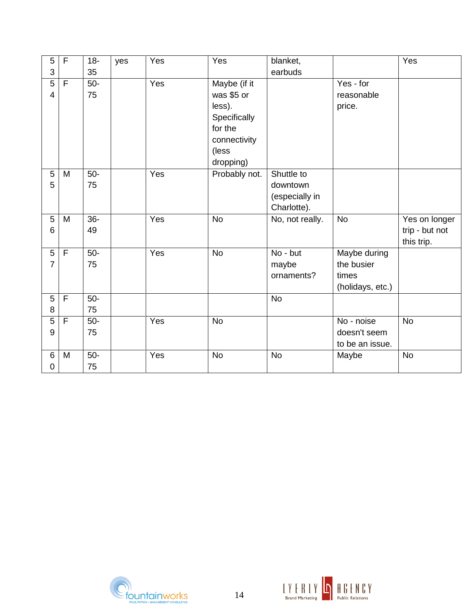| $\overline{5}$   | $\mathsf{F}$ | $18 -$ | yes | Yes | Yes           | blanket,        |                  | Yes            |
|------------------|--------------|--------|-----|-----|---------------|-----------------|------------------|----------------|
| 3                |              | 35     |     |     |               | earbuds         |                  |                |
| 5                | $\mathsf F$  | $50-$  |     | Yes | Maybe (if it  |                 | Yes - for        |                |
| $\overline{4}$   |              | 75     |     |     | was \$5 or    |                 | reasonable       |                |
|                  |              |        |     |     | less).        |                 | price.           |                |
|                  |              |        |     |     | Specifically  |                 |                  |                |
|                  |              |        |     |     | for the       |                 |                  |                |
|                  |              |        |     |     | connectivity  |                 |                  |                |
|                  |              |        |     |     | (less         |                 |                  |                |
|                  |              |        |     |     | dropping)     |                 |                  |                |
| 5                | M            | $50-$  |     | Yes | Probably not. | Shuttle to      |                  |                |
| 5                |              | 75     |     |     |               | downtown        |                  |                |
|                  |              |        |     |     |               | (especially in  |                  |                |
|                  |              |        |     |     |               | Charlotte).     |                  |                |
| 5                | M            | $36-$  |     | Yes | <b>No</b>     | No, not really. | <b>No</b>        | Yes on longer  |
| 6                |              | 49     |     |     |               |                 |                  | trip - but not |
|                  |              |        |     |     |               |                 |                  | this trip.     |
| 5                | $\mathsf F$  | $50-$  |     | Yes | <b>No</b>     | No - but        | Maybe during     |                |
| $\overline{7}$   |              | 75     |     |     |               | maybe           | the busier       |                |
|                  |              |        |     |     |               | ornaments?      | times            |                |
|                  |              |        |     |     |               |                 | (holidays, etc.) |                |
| 5                | $\mathsf{F}$ | $50-$  |     |     |               | <b>No</b>       |                  |                |
| 8                |              | 75     |     |     |               |                 |                  |                |
| 5                | F            | $50-$  |     | Yes | <b>No</b>     |                 | No - noise       | <b>No</b>      |
| $\boldsymbol{9}$ |              | 75     |     |     |               |                 | doesn't seem     |                |
|                  |              |        |     |     |               |                 | to be an issue.  |                |
| 6                | M            | $50-$  |     | Yes | <b>No</b>     | <b>No</b>       | Maybe            | <b>No</b>      |
| 0                |              | 75     |     |     |               |                 |                  |                |



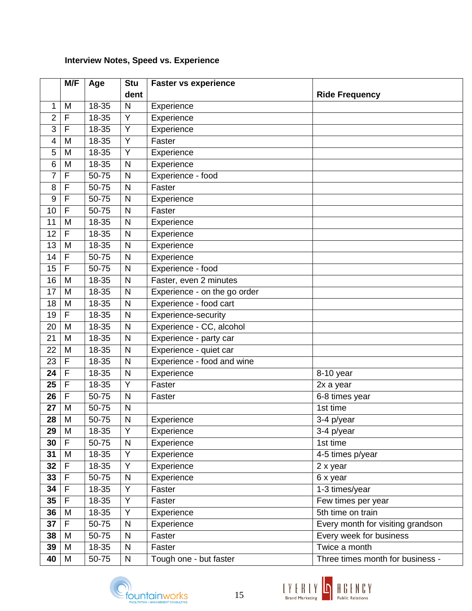# **Interview Notes, Speed vs. Experience**

|                 | M/F          | Age   | <b>Stu</b>   | <b>Faster vs experience</b>  |                                   |
|-----------------|--------------|-------|--------------|------------------------------|-----------------------------------|
|                 |              |       | dent         |                              | <b>Ride Frequency</b>             |
| 1               | M            | 18-35 | $\mathsf{N}$ | Experience                   |                                   |
| $\overline{2}$  | F            | 18-35 | Y            | Experience                   |                                   |
| 3               | F            | 18-35 | Y            | Experience                   |                                   |
| 4               | M            | 18-35 | Y            | Faster                       |                                   |
| 5               | M            | 18-35 | Y            | Experience                   |                                   |
| 6               | M            | 18-35 | $\mathsf{N}$ | Experience                   |                                   |
| $\overline{7}$  | F            | 50-75 | ${\sf N}$    | Experience - food            |                                   |
| 8               | F            | 50-75 | $\mathsf{N}$ | Faster                       |                                   |
| 9               | F            | 50-75 | ${\sf N}$    | Experience                   |                                   |
| 10              | F            | 50-75 | N            | Faster                       |                                   |
| 11              | M            | 18-35 | ${\sf N}$    | Experience                   |                                   |
| 12              | F            | 18-35 | $\mathsf{N}$ | Experience                   |                                   |
| 13              | M            | 18-35 | ${\sf N}$    | Experience                   |                                   |
| 14              | F            | 50-75 | $\mathsf{N}$ | Experience                   |                                   |
| 15              | F            | 50-75 | ${\sf N}$    | Experience - food            |                                   |
| 16              | M            | 18-35 | $\mathsf{N}$ | Faster, even 2 minutes       |                                   |
| 17              | M            | 18-35 | ${\sf N}$    | Experience - on the go order |                                   |
| 18              | M            | 18-35 | $\mathsf{N}$ | Experience - food cart       |                                   |
| 19              | F            | 18-35 | ${\sf N}$    | Experience-security          |                                   |
| 20              | M            | 18-35 | N            | Experience - CC, alcohol     |                                   |
| 21              | M            | 18-35 | $\mathsf{N}$ | Experience - party car       |                                   |
| 22              | M            | 18-35 | N            | Experience - quiet car       |                                   |
| 23              | F            | 18-35 | $\mathsf{N}$ | Experience - food and wine   |                                   |
| 24              | F            | 18-35 | N            | Experience                   | 8-10 year                         |
| 25              | F            | 18-35 | Y            | Faster                       | 2x a year                         |
| 26              | F            | 50-75 | $\mathsf{N}$ | Faster                       | $6-8$ times year                  |
| 27              | M            | 50-75 | $\mathsf{N}$ |                              | 1st time                          |
| 28              | M            | 50-75 | N            | Experience                   | 3-4 p/year                        |
| 29              | M            | 18-35 | Y            | Experience                   | 3-4 p/year                        |
| 30              | F            | 50-75 | N            | Experience                   | 1st time                          |
| 31              | M            | 18-35 | Υ            | Experience                   | 4-5 times p/year                  |
| 32 <sub>2</sub> | F            | 18-35 | Υ            | Experience                   | 2 x year                          |
| 33              | $\mathsf{F}$ | 50-75 | ${\sf N}$    | Experience                   | 6 x year                          |
| 34              | F            | 18-35 | Υ            | Faster                       | 1-3 times/year                    |
| 35              | F            | 18-35 | Y            | Faster                       | Few times per year                |
| 36              | M            | 18-35 | Y            | Experience                   | 5th time on train                 |
| 37              | $\mathsf F$  | 50-75 | ${\sf N}$    | Experience                   | Every month for visiting grandson |
| 38              | M            | 50-75 | N            | Faster                       | Every week for business           |
| 39              | M            | 18-35 | N            | Faster                       | Twice a month                     |
| 40              | M            | 50-75 | N            | Tough one - but faster       | Three times month for business -  |



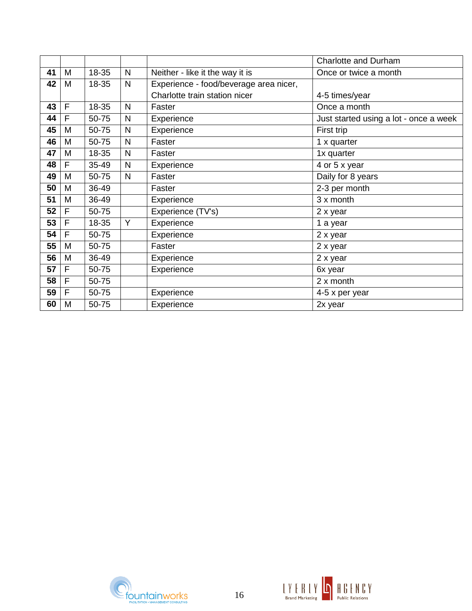|    |              |       |              |                                        | <b>Charlotte and Durham</b>            |
|----|--------------|-------|--------------|----------------------------------------|----------------------------------------|
| 41 | M            | 18-35 | N            | Neither - like it the way it is        | Once or twice a month                  |
| 42 | M            | 18-35 | $\mathsf{N}$ | Experience - food/beverage area nicer, |                                        |
|    |              |       |              | Charlotte train station nicer          | 4-5 times/year                         |
| 43 | $\mathsf{F}$ | 18-35 | N            | Faster                                 | Once a month                           |
| 44 | F            | 50-75 | N            | Experience                             | Just started using a lot - once a week |
| 45 | M            | 50-75 | $\mathsf{N}$ | Experience                             | First trip                             |
| 46 | M            | 50-75 | N            | Faster                                 | 1 x quarter                            |
| 47 | M            | 18-35 | N            | Faster                                 | 1x quarter                             |
| 48 | F            | 35-49 | N            | Experience                             | 4 or 5 x year                          |
| 49 | M            | 50-75 | N            | Faster                                 | Daily for 8 years                      |
| 50 | M            | 36-49 |              | Faster                                 | 2-3 per month                          |
| 51 | M            | 36-49 |              | Experience                             | 3 x month                              |
| 52 | F            | 50-75 |              | Experience (TV's)                      | 2 x year                               |
| 53 | F            | 18-35 | Y            | Experience                             | 1 a year                               |
| 54 | F            | 50-75 |              | Experience                             | 2 x year                               |
| 55 | M            | 50-75 |              | Faster                                 | 2 x year                               |
| 56 | M            | 36-49 |              | Experience                             | 2 x year                               |
| 57 | F            | 50-75 |              | Experience                             | 6x year                                |
| 58 | F            | 50-75 |              |                                        | 2 x month                              |
| 59 | F            | 50-75 |              | Experience                             | 4-5 x per year                         |
| 60 | M            | 50-75 |              | Experience                             | 2x year                                |



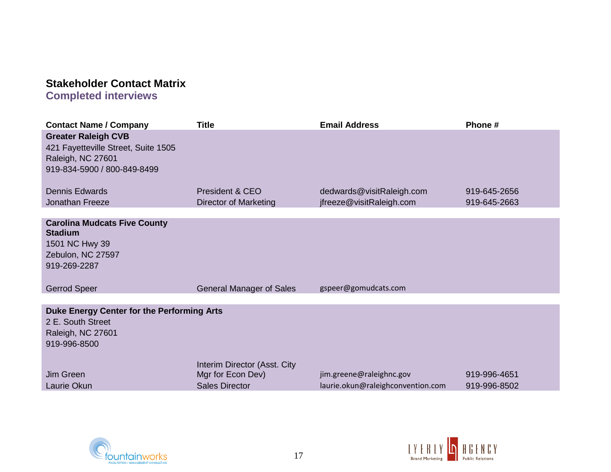# **Stakeholder Contact Matrix**

**Completed interviews**

| <b>Contact Name / Company</b>                                                                                         | <b>Title</b>                                                               | <b>Email Address</b>                                          | Phone #                      |
|-----------------------------------------------------------------------------------------------------------------------|----------------------------------------------------------------------------|---------------------------------------------------------------|------------------------------|
| <b>Greater Raleigh CVB</b><br>421 Fayetteville Street, Suite 1505<br>Raleigh, NC 27601<br>919-834-5900 / 800-849-8499 |                                                                            |                                                               |                              |
| <b>Dennis Edwards</b>                                                                                                 | President & CEO                                                            | dedwards@visitRaleigh.com                                     | 919-645-2656                 |
| Jonathan Freeze                                                                                                       | <b>Director of Marketing</b>                                               | jfreeze@visitRaleigh.com                                      | 919-645-2663                 |
| <b>Carolina Mudcats Five County</b><br><b>Stadium</b><br>1501 NC Hwy 39<br>Zebulon, NC 27597<br>919-269-2287          |                                                                            |                                                               |                              |
| <b>Gerrod Speer</b>                                                                                                   | <b>General Manager of Sales</b>                                            | gspeer@gomudcats.com                                          |                              |
|                                                                                                                       |                                                                            |                                                               |                              |
| Duke Energy Center for the Performing Arts<br>2 E. South Street<br>Raleigh, NC 27601<br>919-996-8500                  |                                                                            |                                                               |                              |
| Jim Green<br>Laurie Okun                                                                                              | Interim Director (Asst. City<br>Mgr for Econ Dev)<br><b>Sales Director</b> | jim.greene@raleighnc.gov<br>laurie.okun@raleighconvention.com | 919-996-4651<br>919-996-8502 |



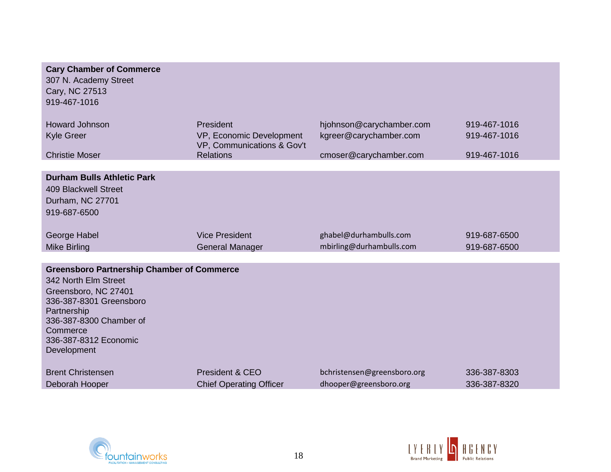| <b>Cary Chamber of Commerce</b><br>307 N. Academy Street<br>Cary, NC 27513<br>919-467-1016                                                                                                                                 |                                                                                         |                                                                              |                                              |
|----------------------------------------------------------------------------------------------------------------------------------------------------------------------------------------------------------------------------|-----------------------------------------------------------------------------------------|------------------------------------------------------------------------------|----------------------------------------------|
| <b>Howard Johnson</b><br>Kyle Greer<br><b>Christie Moser</b>                                                                                                                                                               | President<br>VP, Economic Development<br>VP, Communications & Gov't<br><b>Relations</b> | hjohnson@carychamber.com<br>kgreer@carychamber.com<br>cmoser@carychamber.com | 919-467-1016<br>919-467-1016<br>919-467-1016 |
|                                                                                                                                                                                                                            |                                                                                         |                                                                              |                                              |
| <b>Durham Bulls Athletic Park</b><br><b>409 Blackwell Street</b><br>Durham, NC 27701<br>919-687-6500                                                                                                                       |                                                                                         |                                                                              |                                              |
| George Habel<br><b>Mike Birling</b>                                                                                                                                                                                        | <b>Vice President</b><br><b>General Manager</b>                                         | ghabel@durhambulls.com<br>mbirling@durhambulls.com                           | 919-687-6500<br>919-687-6500                 |
| <b>Greensboro Partnership Chamber of Commerce</b><br>342 North Elm Street<br>Greensboro, NC 27401<br>336-387-8301 Greensboro<br>Partnership<br>336-387-8300 Chamber of<br>Commerce<br>336-387-8312 Economic<br>Development |                                                                                         |                                                                              |                                              |
| <b>Brent Christensen</b>                                                                                                                                                                                                   | President & CEO                                                                         | bchristensen@greensboro.org                                                  | 336-387-8303<br>336-387-8320                 |
| Deborah Hooper                                                                                                                                                                                                             | <b>Chief Operating Officer</b>                                                          | dhooper@greensboro.org                                                       |                                              |



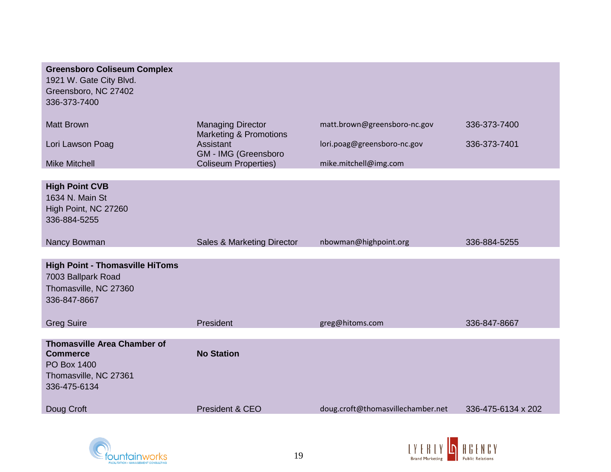| <b>Matt Brown</b><br><b>Managing Director</b><br>matt.brown@greensboro-nc.gov<br>336-373-7400<br><b>Marketing &amp; Promotions</b><br>Assistant<br>lori.poag@greensboro-nc.gov<br>Lori Lawson Poag<br>336-373-7401<br>GM - IMG (Greensboro<br><b>Coliseum Properties)</b><br><b>Mike Mitchell</b><br>mike.mitchell@img.com<br><b>High Point CVB</b><br>1634 N. Main St<br>High Point, NC 27260<br>336-884-5255<br>Nancy Bowman<br>Sales & Marketing Director<br>nbowman@highpoint.org<br>336-884-5255<br><b>High Point - Thomasville HiToms</b><br>7003 Ballpark Road<br>Thomasville, NC 27360<br>336-847-8667 | <b>Greensboro Coliseum Complex</b><br>1921 W. Gate City Blvd.<br>Greensboro, NC 27402<br>336-373-7400 |  |  |
|----------------------------------------------------------------------------------------------------------------------------------------------------------------------------------------------------------------------------------------------------------------------------------------------------------------------------------------------------------------------------------------------------------------------------------------------------------------------------------------------------------------------------------------------------------------------------------------------------------------|-------------------------------------------------------------------------------------------------------|--|--|
|                                                                                                                                                                                                                                                                                                                                                                                                                                                                                                                                                                                                                |                                                                                                       |  |  |
|                                                                                                                                                                                                                                                                                                                                                                                                                                                                                                                                                                                                                |                                                                                                       |  |  |
|                                                                                                                                                                                                                                                                                                                                                                                                                                                                                                                                                                                                                |                                                                                                       |  |  |
|                                                                                                                                                                                                                                                                                                                                                                                                                                                                                                                                                                                                                |                                                                                                       |  |  |
|                                                                                                                                                                                                                                                                                                                                                                                                                                                                                                                                                                                                                |                                                                                                       |  |  |
|                                                                                                                                                                                                                                                                                                                                                                                                                                                                                                                                                                                                                |                                                                                                       |  |  |
| President<br><b>Greg Suire</b><br>336-847-8667<br>greg@hitoms.com                                                                                                                                                                                                                                                                                                                                                                                                                                                                                                                                              |                                                                                                       |  |  |
| <b>Thomasville Area Chamber of</b><br><b>No Station</b><br><b>Commerce</b><br>PO Box 1400<br>Thomasville, NC 27361<br>336-475-6134                                                                                                                                                                                                                                                                                                                                                                                                                                                                             |                                                                                                       |  |  |
| doug.croft@thomasvillechamber.net<br>Doug Croft<br>President & CEO<br>336-475-6134 x 202                                                                                                                                                                                                                                                                                                                                                                                                                                                                                                                       |                                                                                                       |  |  |



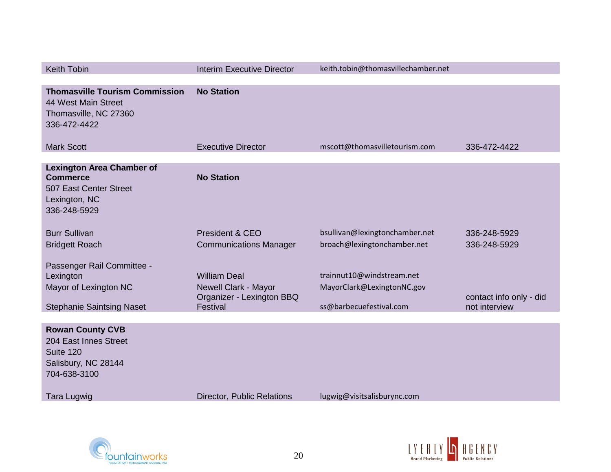| <b>Keith Tobin</b>                                                                                             | <b>Interim Executive Director</b>                                                    | keith.tobin@thomasvillechamber.net                                                 |                                          |
|----------------------------------------------------------------------------------------------------------------|--------------------------------------------------------------------------------------|------------------------------------------------------------------------------------|------------------------------------------|
| <b>Thomasville Tourism Commission</b><br>44 West Main Street<br>Thomasville, NC 27360<br>336-472-4422          | <b>No Station</b>                                                                    |                                                                                    |                                          |
| <b>Mark Scott</b>                                                                                              | <b>Executive Director</b>                                                            | mscott@thomasvilletourism.com                                                      | 336-472-4422                             |
| <b>Lexington Area Chamber of</b><br><b>Commerce</b><br>507 East Center Street<br>Lexington, NC<br>336-248-5929 | <b>No Station</b>                                                                    |                                                                                    |                                          |
| <b>Burr Sullivan</b><br><b>Bridgett Roach</b>                                                                  | President & CEO<br><b>Communications Manager</b>                                     | bsullivan@lexingtonchamber.net<br>broach@lexingtonchamber.net                      | 336-248-5929<br>336-248-5929             |
| Passenger Rail Committee -<br>Lexington<br>Mayor of Lexington NC<br><b>Stephanie Saintsing Naset</b>           | <b>William Deal</b><br>Newell Clark - Mayor<br>Organizer - Lexington BBQ<br>Festival | trainnut10@windstream.net<br>MayorClark@LexingtonNC.gov<br>ss@barbecuefestival.com | contact info only - did<br>not interview |
|                                                                                                                |                                                                                      |                                                                                    |                                          |
| <b>Rowan County CVB</b><br>204 East Innes Street<br>Suite 120<br>Salisbury, NC 28144<br>704-638-3100           |                                                                                      |                                                                                    |                                          |
| Tara Lugwig                                                                                                    | Director, Public Relations                                                           | lugwig@visitsalisburync.com                                                        |                                          |



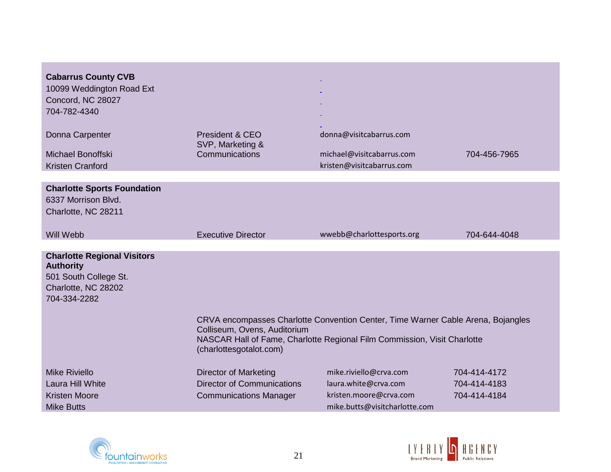| <b>Cabarrus County CVB</b><br>10099 Weddington Road Ext<br>Concord, NC 28027<br>704-782-4340                           |                                                                                                                                                                                                                         |                                                                                   |              |  |  |  |
|------------------------------------------------------------------------------------------------------------------------|-------------------------------------------------------------------------------------------------------------------------------------------------------------------------------------------------------------------------|-----------------------------------------------------------------------------------|--------------|--|--|--|
| Donna Carpenter<br>Michael Bonoffski<br><b>Kristen Cranford</b>                                                        | President & CEO<br>SVP, Marketing &<br>Communications                                                                                                                                                                   | donna@visitcabarrus.com<br>michael@visitcabarrus.com<br>kristen@visitcabarrus.com | 704-456-7965 |  |  |  |
|                                                                                                                        |                                                                                                                                                                                                                         |                                                                                   |              |  |  |  |
| <b>Charlotte Sports Foundation</b><br>6337 Morrison Blvd.<br>Charlotte, NC 28211                                       |                                                                                                                                                                                                                         |                                                                                   |              |  |  |  |
| Will Webb                                                                                                              | <b>Executive Director</b>                                                                                                                                                                                               | wwebb@charlottesports.org                                                         | 704-644-4048 |  |  |  |
|                                                                                                                        |                                                                                                                                                                                                                         |                                                                                   |              |  |  |  |
| <b>Charlotte Regional Visitors</b><br><b>Authority</b><br>501 South College St.<br>Charlotte, NC 28202<br>704-334-2282 |                                                                                                                                                                                                                         |                                                                                   |              |  |  |  |
|                                                                                                                        | CRVA encompasses Charlotte Convention Center, Time Warner Cable Arena, Bojangles<br>Colliseum, Ovens, Auditorium<br>NASCAR Hall of Fame, Charlotte Regional Film Commission, Visit Charlotte<br>(charlottesgotalot.com) |                                                                                   |              |  |  |  |
| <b>Mike Riviello</b>                                                                                                   | <b>Director of Marketing</b>                                                                                                                                                                                            | mike.riviello@crva.com                                                            | 704-414-4172 |  |  |  |
| Laura Hill White                                                                                                       | <b>Director of Communications</b>                                                                                                                                                                                       | laura.white@crva.com                                                              | 704-414-4183 |  |  |  |
| <b>Kristen Moore</b>                                                                                                   | <b>Communications Manager</b>                                                                                                                                                                                           | kristen.moore@crva.com                                                            | 704-414-4184 |  |  |  |
| <b>Mike Butts</b>                                                                                                      |                                                                                                                                                                                                                         | mike.butts@visitcharlotte.com                                                     |              |  |  |  |



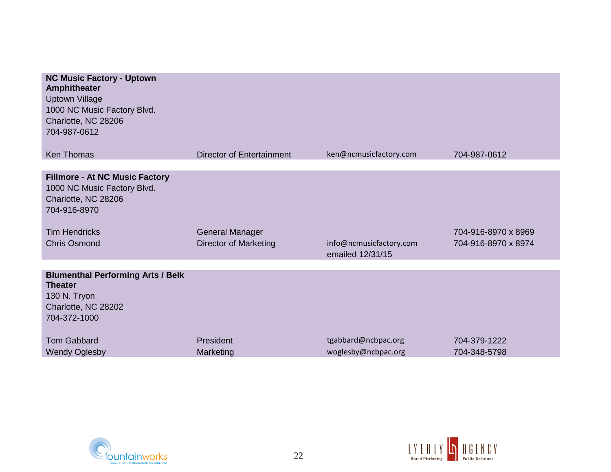| <b>NC Music Factory - Uptown</b><br><b>Amphitheater</b><br><b>Uptown Village</b><br>1000 NC Music Factory Blvd.<br>Charlotte, NC 28206<br>704-987-0612 |                                  |                                             |                     |
|--------------------------------------------------------------------------------------------------------------------------------------------------------|----------------------------------|---------------------------------------------|---------------------|
| <b>Ken Thomas</b>                                                                                                                                      | <b>Director of Entertainment</b> | ken@ncmusicfactory.com                      | 704-987-0612        |
| <b>Fillmore - At NC Music Factory</b><br>1000 NC Music Factory Blvd.<br>Charlotte, NC 28206<br>704-916-8970                                            |                                  |                                             |                     |
| <b>Tim Hendricks</b>                                                                                                                                   | <b>General Manager</b>           |                                             | 704-916-8970 x 8969 |
| <b>Chris Osmond</b>                                                                                                                                    | <b>Director of Marketing</b>     | info@ncmusicfactory.com<br>emailed 12/31/15 | 704-916-8970 x 8974 |
|                                                                                                                                                        |                                  |                                             |                     |
| <b>Blumenthal Performing Arts / Belk</b><br><b>Theater</b><br>130 N. Tryon<br>Charlotte, NC 28202<br>704-372-1000                                      |                                  |                                             |                     |
| <b>Tom Gabbard</b>                                                                                                                                     | President                        | tgabbard@ncbpac.org                         | 704-379-1222        |
| <b>Wendy Oglesby</b>                                                                                                                                   | Marketing                        | woglesby@ncbpac.org                         | 704-348-5798        |



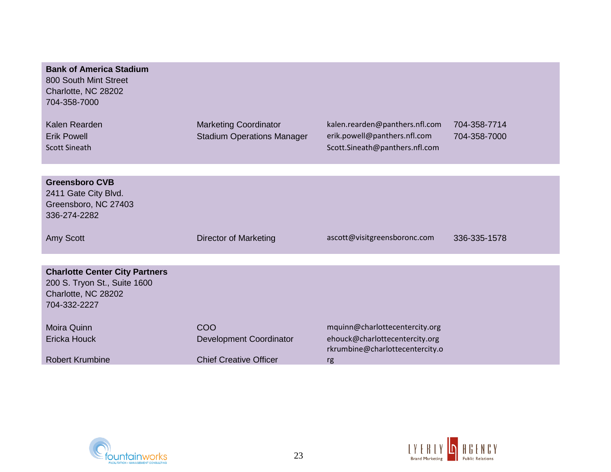| <b>Bank of America Stadium</b><br>800 South Mint Street<br>Charlotte, NC 28202<br>704-358-7000               |                                                                   |                                                                                                  |                              |
|--------------------------------------------------------------------------------------------------------------|-------------------------------------------------------------------|--------------------------------------------------------------------------------------------------|------------------------------|
| Kalen Rearden<br><b>Erik Powell</b><br><b>Scott Sineath</b>                                                  | <b>Marketing Coordinator</b><br><b>Stadium Operations Manager</b> | kalen.rearden@panthers.nfl.com<br>erik.powell@panthers.nfl.com<br>Scott.Sineath@panthers.nfl.com | 704-358-7714<br>704-358-7000 |
|                                                                                                              |                                                                   |                                                                                                  |                              |
| <b>Greensboro CVB</b><br>2411 Gate City Blvd.<br>Greensboro, NC 27403<br>336-274-2282                        |                                                                   |                                                                                                  |                              |
| Amy Scott                                                                                                    | Director of Marketing                                             | ascott@visitgreensboronc.com                                                                     | 336-335-1578                 |
|                                                                                                              |                                                                   |                                                                                                  |                              |
| <b>Charlotte Center City Partners</b><br>200 S. Tryon St., Suite 1600<br>Charlotte, NC 28202<br>704-332-2227 |                                                                   |                                                                                                  |                              |
| Moira Quinn                                                                                                  | COO                                                               | mquinn@charlottecentercity.org                                                                   |                              |
| <b>Ericka Houck</b>                                                                                          | <b>Development Coordinator</b>                                    | ehouck@charlottecentercity.org<br>rkrumbine@charlottecentercity.o                                |                              |
| <b>Robert Krumbine</b>                                                                                       | <b>Chief Creative Officer</b>                                     | rg                                                                                               |                              |



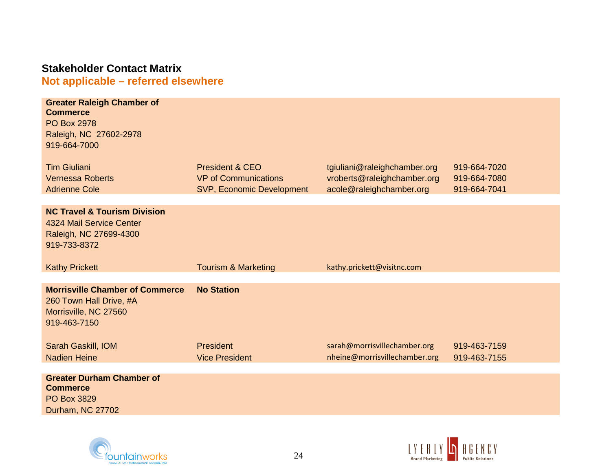# **Stakeholder Contact Matrix Not applicable – referred elsewhere**

| <b>Greater Raleigh Chamber of</b><br><b>Commerce</b><br><b>PO Box 2978</b><br>Raleigh, NC 27602-2978<br>919-664-7000 |                                  |                               |              |
|----------------------------------------------------------------------------------------------------------------------|----------------------------------|-------------------------------|--------------|
| <b>Tim Giuliani</b>                                                                                                  | <b>President &amp; CEO</b>       | tgiuliani@raleighchamber.org  | 919-664-7020 |
| <b>Vernessa Roberts</b>                                                                                              | <b>VP of Communications</b>      | vroberts@raleighchamber.org   | 919-664-7080 |
| <b>Adrienne Cole</b>                                                                                                 | <b>SVP, Economic Development</b> | acole@raleighchamber.org      | 919-664-7041 |
| <b>NC Travel &amp; Tourism Division</b><br>4324 Mail Service Center<br>Raleigh, NC 27699-4300<br>919-733-8372        |                                  |                               |              |
| <b>Kathy Prickett</b>                                                                                                | <b>Tourism &amp; Marketing</b>   | kathy.prickett@visitnc.com    |              |
| <b>Morrisville Chamber of Commerce</b><br>260 Town Hall Drive, #A<br>Morrisville, NC 27560<br>919-463-7150           | <b>No Station</b>                |                               |              |
| Sarah Gaskill, IOM                                                                                                   |                                  |                               |              |
|                                                                                                                      | President                        | sarah@morrisvillechamber.org  | 919-463-7159 |
| <b>Nadien Heine</b>                                                                                                  | <b>Vice President</b>            | nheine@morrisvillechamber.org | 919-463-7155 |



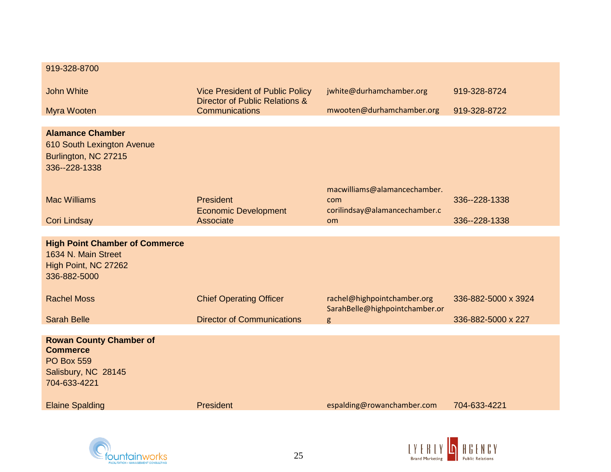| 919-328-8700                                                                                                  |                                                                          |                                                                      |                     |
|---------------------------------------------------------------------------------------------------------------|--------------------------------------------------------------------------|----------------------------------------------------------------------|---------------------|
| <b>John White</b>                                                                                             | <b>Vice President of Public Policy</b><br>Director of Public Relations & | jwhite@durhamchamber.org                                             | 919-328-8724        |
| Myra Wooten                                                                                                   | <b>Communications</b>                                                    | mwooten@durhamchamber.org                                            | 919-328-8722        |
| <b>Alamance Chamber</b><br>610 South Lexington Avenue<br>Burlington, NC 27215<br>336--228-1338                |                                                                          |                                                                      |                     |
| <b>Mac Williams</b>                                                                                           | President<br><b>Economic Development</b>                                 | macwilliams@alamancechamber.<br>com<br>corilindsay@alamancechamber.c | 336--228-1338       |
| <b>Cori Lindsay</b>                                                                                           | Associate                                                                | <b>om</b>                                                            | 336--228-1338       |
| <b>High Point Chamber of Commerce</b><br>1634 N. Main Street<br>High Point, NC 27262<br>336-882-5000          |                                                                          |                                                                      |                     |
| <b>Rachel Moss</b>                                                                                            | <b>Chief Operating Officer</b>                                           | rachel@highpointchamber.org<br>SarahBelle@highpointchamber.or        | 336-882-5000 x 3924 |
| <b>Sarah Belle</b>                                                                                            | <b>Director of Communications</b>                                        | g                                                                    | 336-882-5000 x 227  |
| <b>Rowan County Chamber of</b><br><b>Commerce</b><br><b>PO Box 559</b><br>Salisbury, NC 28145<br>704-633-4221 |                                                                          |                                                                      |                     |
| <b>Elaine Spalding</b>                                                                                        | President                                                                | espalding@rowanchamber.com                                           | 704-633-4221        |



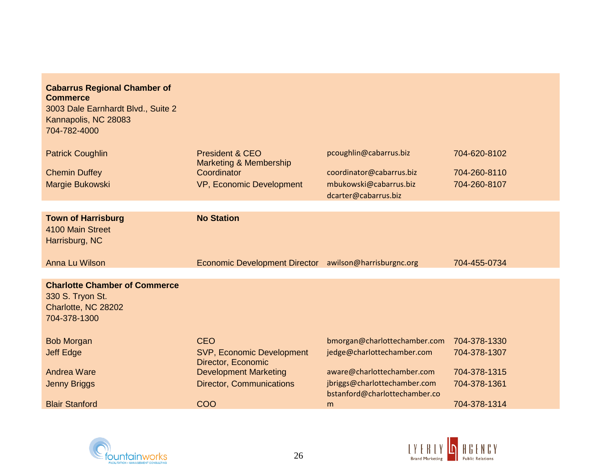| <b>Cabarrus Regional Chamber of</b><br><b>Commerce</b><br>3003 Dale Earnhardt Blvd., Suite 2<br>Kannapolis, NC 28083<br>704-782-4000 |                                                        |                                                               |              |
|--------------------------------------------------------------------------------------------------------------------------------------|--------------------------------------------------------|---------------------------------------------------------------|--------------|
| <b>Patrick Coughlin</b>                                                                                                              | <b>President &amp; CEO</b>                             | pcoughlin@cabarrus.biz                                        | 704-620-8102 |
| <b>Chemin Duffey</b>                                                                                                                 | Marketing & Membership<br>Coordinator                  | coordinator@cabarrus.biz                                      | 704-260-8110 |
| Margie Bukowski                                                                                                                      | VP, Economic Development                               | mbukowski@cabarrus.biz                                        | 704-260-8107 |
|                                                                                                                                      |                                                        | dcarter@cabarrus.biz                                          |              |
|                                                                                                                                      |                                                        |                                                               |              |
| <b>Town of Harrisburg</b><br>4100 Main Street<br>Harrisburg, NC                                                                      | <b>No Station</b>                                      |                                                               |              |
| Anna Lu Wilson                                                                                                                       | Economic Development Director awilson@harrisburgnc.org |                                                               | 704-455-0734 |
|                                                                                                                                      |                                                        |                                                               |              |
| <b>Charlotte Chamber of Commerce</b><br>330 S. Tryon St.<br>Charlotte, NC 28202<br>704-378-1300                                      |                                                        |                                                               |              |
| <b>Bob Morgan</b>                                                                                                                    | <b>CEO</b>                                             | bmorgan@charlottechamber.com                                  | 704-378-1330 |
| <b>Jeff Edge</b>                                                                                                                     | <b>SVP, Economic Development</b><br>Director, Economic | jedge@charlottechamber.com                                    | 704-378-1307 |
| <b>Andrea Ware</b>                                                                                                                   | <b>Development Marketing</b>                           | aware@charlottechamber.com                                    | 704-378-1315 |
| <b>Jenny Briggs</b>                                                                                                                  | <b>Director, Communications</b>                        | jbriggs@charlottechamber.com<br>bstanford@charlottechamber.co | 704-378-1361 |
| <b>Blair Stanford</b>                                                                                                                | COO                                                    | m                                                             | 704-378-1314 |



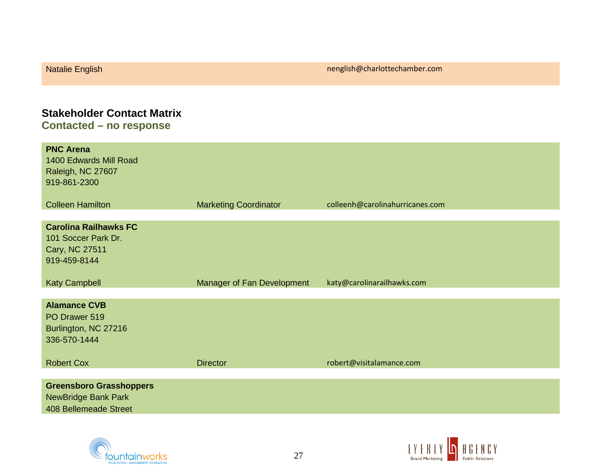# **Stakeholder Contact Matrix Contacted – no response**

| <b>PNC Arena</b><br>1400 Edwards Mill Road<br>Raleigh, NC 27607<br>919-861-2300              |                              |                                 |
|----------------------------------------------------------------------------------------------|------------------------------|---------------------------------|
| <b>Colleen Hamilton</b>                                                                      | <b>Marketing Coordinator</b> | colleenh@carolinahurricanes.com |
| <b>Carolina Railhawks FC</b><br>101 Soccer Park Dr.<br>Cary, NC 27511<br>919-459-8144        |                              |                                 |
| <b>Katy Campbell</b>                                                                         | Manager of Fan Development   | katy@carolinarailhawks.com      |
| <b>Alamance CVB</b><br>PO Drawer 519<br>Burlington, NC 27216<br>336-570-1444                 |                              |                                 |
| <b>Robert Cox</b>                                                                            | <b>Director</b>              | robert@visitalamance.com        |
| <b>Greensboro Grasshoppers</b><br><b>NewBridge Bank Park</b><br><b>408 Bellemeade Street</b> |                              |                                 |



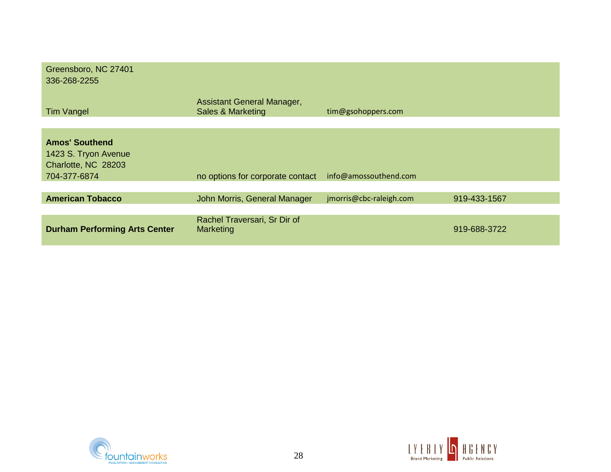| Greensboro, NC 27401<br>336-268-2255                                 |                                                            |                         |              |
|----------------------------------------------------------------------|------------------------------------------------------------|-------------------------|--------------|
| <b>Tim Vangel</b>                                                    | Assistant General Manager,<br><b>Sales &amp; Marketing</b> | tim@gsohoppers.com      |              |
|                                                                      |                                                            |                         |              |
| <b>Amos' Southend</b><br>1423 S. Tryon Avenue<br>Charlotte, NC 28203 |                                                            |                         |              |
| 704-377-6874                                                         | no options for corporate contact                           | info@amossouthend.com   |              |
| <b>American Tobacco</b>                                              | John Morris, General Manager                               | jmorris@cbc-raleigh.com | 919-433-1567 |
|                                                                      |                                                            |                         |              |
| <b>Durham Performing Arts Center</b>                                 | Rachel Traversari, Sr Dir of<br>Marketing                  |                         | 919-688-3722 |



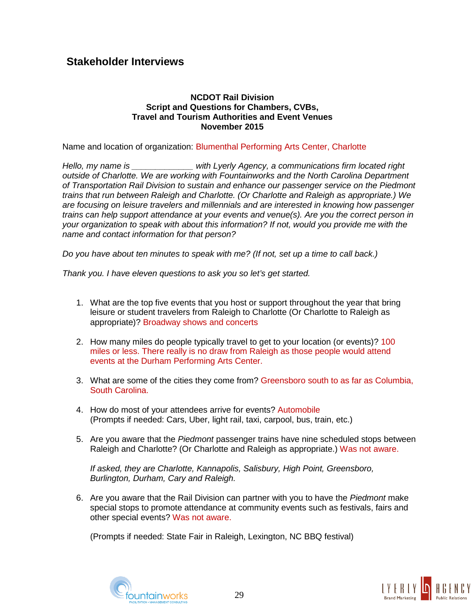## **Stakeholder Interviews**

### **NCDOT Rail Division Script and Questions for Chambers, CVBs, Travel and Tourism Authorities and Event Venues November 2015**

Name and location of organization: Blumenthal Performing Arts Center, Charlotte

*Hello, my name is \_\_\_\_\_\_\_\_\_\_\_\_\_ with Lyerly Agency, a communications firm located right outside of Charlotte. We are working with Fountainworks and the North Carolina Department of Transportation Rail Division to sustain and enhance our passenger service on the Piedmont trains that run between Raleigh and Charlotte. (Or Charlotte and Raleigh as appropriate.) We are focusing on leisure travelers and millennials and are interested in knowing how passenger trains can help support attendance at your events and venue(s). Are you the correct person in your organization to speak with about this information? If not, would you provide me with the name and contact information for that person?*

*Do you have about ten minutes to speak with me? (If not, set up a time to call back.)*

*Thank you. I have eleven questions to ask you so let's get started.*

- 1. What are the top five events that you host or support throughout the year that bring leisure or student travelers from Raleigh to Charlotte (Or Charlotte to Raleigh as appropriate)? Broadway shows and concerts
- 2. How many miles do people typically travel to get to your location (or events)? 100 miles or less. There really is no draw from Raleigh as those people would attend events at the Durham Performing Arts Center.
- 3. What are some of the cities they come from? Greensboro south to as far as Columbia, South Carolina.
- 4. How do most of your attendees arrive for events? Automobile (Prompts if needed: Cars, Uber, light rail, taxi, carpool, bus, train, etc.)
- 5. Are you aware that the *Piedmont* passenger trains have nine scheduled stops between Raleigh and Charlotte? (Or Charlotte and Raleigh as appropriate.) Was not aware.

*If asked, they are Charlotte, Kannapolis, Salisbury, High Point, Greensboro, Burlington, Durham, Cary and Raleigh.*

6. Are you aware that the Rail Division can partner with you to have the *Piedmont* make special stops to promote attendance at community events such as festivals, fairs and other special events? Was not aware.

(Prompts if needed: State Fair in Raleigh, Lexington, NC BBQ festival)



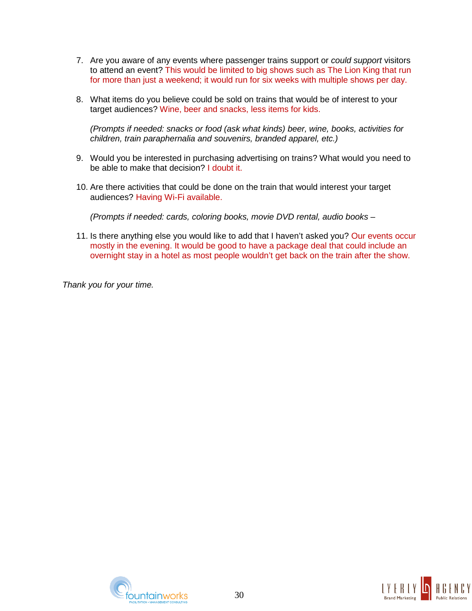- 7. Are you aware of any events where passenger trains support or *could support* visitors to attend an event? This would be limited to big shows such as The Lion King that run for more than just a weekend; it would run for six weeks with multiple shows per day.
- 8. What items do you believe could be sold on trains that would be of interest to your target audiences? Wine, beer and snacks, less items for kids.

*(Prompts if needed: snacks or food (ask what kinds) beer, wine, books, activities for children, train paraphernalia and souvenirs, branded apparel, etc.)*

- 9. Would you be interested in purchasing advertising on trains? What would you need to be able to make that decision? I doubt it.
- 10. Are there activities that could be done on the train that would interest your target audiences? Having Wi-Fi available.

*(Prompts if needed: cards, coloring books, movie DVD rental, audio books* –

11. Is there anything else you would like to add that I haven't asked you? Our events occur mostly in the evening. It would be good to have a package deal that could include an overnight stay in a hotel as most people wouldn't get back on the train after the show.

*Thank you for your time.*



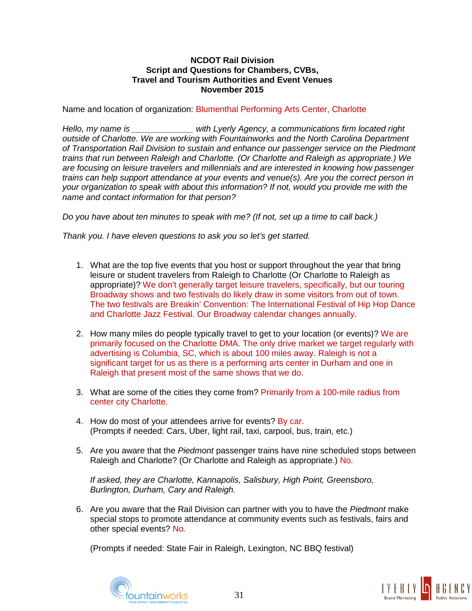### **NCDOT Rail Division Script and Questions for Chambers, CVBs, Travel and Tourism Authorities and Event Venues November 2015**

Name and location of organization: Blumenthal Performing Arts Center, Charlotte

*Hello, my name is \_\_\_\_\_\_\_\_\_\_\_\_\_ with Lyerly Agency, a communications firm located right outside of Charlotte. We are working with Fountainworks and the North Carolina Department of Transportation Rail Division to sustain and enhance our passenger service on the Piedmont trains that run between Raleigh and Charlotte. (Or Charlotte and Raleigh as appropriate.) We are focusing on leisure travelers and millennials and are interested in knowing how passenger trains can help support attendance at your events and venue(s). Are you the correct person in your organization to speak with about this information? If not, would you provide me with the name and contact information for that person?*

*Do you have about ten minutes to speak with me? (If not, set up a time to call back.)*

*Thank you. I have eleven questions to ask you so let's get started.*

- 1. What are the top five events that you host or support throughout the year that bring leisure or student travelers from Raleigh to Charlotte (Or Charlotte to Raleigh as appropriate)? We don't generally target leisure travelers, specifically, but our touring Broadway shows and two festivals do likely draw in some visitors from out of town. The two festivals are Breakin' Convention: The International Festival of Hip Hop Dance and Charlotte Jazz Festival. Our Broadway calendar changes annually.
- 2. How many miles do people typically travel to get to your location (or events)? We are primarily focused on the Charlotte DMA. The only drive market we target regularly with advertising is Columbia, SC, which is about 100 miles away. Raleigh is not a significant target for us as there is a performing arts center in Durham and one in Raleigh that present most of the same shows that we do.
- 3. What are some of the cities they come from? Primarily from a 100-mile radius from center city Charlotte.
- 4. How do most of your attendees arrive for events? By car. (Prompts if needed: Cars, Uber, light rail, taxi, carpool, bus, train, etc.)
- 5. Are you aware that the *Piedmont* passenger trains have nine scheduled stops between Raleigh and Charlotte? (Or Charlotte and Raleigh as appropriate.) No.

*If asked, they are Charlotte, Kannapolis, Salisbury, High Point, Greensboro, Burlington, Durham, Cary and Raleigh.*

6. Are you aware that the Rail Division can partner with you to have the *Piedmont* make special stops to promote attendance at community events such as festivals, fairs and other special events? No.

(Prompts if needed: State Fair in Raleigh, Lexington, NC BBQ festival)



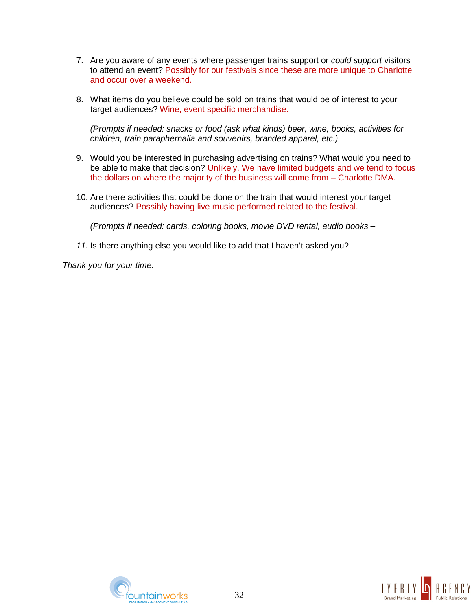- 7. Are you aware of any events where passenger trains support or *could support* visitors to attend an event? Possibly for our festivals since these are more unique to Charlotte and occur over a weekend.
- 8. What items do you believe could be sold on trains that would be of interest to your target audiences? Wine, event specific merchandise.

*(Prompts if needed: snacks or food (ask what kinds) beer, wine, books, activities for children, train paraphernalia and souvenirs, branded apparel, etc.)*

- 9. Would you be interested in purchasing advertising on trains? What would you need to be able to make that decision? Unlikely. We have limited budgets and we tend to focus the dollars on where the majority of the business will come from – Charlotte DMA.
- 10. Are there activities that could be done on the train that would interest your target audiences? Possibly having live music performed related to the festival.

*(Prompts if needed: cards, coloring books, movie DVD rental, audio books* –

*11.* Is there anything else you would like to add that I haven't asked you?

*Thank you for your time.*



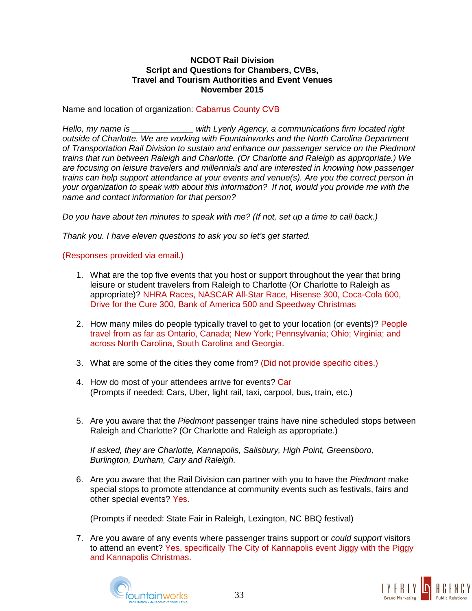### **NCDOT Rail Division Script and Questions for Chambers, CVBs, Travel and Tourism Authorities and Event Venues November 2015**

Name and location of organization: Cabarrus County CVB

*Hello, my name is \_\_\_\_\_\_\_\_\_\_\_\_\_ with Lyerly Agency, a communications firm located right outside of Charlotte. We are working with Fountainworks and the North Carolina Department of Transportation Rail Division to sustain and enhance our passenger service on the Piedmont trains that run between Raleigh and Charlotte. (Or Charlotte and Raleigh as appropriate.) We are focusing on leisure travelers and millennials and are interested in knowing how passenger trains can help support attendance at your events and venue(s). Are you the correct person in your organization to speak with about this information? If not, would you provide me with the name and contact information for that person?*

*Do you have about ten minutes to speak with me? (If not, set up a time to call back.)*

*Thank you. I have eleven questions to ask you so let's get started.*

(Responses provided via email.)

- 1. What are the top five events that you host or support throughout the year that bring leisure or student travelers from Raleigh to Charlotte (Or Charlotte to Raleigh as appropriate)? NHRA Races, NASCAR All-Star Race, Hisense 300, Coca-Cola 600, Drive for the Cure 300, Bank of America 500 and Speedway Christmas
- 2. How many miles do people typically travel to get to your location (or events)? People travel from as far as Ontario, Canada; New York; Pennsylvania; Ohio; Virginia; and across North Carolina, South Carolina and Georgia.
- 3. What are some of the cities they come from? (Did not provide specific cities.)
- 4. How do most of your attendees arrive for events? Car (Prompts if needed: Cars, Uber, light rail, taxi, carpool, bus, train, etc.)
- 5. Are you aware that the *Piedmont* passenger trains have nine scheduled stops between Raleigh and Charlotte? (Or Charlotte and Raleigh as appropriate.)

*If asked, they are Charlotte, Kannapolis, Salisbury, High Point, Greensboro, Burlington, Durham, Cary and Raleigh.*

6. Are you aware that the Rail Division can partner with you to have the *Piedmont* make special stops to promote attendance at community events such as festivals, fairs and other special events? Yes.

(Prompts if needed: State Fair in Raleigh, Lexington, NC BBQ festival)

7. Are you aware of any events where passenger trains support or *could support* visitors to attend an event? Yes, specifically The City of Kannapolis event Jiggy with the Piggy and Kannapolis Christmas.



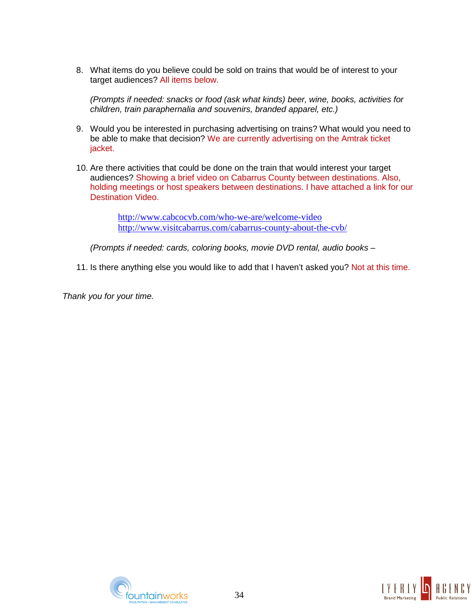8. What items do you believe could be sold on trains that would be of interest to your target audiences? All items below.

*(Prompts if needed: snacks or food (ask what kinds) beer, wine, books, activities for children, train paraphernalia and souvenirs, branded apparel, etc.)*

- 9. Would you be interested in purchasing advertising on trains? What would you need to be able to make that decision? We are currently advertising on the Amtrak ticket jacket.
- 10. Are there activities that could be done on the train that would interest your target audiences? Showing a brief video on Cabarrus County between destinations. Also, holding meetings or host speakers between destinations. I have attached a link for our Destination Video.

<http://www.cabcocvb.com/who-we-are/welcome-video> <http://www.visitcabarrus.com/cabarrus-county-about-the-cvb/>

*(Prompts if needed: cards, coloring books, movie DVD rental, audio books* –

11. Is there anything else you would like to add that I haven't asked you? Not at this time.

*Thank you for your time.*



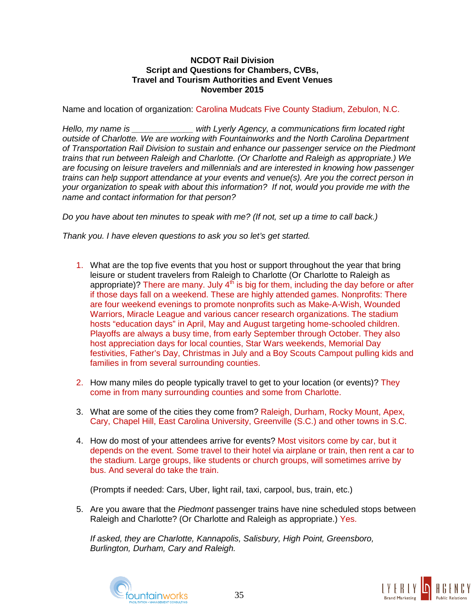Name and location of organization: Carolina Mudcats Five County Stadium, Zebulon, N.C.

*Hello, my name is \_\_\_\_\_\_\_\_\_\_\_\_\_ with Lyerly Agency, a communications firm located right outside of Charlotte. We are working with Fountainworks and the North Carolina Department of Transportation Rail Division to sustain and enhance our passenger service on the Piedmont trains that run between Raleigh and Charlotte. (Or Charlotte and Raleigh as appropriate.) We are focusing on leisure travelers and millennials and are interested in knowing how passenger trains can help support attendance at your events and venue(s). Are you the correct person in your organization to speak with about this information? If not, would you provide me with the name and contact information for that person?*

*Do you have about ten minutes to speak with me? (If not, set up a time to call back.)*

*Thank you. I have eleven questions to ask you so let's get started.*

- 1. What are the top five events that you host or support throughout the year that bring leisure or student travelers from Raleigh to Charlotte (Or Charlotte to Raleigh as appropriate)? There are many. July  $4<sup>th</sup>$  is big for them, including the day before or after if those days fall on a weekend. These are highly attended games. Nonprofits: There are four weekend evenings to promote nonprofits such as Make-A-Wish, Wounded Warriors, Miracle League and various cancer research organizations. The stadium hosts "education days" in April, May and August targeting home-schooled children. Playoffs are always a busy time, from early September through October. They also host appreciation days for local counties, Star Wars weekends, Memorial Day festivities, Father's Day, Christmas in July and a Boy Scouts Campout pulling kids and families in from several surrounding counties.
- 2. How many miles do people typically travel to get to your location (or events)? They come in from many surrounding counties and some from Charlotte.
- 3. What are some of the cities they come from? Raleigh, Durham, Rocky Mount, Apex, Cary, Chapel Hill, East Carolina University, Greenville (S.C.) and other towns in S.C.
- 4. How do most of your attendees arrive for events? Most visitors come by car, but it depends on the event. Some travel to their hotel via airplane or train, then rent a car to the stadium. Large groups, like students or church groups, will sometimes arrive by bus. And several do take the train.

(Prompts if needed: Cars, Uber, light rail, taxi, carpool, bus, train, etc.)

5. Are you aware that the *Piedmont* passenger trains have nine scheduled stops between Raleigh and Charlotte? (Or Charlotte and Raleigh as appropriate.) Yes.

*If asked, they are Charlotte, Kannapolis, Salisbury, High Point, Greensboro, Burlington, Durham, Cary and Raleigh.*



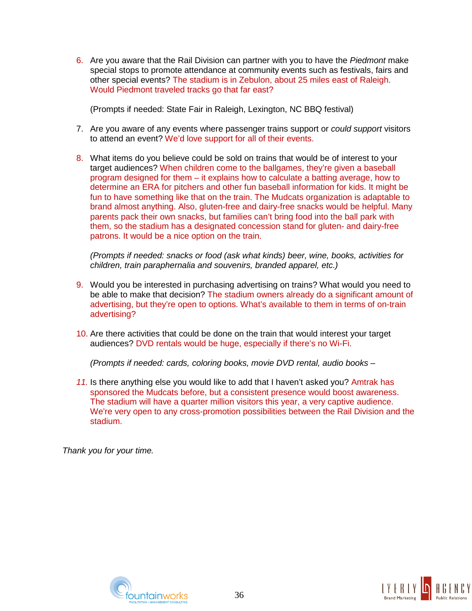6. Are you aware that the Rail Division can partner with you to have the *Piedmont* make special stops to promote attendance at community events such as festivals, fairs and other special events? The stadium is in Zebulon, about 25 miles east of Raleigh. Would Piedmont traveled tracks go that far east?

(Prompts if needed: State Fair in Raleigh, Lexington, NC BBQ festival)

- 7. Are you aware of any events where passenger trains support or *could support* visitors to attend an event? We'd love support for all of their events.
- 8. What items do you believe could be sold on trains that would be of interest to your target audiences? When children come to the ballgames, they're given a baseball program designed for them – it explains how to calculate a batting average, how to determine an ERA for pitchers and other fun baseball information for kids. It might be fun to have something like that on the train. The Mudcats organization is adaptable to brand almost anything. Also, gluten-free and dairy-free snacks would be helpful. Many parents pack their own snacks, but families can't bring food into the ball park with them, so the stadium has a designated concession stand for gluten- and dairy-free patrons. It would be a nice option on the train.

*(Prompts if needed: snacks or food (ask what kinds) beer, wine, books, activities for children, train paraphernalia and souvenirs, branded apparel, etc.)*

- 9. Would you be interested in purchasing advertising on trains? What would you need to be able to make that decision? The stadium owners already do a significant amount of advertising, but they're open to options. What's available to them in terms of on-train advertising?
- 10. Are there activities that could be done on the train that would interest your target audiences? DVD rentals would be huge, especially if there's no Wi-Fi.

*(Prompts if needed: cards, coloring books, movie DVD rental, audio books* –

*11.* Is there anything else you would like to add that I haven't asked you? Amtrak has sponsored the Mudcats before, but a consistent presence would boost awareness. The stadium will have a quarter million visitors this year, a very captive audience. We're very open to any cross-promotion possibilities between the Rail Division and the stadium.



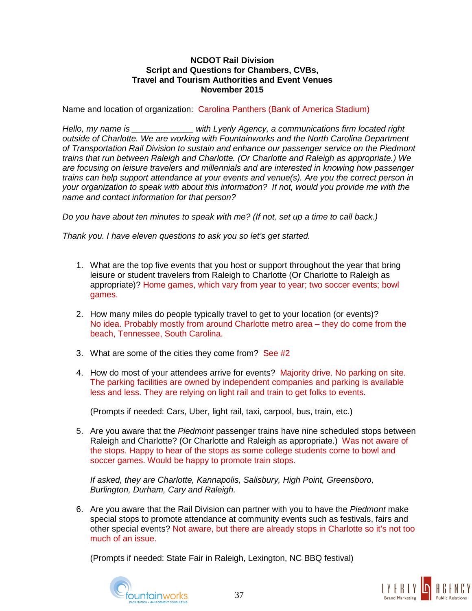Name and location of organization: Carolina Panthers (Bank of America Stadium)

*Hello, my name is \_\_\_\_\_\_\_\_\_\_\_\_\_ with Lyerly Agency, a communications firm located right outside of Charlotte. We are working with Fountainworks and the North Carolina Department of Transportation Rail Division to sustain and enhance our passenger service on the Piedmont trains that run between Raleigh and Charlotte. (Or Charlotte and Raleigh as appropriate.) We are focusing on leisure travelers and millennials and are interested in knowing how passenger trains can help support attendance at your events and venue(s). Are you the correct person in your organization to speak with about this information? If not, would you provide me with the name and contact information for that person?*

*Do you have about ten minutes to speak with me? (If not, set up a time to call back.)*

*Thank you. I have eleven questions to ask you so let's get started.* 

- 1. What are the top five events that you host or support throughout the year that bring leisure or student travelers from Raleigh to Charlotte (Or Charlotte to Raleigh as appropriate)? Home games, which vary from year to year; two soccer events; bowl games.
- 2. How many miles do people typically travel to get to your location (or events)? No idea. Probably mostly from around Charlotte metro area – they do come from the beach, Tennessee, South Carolina.
- 3. What are some of the cities they come from? See #2
- 4. How do most of your attendees arrive for events? Majority drive. No parking on site. The parking facilities are owned by independent companies and parking is available less and less. They are relying on light rail and train to get folks to events.

(Prompts if needed: Cars, Uber, light rail, taxi, carpool, bus, train, etc.)

5. Are you aware that the *Piedmont* passenger trains have nine scheduled stops between Raleigh and Charlotte? (Or Charlotte and Raleigh as appropriate.) Was not aware of the stops. Happy to hear of the stops as some college students come to bowl and soccer games. Would be happy to promote train stops.

*If asked, they are Charlotte, Kannapolis, Salisbury, High Point, Greensboro, Burlington, Durham, Cary and Raleigh.* 

6. Are you aware that the Rail Division can partner with you to have the *Piedmont* make special stops to promote attendance at community events such as festivals, fairs and other special events? Not aware, but there are already stops in Charlotte so it's not too much of an issue.

(Prompts if needed: State Fair in Raleigh, Lexington, NC BBQ festival)



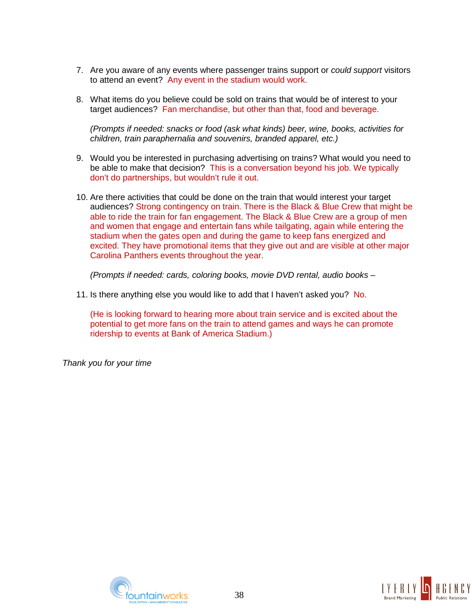- 7. Are you aware of any events where passenger trains support or *could support* visitors to attend an event? Any event in the stadium would work.
- 8. What items do you believe could be sold on trains that would be of interest to your target audiences? Fan merchandise, but other than that, food and beverage.

*(Prompts if needed: snacks or food (ask what kinds) beer, wine, books, activities for children, train paraphernalia and souvenirs, branded apparel, etc.)*

- 9. Would you be interested in purchasing advertising on trains? What would you need to be able to make that decision? This is a conversation beyond his job. We typically don't do partnerships, but wouldn't rule it out.
- 10. Are there activities that could be done on the train that would interest your target audiences? Strong contingency on train. There is the Black & Blue Crew that might be able to ride the train for fan engagement. The Black & Blue Crew are a group of men and women that engage and entertain fans while tailgating, again while entering the stadium when the gates open and during the game to keep fans energized and excited. They have promotional items that they give out and are visible at other major Carolina Panthers events throughout the year.

*(Prompts if needed: cards, coloring books, movie DVD rental, audio books* –

11. Is there anything else you would like to add that I haven't asked you? No.

(He is looking forward to hearing more about train service and is excited about the potential to get more fans on the train to attend games and ways he can promote ridership to events at Bank of America Stadium.)



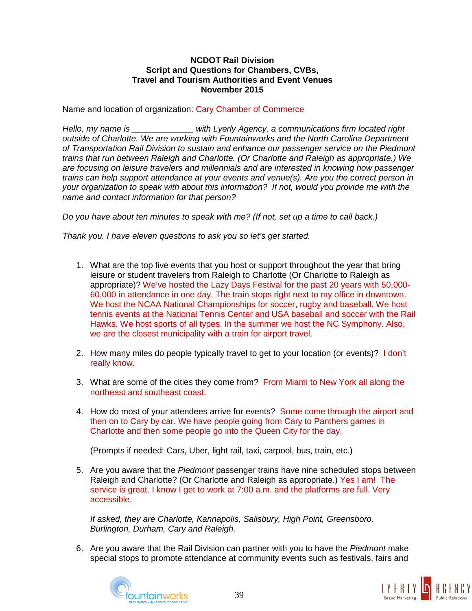Name and location of organization: Cary Chamber of Commerce

*Hello, my name is \_\_\_\_\_\_\_\_\_\_\_\_\_ with Lyerly Agency, a communications firm located right outside of Charlotte. We are working with Fountainworks and the North Carolina Department of Transportation Rail Division to sustain and enhance our passenger service on the Piedmont trains that run between Raleigh and Charlotte. (Or Charlotte and Raleigh as appropriate.) We are focusing on leisure travelers and millennials and are interested in knowing how passenger trains can help support attendance at your events and venue(s). Are you the correct person in your organization to speak with about this information? If not, would you provide me with the name and contact information for that person?*

*Do you have about ten minutes to speak with me? (If not, set up a time to call back.)*

*Thank you. I have eleven questions to ask you so let's get started.*

- 1. What are the top five events that you host or support throughout the year that bring leisure or student travelers from Raleigh to Charlotte (Or Charlotte to Raleigh as appropriate)? We've hosted the Lazy Days Festival for the past 20 years with 50,000- 60,000 in attendance in one day. The train stops right next to my office in downtown. We host the NCAA National Championships for soccer, rugby and baseball. We host tennis events at the National Tennis Center and USA baseball and soccer with the Rail Hawks. We host sports of all types. In the summer we host the NC Symphony. Also, we are the closest municipality with a train for airport travel.
- 2. How many miles do people typically travel to get to your location (or events)? I don't really know.
- 3. What are some of the cities they come from? From Miami to New York all along the northeast and southeast coast.
- 4. How do most of your attendees arrive for events? Some come through the airport and then on to Cary by car. We have people going from Cary to Panthers games in Charlotte and then some people go into the Queen City for the day.

(Prompts if needed: Cars, Uber, light rail, taxi, carpool, bus, train, etc.)

5. Are you aware that the *Piedmont* passenger trains have nine scheduled stops between Raleigh and Charlotte? (Or Charlotte and Raleigh as appropriate.) Yes I am! The service is great. I know I get to work at 7:00 a.m. and the platforms are full. Very accessible.

*If asked, they are Charlotte, Kannapolis, Salisbury, High Point, Greensboro, Burlington, Durham, Cary and Raleigh.*

6. Are you aware that the Rail Division can partner with you to have the *Piedmont* make special stops to promote attendance at community events such as festivals, fairs and



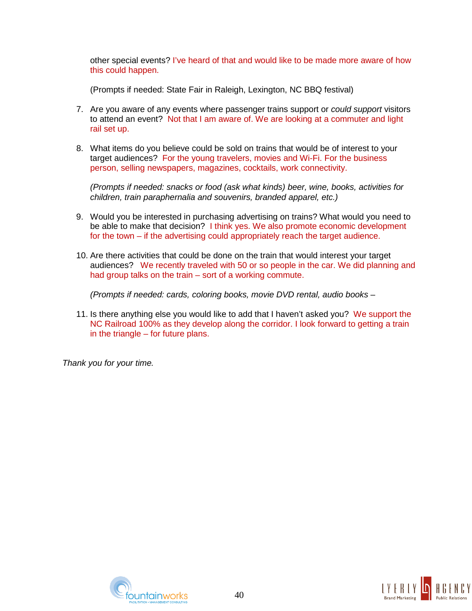other special events? I've heard of that and would like to be made more aware of how this could happen.

(Prompts if needed: State Fair in Raleigh, Lexington, NC BBQ festival)

- 7. Are you aware of any events where passenger trains support or *could support* visitors to attend an event? Not that I am aware of. We are looking at a commuter and light rail set up.
- 8. What items do you believe could be sold on trains that would be of interest to your target audiences? For the young travelers, movies and Wi-Fi. For the business person, selling newspapers, magazines, cocktails, work connectivity.

*(Prompts if needed: snacks or food (ask what kinds) beer, wine, books, activities for children, train paraphernalia and souvenirs, branded apparel, etc.)*

- 9. Would you be interested in purchasing advertising on trains? What would you need to be able to make that decision? I think yes. We also promote economic development for the town – if the advertising could appropriately reach the target audience.
- 10. Are there activities that could be done on the train that would interest your target audiences? We recently traveled with 50 or so people in the car. We did planning and had group talks on the train – sort of a working commute.

*(Prompts if needed: cards, coloring books, movie DVD rental, audio books* –

11. Is there anything else you would like to add that I haven't asked you? We support the NC Railroad 100% as they develop along the corridor. I look forward to getting a train in the triangle – for future plans.



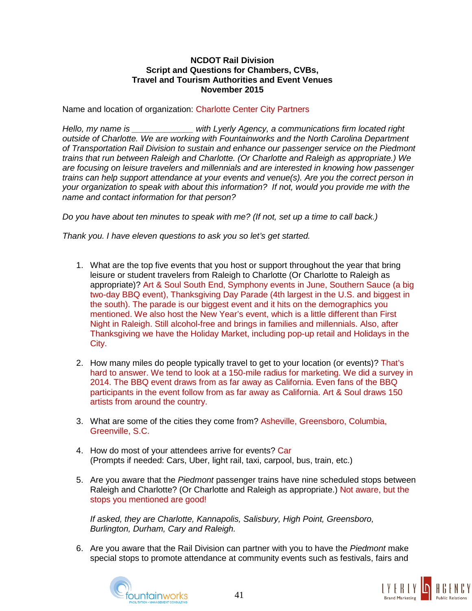Name and location of organization: Charlotte Center City Partners

*Hello, my name is \_\_\_\_\_\_\_\_\_\_\_\_\_ with Lyerly Agency, a communications firm located right outside of Charlotte. We are working with Fountainworks and the North Carolina Department of Transportation Rail Division to sustain and enhance our passenger service on the Piedmont trains that run between Raleigh and Charlotte. (Or Charlotte and Raleigh as appropriate.) We are focusing on leisure travelers and millennials and are interested in knowing how passenger trains can help support attendance at your events and venue(s). Are you the correct person in your organization to speak with about this information? If not, would you provide me with the name and contact information for that person?*

*Do you have about ten minutes to speak with me? (If not, set up a time to call back.)*

*Thank you. I have eleven questions to ask you so let's get started.*

- 1. What are the top five events that you host or support throughout the year that bring leisure or student travelers from Raleigh to Charlotte (Or Charlotte to Raleigh as appropriate)? Art & Soul South End, Symphony events in June, Southern Sauce (a big two-day BBQ event), Thanksgiving Day Parade (4th largest in the U.S. and biggest in the south). The parade is our biggest event and it hits on the demographics you mentioned. We also host the New Year's event, which is a little different than First Night in Raleigh. Still alcohol-free and brings in families and millennials. Also, after Thanksgiving we have the Holiday Market, including pop-up retail and Holidays in the City.
- 2. How many miles do people typically travel to get to your location (or events)? That's hard to answer. We tend to look at a 150-mile radius for marketing. We did a survey in 2014. The BBQ event draws from as far away as California. Even fans of the BBQ participants in the event follow from as far away as California. Art & Soul draws 150 artists from around the country.
- 3. What are some of the cities they come from? Asheville, Greensboro, Columbia, Greenville, S.C.
- 4. How do most of your attendees arrive for events? Car (Prompts if needed: Cars, Uber, light rail, taxi, carpool, bus, train, etc.)
- 5. Are you aware that the *Piedmont* passenger trains have nine scheduled stops between Raleigh and Charlotte? (Or Charlotte and Raleigh as appropriate.) Not aware, but the stops you mentioned are good!

*If asked, they are Charlotte, Kannapolis, Salisbury, High Point, Greensboro, Burlington, Durham, Cary and Raleigh.*

6. Are you aware that the Rail Division can partner with you to have the *Piedmont* make special stops to promote attendance at community events such as festivals, fairs and



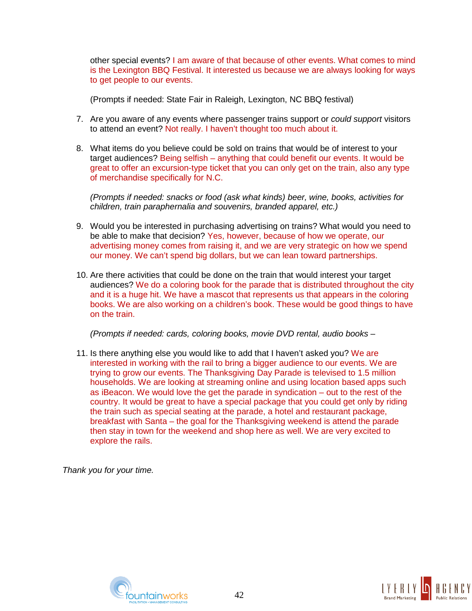other special events? I am aware of that because of other events. What comes to mind is the Lexington BBQ Festival. It interested us because we are always looking for ways to get people to our events.

(Prompts if needed: State Fair in Raleigh, Lexington, NC BBQ festival)

- 7. Are you aware of any events where passenger trains support or *could support* visitors to attend an event? Not really. I haven't thought too much about it.
- 8. What items do you believe could be sold on trains that would be of interest to your target audiences? Being selfish – anything that could benefit our events. It would be great to offer an excursion-type ticket that you can only get on the train, also any type of merchandise specifically for N.C.

*(Prompts if needed: snacks or food (ask what kinds) beer, wine, books, activities for children, train paraphernalia and souvenirs, branded apparel, etc.)*

- 9. Would you be interested in purchasing advertising on trains? What would you need to be able to make that decision? Yes, however, because of how we operate, our advertising money comes from raising it, and we are very strategic on how we spend our money. We can't spend big dollars, but we can lean toward partnerships.
- 10. Are there activities that could be done on the train that would interest your target audiences? We do a coloring book for the parade that is distributed throughout the city and it is a huge hit. We have a mascot that represents us that appears in the coloring books. We are also working on a children's book. These would be good things to have on the train.

*(Prompts if needed: cards, coloring books, movie DVD rental, audio books* –

11. Is there anything else you would like to add that I haven't asked you? We are interested in working with the rail to bring a bigger audience to our events. We are trying to grow our events. The Thanksgiving Day Parade is televised to 1.5 million households. We are looking at streaming online and using location based apps such as iBeacon. We would love the get the parade in syndication – out to the rest of the country. It would be great to have a special package that you could get only by riding the train such as special seating at the parade, a hotel and restaurant package, breakfast with Santa – the goal for the Thanksgiving weekend is attend the parade then stay in town for the weekend and shop here as well. We are very excited to explore the rails.



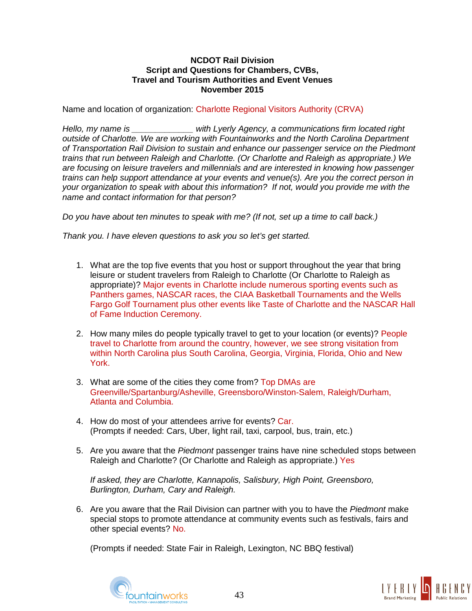Name and location of organization: Charlotte Regional Visitors Authority (CRVA)

*Hello, my name is \_\_\_\_\_\_\_\_\_\_\_\_\_ with Lyerly Agency, a communications firm located right outside of Charlotte. We are working with Fountainworks and the North Carolina Department of Transportation Rail Division to sustain and enhance our passenger service on the Piedmont trains that run between Raleigh and Charlotte. (Or Charlotte and Raleigh as appropriate.) We are focusing on leisure travelers and millennials and are interested in knowing how passenger trains can help support attendance at your events and venue(s). Are you the correct person in your organization to speak with about this information? If not, would you provide me with the name and contact information for that person?*

*Do you have about ten minutes to speak with me? (If not, set up a time to call back.)*

*Thank you. I have eleven questions to ask you so let's get started.*

- 1. What are the top five events that you host or support throughout the year that bring leisure or student travelers from Raleigh to Charlotte (Or Charlotte to Raleigh as appropriate)? Major events in Charlotte include numerous sporting events such as Panthers games, NASCAR races, the CIAA Basketball Tournaments and the Wells Fargo Golf Tournament plus other events like Taste of Charlotte and the NASCAR Hall of Fame Induction Ceremony.
- 2. How many miles do people typically travel to get to your location (or events)? People travel to Charlotte from around the country, however, we see strong visitation from within North Carolina plus South Carolina, Georgia, Virginia, Florida, Ohio and New York.
- 3. What are some of the cities they come from? Top DMAs are Greenville/Spartanburg/Asheville, Greensboro/Winston-Salem, Raleigh/Durham, Atlanta and Columbia.
- 4. How do most of your attendees arrive for events? Car. (Prompts if needed: Cars, Uber, light rail, taxi, carpool, bus, train, etc.)
- 5. Are you aware that the *Piedmont* passenger trains have nine scheduled stops between Raleigh and Charlotte? (Or Charlotte and Raleigh as appropriate.) Yes

*If asked, they are Charlotte, Kannapolis, Salisbury, High Point, Greensboro, Burlington, Durham, Cary and Raleigh.*

6. Are you aware that the Rail Division can partner with you to have the *Piedmont* make special stops to promote attendance at community events such as festivals, fairs and other special events? No.

(Prompts if needed: State Fair in Raleigh, Lexington, NC BBQ festival)



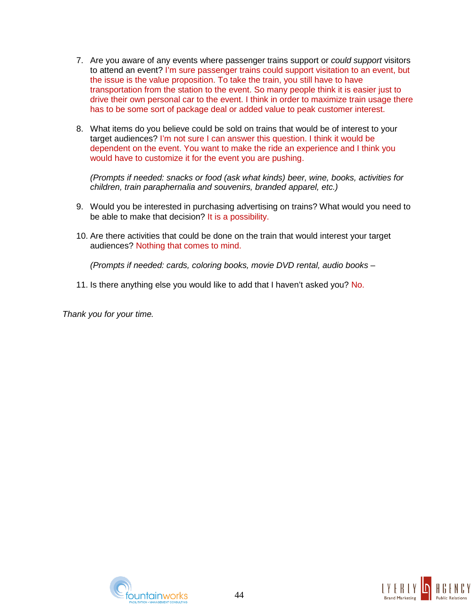- 7. Are you aware of any events where passenger trains support or *could support* visitors to attend an event? I'm sure passenger trains could support visitation to an event, but the issue is the value proposition. To take the train, you still have to have transportation from the station to the event. So many people think it is easier just to drive their own personal car to the event. I think in order to maximize train usage there has to be some sort of package deal or added value to peak customer interest.
- 8. What items do you believe could be sold on trains that would be of interest to your target audiences? I'm not sure I can answer this question. I think it would be dependent on the event. You want to make the ride an experience and I think you would have to customize it for the event you are pushing.

*(Prompts if needed: snacks or food (ask what kinds) beer, wine, books, activities for children, train paraphernalia and souvenirs, branded apparel, etc.)*

- 9. Would you be interested in purchasing advertising on trains? What would you need to be able to make that decision? It is a possibility.
- 10. Are there activities that could be done on the train that would interest your target audiences? Nothing that comes to mind.

*(Prompts if needed: cards, coloring books, movie DVD rental, audio books* –

11. Is there anything else you would like to add that I haven't asked you? No.



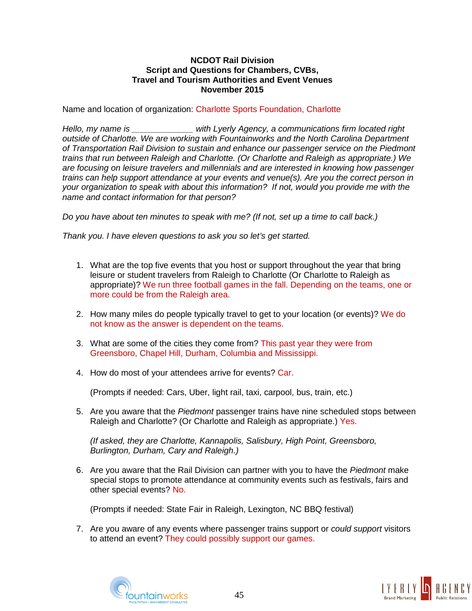Name and location of organization: Charlotte Sports Foundation, Charlotte

*Hello, my name is \_\_\_\_\_\_\_\_\_\_\_\_\_ with Lyerly Agency, a communications firm located right outside of Charlotte. We are working with Fountainworks and the North Carolina Department of Transportation Rail Division to sustain and enhance our passenger service on the Piedmont trains that run between Raleigh and Charlotte. (Or Charlotte and Raleigh as appropriate.) We are focusing on leisure travelers and millennials and are interested in knowing how passenger trains can help support attendance at your events and venue(s). Are you the correct person in your organization to speak with about this information? If not, would you provide me with the name and contact information for that person?*

*Do you have about ten minutes to speak with me? (If not, set up a time to call back.)*

*Thank you. I have eleven questions to ask you so let's get started.*

- 1. What are the top five events that you host or support throughout the year that bring leisure or student travelers from Raleigh to Charlotte (Or Charlotte to Raleigh as appropriate)? We run three football games in the fall. Depending on the teams, one or more could be from the Raleigh area.
- 2. How many miles do people typically travel to get to your location (or events)? We do not know as the answer is dependent on the teams.
- 3. What are some of the cities they come from? This past year they were from Greensboro, Chapel Hill, Durham, Columbia and Mississippi.
- 4. How do most of your attendees arrive for events? Car.

(Prompts if needed: Cars, Uber, light rail, taxi, carpool, bus, train, etc.)

5. Are you aware that the *Piedmont* passenger trains have nine scheduled stops between Raleigh and Charlotte? (Or Charlotte and Raleigh as appropriate.) Yes.

*(If asked, they are Charlotte, Kannapolis, Salisbury, High Point, Greensboro, Burlington, Durham, Cary and Raleigh.)*

6. Are you aware that the Rail Division can partner with you to have the *Piedmont* make special stops to promote attendance at community events such as festivals, fairs and other special events? No.

(Prompts if needed: State Fair in Raleigh, Lexington, NC BBQ festival)

7. Are you aware of any events where passenger trains support or *could support* visitors to attend an event? They could possibly support our games.



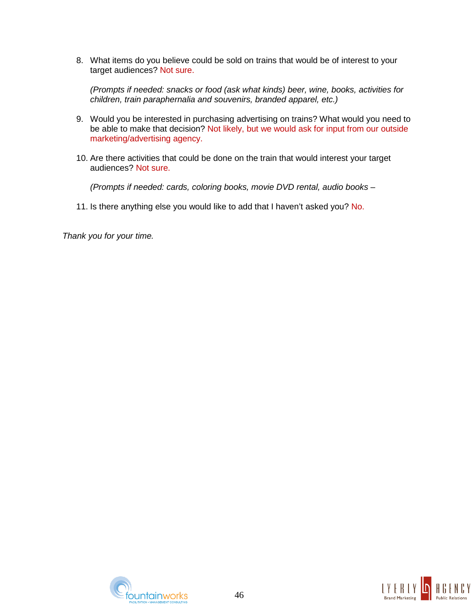8. What items do you believe could be sold on trains that would be of interest to your target audiences? Not sure.

*(Prompts if needed: snacks or food (ask what kinds) beer, wine, books, activities for children, train paraphernalia and souvenirs, branded apparel, etc.)*

- 9. Would you be interested in purchasing advertising on trains? What would you need to be able to make that decision? Not likely, but we would ask for input from our outside marketing/advertising agency.
- 10. Are there activities that could be done on the train that would interest your target audiences? Not sure.

*(Prompts if needed: cards, coloring books, movie DVD rental, audio books* –

11. Is there anything else you would like to add that I haven't asked you? No.



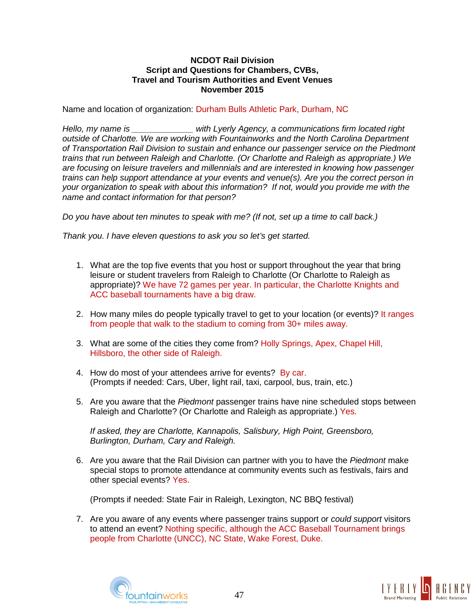Name and location of organization: Durham Bulls Athletic Park, Durham, NC

*Hello, my name is \_\_\_\_\_\_\_\_\_\_\_\_\_ with Lyerly Agency, a communications firm located right outside of Charlotte. We are working with Fountainworks and the North Carolina Department of Transportation Rail Division to sustain and enhance our passenger service on the Piedmont trains that run between Raleigh and Charlotte. (Or Charlotte and Raleigh as appropriate.) We are focusing on leisure travelers and millennials and are interested in knowing how passenger trains can help support attendance at your events and venue(s). Are you the correct person in your organization to speak with about this information? If not, would you provide me with the name and contact information for that person?*

*Do you have about ten minutes to speak with me? (If not, set up a time to call back.)*

*Thank you. I have eleven questions to ask you so let's get started.*

- 1. What are the top five events that you host or support throughout the year that bring leisure or student travelers from Raleigh to Charlotte (Or Charlotte to Raleigh as appropriate)? We have 72 games per year. In particular, the Charlotte Knights and ACC baseball tournaments have a big draw.
- 2. How many miles do people typically travel to get to your location (or events)? It ranges from people that walk to the stadium to coming from 30+ miles away.
- 3. What are some of the cities they come from? Holly Springs, Apex, Chapel Hill, Hillsboro, the other side of Raleigh.
- 4. How do most of your attendees arrive for events? By car. (Prompts if needed: Cars, Uber, light rail, taxi, carpool, bus, train, etc.)
- 5. Are you aware that the *Piedmont* passenger trains have nine scheduled stops between Raleigh and Charlotte? (Or Charlotte and Raleigh as appropriate.) Yes.

*If asked, they are Charlotte, Kannapolis, Salisbury, High Point, Greensboro, Burlington, Durham, Cary and Raleigh.*

6. Are you aware that the Rail Division can partner with you to have the *Piedmont* make special stops to promote attendance at community events such as festivals, fairs and other special events? Yes.

(Prompts if needed: State Fair in Raleigh, Lexington, NC BBQ festival)

7. Are you aware of any events where passenger trains support or *could support* visitors to attend an event? Nothing specific, although the ACC Baseball Tournament brings people from Charlotte (UNCC), NC State, Wake Forest, Duke.



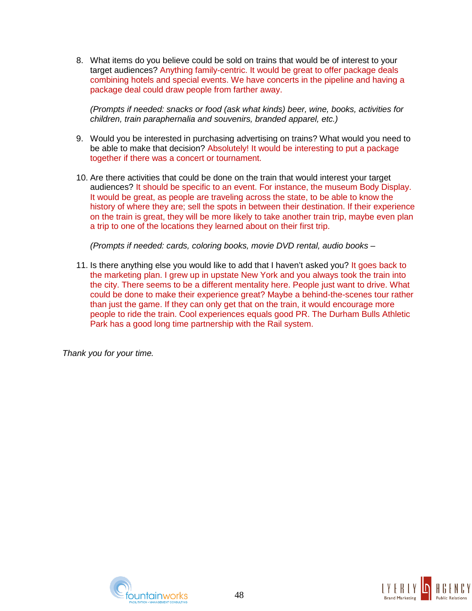8. What items do you believe could be sold on trains that would be of interest to your target audiences? Anything family-centric. It would be great to offer package deals combining hotels and special events. We have concerts in the pipeline and having a package deal could draw people from farther away.

*(Prompts if needed: snacks or food (ask what kinds) beer, wine, books, activities for children, train paraphernalia and souvenirs, branded apparel, etc.)*

- 9. Would you be interested in purchasing advertising on trains? What would you need to be able to make that decision? Absolutely! It would be interesting to put a package together if there was a concert or tournament.
- 10. Are there activities that could be done on the train that would interest your target audiences? It should be specific to an event. For instance, the museum Body Display. It would be great, as people are traveling across the state, to be able to know the history of where they are; sell the spots in between their destination. If their experience on the train is great, they will be more likely to take another train trip, maybe even plan a trip to one of the locations they learned about on their first trip.

*(Prompts if needed: cards, coloring books, movie DVD rental, audio books* –

11. Is there anything else you would like to add that I haven't asked you? It goes back to the marketing plan. I grew up in upstate New York and you always took the train into the city. There seems to be a different mentality here. People just want to drive. What could be done to make their experience great? Maybe a behind-the-scenes tour rather than just the game. If they can only get that on the train, it would encourage more people to ride the train. Cool experiences equals good PR. The Durham Bulls Athletic Park has a good long time partnership with the Rail system.



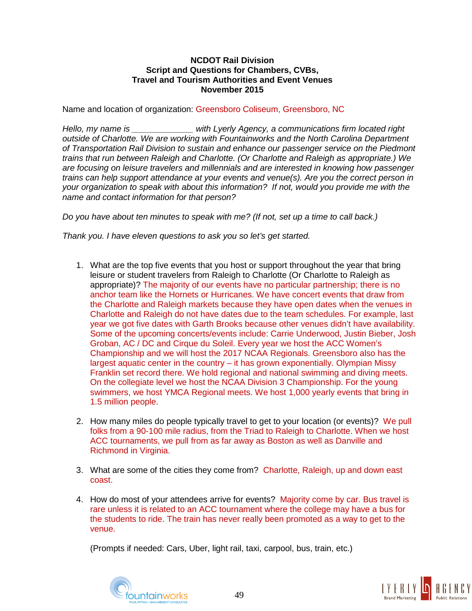Name and location of organization: Greensboro Coliseum, Greensboro, NC

*Hello, my name is \_\_\_\_\_\_\_\_\_\_\_\_\_ with Lyerly Agency, a communications firm located right outside of Charlotte. We are working with Fountainworks and the North Carolina Department of Transportation Rail Division to sustain and enhance our passenger service on the Piedmont trains that run between Raleigh and Charlotte. (Or Charlotte and Raleigh as appropriate.) We are focusing on leisure travelers and millennials and are interested in knowing how passenger trains can help support attendance at your events and venue(s). Are you the correct person in your organization to speak with about this information? If not, would you provide me with the name and contact information for that person?*

*Do you have about ten minutes to speak with me? (If not, set up a time to call back.)*

*Thank you. I have eleven questions to ask you so let's get started.*

- 1. What are the top five events that you host or support throughout the year that bring leisure or student travelers from Raleigh to Charlotte (Or Charlotte to Raleigh as appropriate)? The majority of our events have no particular partnership; there is no anchor team like the Hornets or Hurricanes. We have concert events that draw from the Charlotte and Raleigh markets because they have open dates when the venues in Charlotte and Raleigh do not have dates due to the team schedules. For example, last year we got five dates with Garth Brooks because other venues didn't have availability. Some of the upcoming concerts/events include: Carrie Underwood, Justin Bieber, Josh Groban, AC / DC and Cirque du Soleil. Every year we host the ACC Women's Championship and we will host the 2017 NCAA Regionals. Greensboro also has the largest aquatic center in the country – it has grown exponentially. Olympian Missy Franklin set record there. We hold regional and national swimming and diving meets. On the collegiate level we host the NCAA Division 3 Championship. For the young swimmers, we host YMCA Regional meets. We host 1,000 yearly events that bring in 1.5 million people.
- 2. How many miles do people typically travel to get to your location (or events)? We pull folks from a 90-100 mile radius, from the Triad to Raleigh to Charlotte. When we host ACC tournaments, we pull from as far away as Boston as well as Danville and Richmond in Virginia.
- 3. What are some of the cities they come from? Charlotte, Raleigh, up and down east coast.
- 4. How do most of your attendees arrive for events? Majority come by car. Bus travel is rare unless it is related to an ACC tournament where the college may have a bus for the students to ride. The train has never really been promoted as a way to get to the venue.

(Prompts if needed: Cars, Uber, light rail, taxi, carpool, bus, train, etc.)



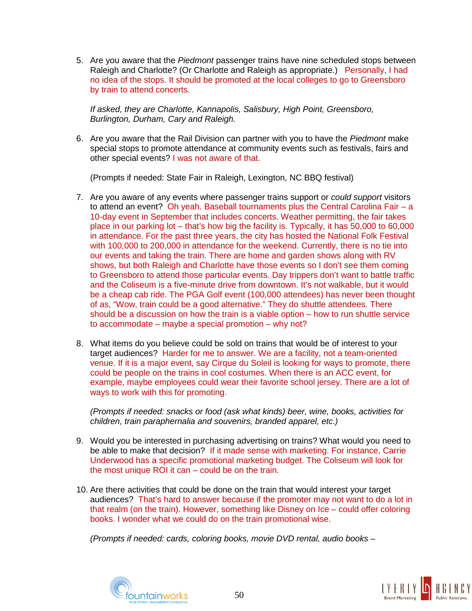5. Are you aware that the *Piedmont* passenger trains have nine scheduled stops between Raleigh and Charlotte? (Or Charlotte and Raleigh as appropriate.) Personally, I had no idea of the stops. It should be promoted at the local colleges to go to Greensboro by train to attend concerts.

*If asked, they are Charlotte, Kannapolis, Salisbury, High Point, Greensboro, Burlington, Durham, Cary and Raleigh.*

6. Are you aware that the Rail Division can partner with you to have the *Piedmont* make special stops to promote attendance at community events such as festivals, fairs and other special events? I was not aware of that.

(Prompts if needed: State Fair in Raleigh, Lexington, NC BBQ festival)

- 7. Are you aware of any events where passenger trains support or *could support* visitors to attend an event? Oh yeah. Baseball tournaments plus the Central Carolina Fair – a 10-day event in September that includes concerts. Weather permitting, the fair takes place in our parking lot – that's how big the facility is. Typically, it has 50,000 to 60,000 in attendance. For the past three years, the city has hosted the National Folk Festival with 100,000 to 200,000 in attendance for the weekend. Currently, there is no tie into our events and taking the train. There are home and garden shows along with RV shows, but both Raleigh and Charlotte have those events so I don't see them coming to Greensboro to attend those particular events. Day trippers don't want to battle traffic and the Coliseum is a five-minute drive from downtown. It's not walkable, but it would be a cheap cab ride. The PGA Golf event (100,000 attendees) has never been thought of as, "Wow, train could be a good alternative." They do shuttle attendees. There should be a discussion on how the train is a viable option – how to run shuttle service to accommodate – maybe a special promotion – why not?
- 8. What items do you believe could be sold on trains that would be of interest to your target audiences? Harder for me to answer. We are a facility, not a team-oriented venue. If it is a major event, say Cirque du Soleil is looking for ways to promote, there could be people on the trains in cool costumes. When there is an ACC event, for example, maybe employees could wear their favorite school jersey. There are a lot of ways to work with this for promoting.

*(Prompts if needed: snacks or food (ask what kinds) beer, wine, books, activities for children, train paraphernalia and souvenirs, branded apparel, etc.)*

- 9. Would you be interested in purchasing advertising on trains? What would you need to be able to make that decision? If it made sense with marketing. For instance, Carrie Underwood has a specific promotional marketing budget. The Coliseum will look for the most unique ROI it can – could be on the train.
- 10. Are there activities that could be done on the train that would interest your target audiences? That's hard to answer because if the promoter may not want to do a lot in that realm (on the train). However, something like Disney on Ice – could offer coloring books. I wonder what we could do on the train promotional wise.

*(Prompts if needed: cards, coloring books, movie DVD rental, audio books* –



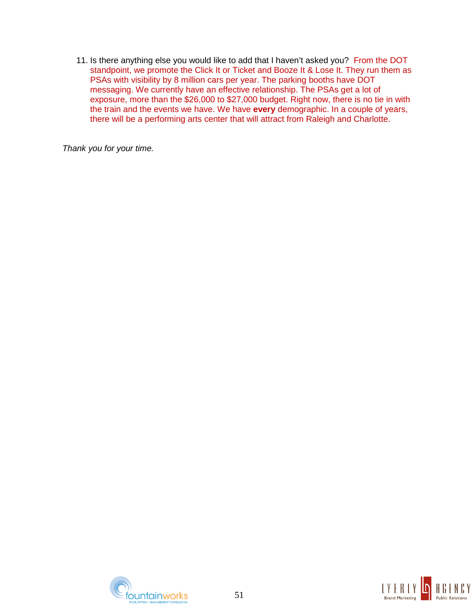11. Is there anything else you would like to add that I haven't asked you? From the DOT standpoint, we promote the Click It or Ticket and Booze It & Lose It. They run them as PSAs with visibility by 8 million cars per year. The parking booths have DOT messaging. We currently have an effective relationship. The PSAs get a lot of exposure, more than the \$26,000 to \$27,000 budget. Right now, there is no tie in with the train and the events we have. We have **every** demographic. In a couple of years, there will be a performing arts center that will attract from Raleigh and Charlotte.



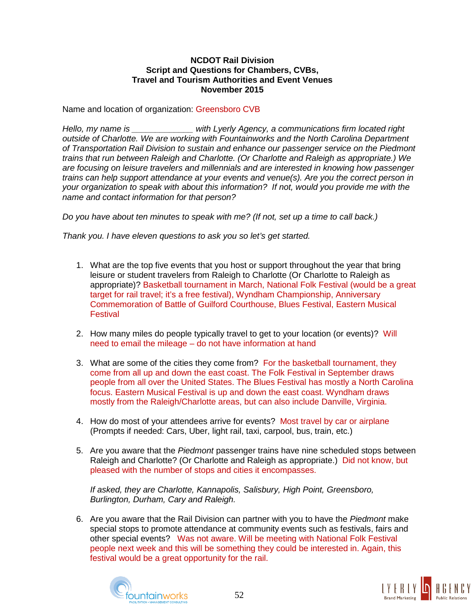Name and location of organization: Greensboro CVB

*Hello, my name is \_\_\_\_\_\_\_\_\_\_\_\_\_ with Lyerly Agency, a communications firm located right outside of Charlotte. We are working with Fountainworks and the North Carolina Department of Transportation Rail Division to sustain and enhance our passenger service on the Piedmont trains that run between Raleigh and Charlotte. (Or Charlotte and Raleigh as appropriate.) We are focusing on leisure travelers and millennials and are interested in knowing how passenger trains can help support attendance at your events and venue(s). Are you the correct person in your organization to speak with about this information? If not, would you provide me with the name and contact information for that person?*

*Do you have about ten minutes to speak with me? (If not, set up a time to call back.)*

*Thank you. I have eleven questions to ask you so let's get started.*

- 1. What are the top five events that you host or support throughout the year that bring leisure or student travelers from Raleigh to Charlotte (Or Charlotte to Raleigh as appropriate)? Basketball tournament in March, National Folk Festival (would be a great target for rail travel; it's a free festival), Wyndham Championship, Anniversary Commemoration of Battle of Guilford Courthouse, Blues Festival, Eastern Musical **Festival**
- 2. How many miles do people typically travel to get to your location (or events)? Will need to email the mileage – do not have information at hand
- 3. What are some of the cities they come from? For the basketball tournament, they come from all up and down the east coast. The Folk Festival in September draws people from all over the United States. The Blues Festival has mostly a North Carolina focus. Eastern Musical Festival is up and down the east coast. Wyndham draws mostly from the Raleigh/Charlotte areas, but can also include Danville, Virginia.
- 4. How do most of your attendees arrive for events? Most travel by car or airplane (Prompts if needed: Cars, Uber, light rail, taxi, carpool, bus, train, etc.)
- 5. Are you aware that the *Piedmont* passenger trains have nine scheduled stops between Raleigh and Charlotte? (Or Charlotte and Raleigh as appropriate.) Did not know, but pleased with the number of stops and cities it encompasses.

*If asked, they are Charlotte, Kannapolis, Salisbury, High Point, Greensboro, Burlington, Durham, Cary and Raleigh.*

6. Are you aware that the Rail Division can partner with you to have the *Piedmont* make special stops to promote attendance at community events such as festivals, fairs and other special events? Was not aware. Will be meeting with National Folk Festival people next week and this will be something they could be interested in. Again, this festival would be a great opportunity for the rail.



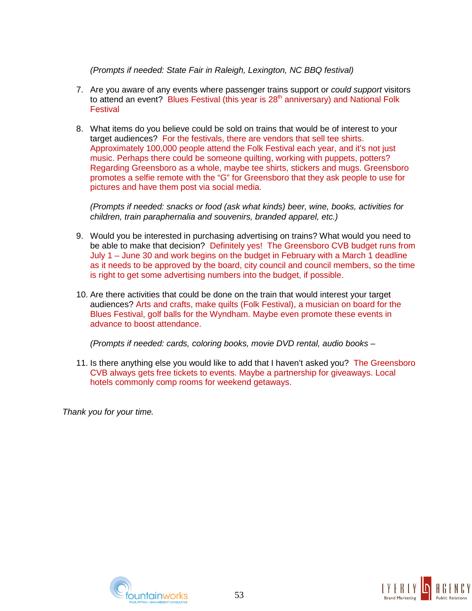*(Prompts if needed: State Fair in Raleigh, Lexington, NC BBQ festival)*

- 7. Are you aware of any events where passenger trains support or *could support* visitors to attend an event? Blues Festival (this year is  $28<sup>th</sup>$  anniversary) and National Folk **Festival**
- 8. What items do you believe could be sold on trains that would be of interest to your target audiences? For the festivals, there are vendors that sell tee shirts. Approximately 100,000 people attend the Folk Festival each year, and it's not just music. Perhaps there could be someone quilting, working with puppets, potters? Regarding Greensboro as a whole, maybe tee shirts, stickers and mugs. Greensboro promotes a selfie remote with the "G" for Greensboro that they ask people to use for pictures and have them post via social media.

*(Prompts if needed: snacks or food (ask what kinds) beer, wine, books, activities for children, train paraphernalia and souvenirs, branded apparel, etc.)*

- 9. Would you be interested in purchasing advertising on trains? What would you need to be able to make that decision? Definitely yes! The Greensboro CVB budget runs from July 1 – June 30 and work begins on the budget in February with a March 1 deadline as it needs to be approved by the board, city council and council members, so the time is right to get some advertising numbers into the budget, if possible.
- 10. Are there activities that could be done on the train that would interest your target audiences? Arts and crafts, make quilts (Folk Festival), a musician on board for the Blues Festival, golf balls for the Wyndham. Maybe even promote these events in advance to boost attendance.

*(Prompts if needed: cards, coloring books, movie DVD rental, audio books* –

11. Is there anything else you would like to add that I haven't asked you? The Greensboro CVB always gets free tickets to events. Maybe a partnership for giveaways. Local hotels commonly comp rooms for weekend getaways.



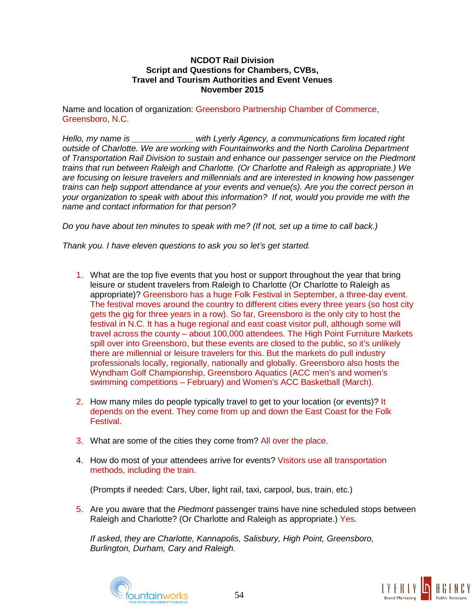Name and location of organization: Greensboro Partnership Chamber of Commerce, Greensboro, N.C.

*Hello, my name is \_\_\_\_\_\_\_\_\_\_\_\_\_ with Lyerly Agency, a communications firm located right outside of Charlotte. We are working with Fountainworks and the North Carolina Department of Transportation Rail Division to sustain and enhance our passenger service on the Piedmont trains that run between Raleigh and Charlotte. (Or Charlotte and Raleigh as appropriate.) We are focusing on leisure travelers and millennials and are interested in knowing how passenger trains can help support attendance at your events and venue(s). Are you the correct person in your organization to speak with about this information? If not, would you provide me with the name and contact information for that person?*

*Do you have about ten minutes to speak with me? (If not, set up a time to call back.)*

*Thank you. I have eleven questions to ask you so let's get started.*

- 1. What are the top five events that you host or support throughout the year that bring leisure or student travelers from Raleigh to Charlotte (Or Charlotte to Raleigh as appropriate)? Greensboro has a huge Folk Festival in September, a three-day event. The festival moves around the country to different cities every three years (so host city gets the gig for three years in a row). So far, Greensboro is the only city to host the festival in N.C. It has a huge regional and east coast visitor pull, although some will travel across the county – about 100,000 attendees. The High Point Furniture Markets spill over into Greensboro, but these events are closed to the public, so it's unlikely there are millennial or leisure travelers for this. But the markets do pull industry professionals locally, regionally, nationally and globally. Greensboro also hosts the Wyndham Golf Championship, Greensboro Aquatics (ACC men's and women's swimming competitions – February) and Women's ACC Basketball (March).
- 2. How many miles do people typically travel to get to your location (or events)? It depends on the event. They come from up and down the East Coast for the Folk Festival.
- 3. What are some of the cities they come from? All over the place.
- 4. How do most of your attendees arrive for events? Visitors use all transportation methods, including the train.

(Prompts if needed: Cars, Uber, light rail, taxi, carpool, bus, train, etc.)

5. Are you aware that the *Piedmont* passenger trains have nine scheduled stops between Raleigh and Charlotte? (Or Charlotte and Raleigh as appropriate.) Yes.

*If asked, they are Charlotte, Kannapolis, Salisbury, High Point, Greensboro, Burlington, Durham, Cary and Raleigh.*



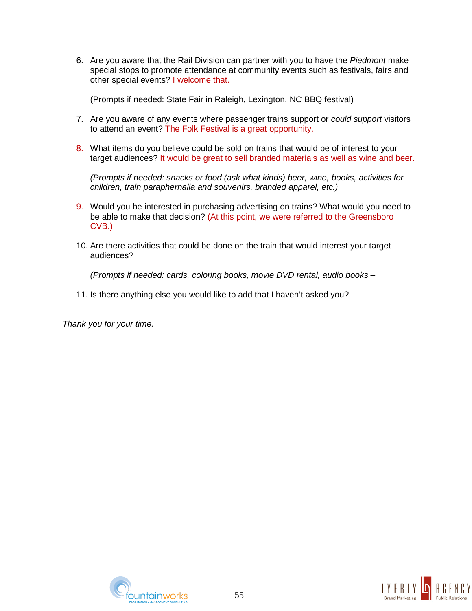6. Are you aware that the Rail Division can partner with you to have the *Piedmont* make special stops to promote attendance at community events such as festivals, fairs and other special events? I welcome that.

(Prompts if needed: State Fair in Raleigh, Lexington, NC BBQ festival)

- 7. Are you aware of any events where passenger trains support or *could support* visitors to attend an event? The Folk Festival is a great opportunity.
- 8. What items do you believe could be sold on trains that would be of interest to your target audiences? It would be great to sell branded materials as well as wine and beer.

*(Prompts if needed: snacks or food (ask what kinds) beer, wine, books, activities for children, train paraphernalia and souvenirs, branded apparel, etc.)*

- 9. Would you be interested in purchasing advertising on trains? What would you need to be able to make that decision? (At this point, we were referred to the Greensboro CVB.)
- 10. Are there activities that could be done on the train that would interest your target audiences?

*(Prompts if needed: cards, coloring books, movie DVD rental, audio books* –

11. Is there anything else you would like to add that I haven't asked you?



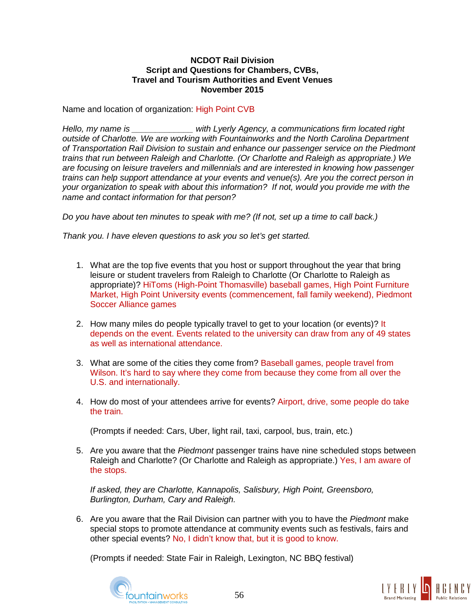Name and location of organization: High Point CVB

*Hello, my name is \_\_\_\_\_\_\_\_\_\_\_\_\_ with Lyerly Agency, a communications firm located right outside of Charlotte. We are working with Fountainworks and the North Carolina Department of Transportation Rail Division to sustain and enhance our passenger service on the Piedmont trains that run between Raleigh and Charlotte. (Or Charlotte and Raleigh as appropriate.) We are focusing on leisure travelers and millennials and are interested in knowing how passenger trains can help support attendance at your events and venue(s). Are you the correct person in your organization to speak with about this information? If not, would you provide me with the name and contact information for that person?*

*Do you have about ten minutes to speak with me? (If not, set up a time to call back.)*

*Thank you. I have eleven questions to ask you so let's get started.*

- 1. What are the top five events that you host or support throughout the year that bring leisure or student travelers from Raleigh to Charlotte (Or Charlotte to Raleigh as appropriate)? HiToms (High-Point Thomasville) baseball games, High Point Furniture Market, High Point University events (commencement, fall family weekend), Piedmont Soccer Alliance games
- 2. How many miles do people typically travel to get to your location (or events)? It depends on the event. Events related to the university can draw from any of 49 states as well as international attendance.
- 3. What are some of the cities they come from? Baseball games, people travel from Wilson. It's hard to say where they come from because they come from all over the U.S. and internationally.
- 4. How do most of your attendees arrive for events? Airport, drive, some people do take the train.

(Prompts if needed: Cars, Uber, light rail, taxi, carpool, bus, train, etc.)

5. Are you aware that the *Piedmont* passenger trains have nine scheduled stops between Raleigh and Charlotte? (Or Charlotte and Raleigh as appropriate.) Yes, I am aware of the stops.

*If asked, they are Charlotte, Kannapolis, Salisbury, High Point, Greensboro, Burlington, Durham, Cary and Raleigh.*

6. Are you aware that the Rail Division can partner with you to have the *Piedmont* make special stops to promote attendance at community events such as festivals, fairs and other special events? No, I didn't know that, but it is good to know.

(Prompts if needed: State Fair in Raleigh, Lexington, NC BBQ festival)



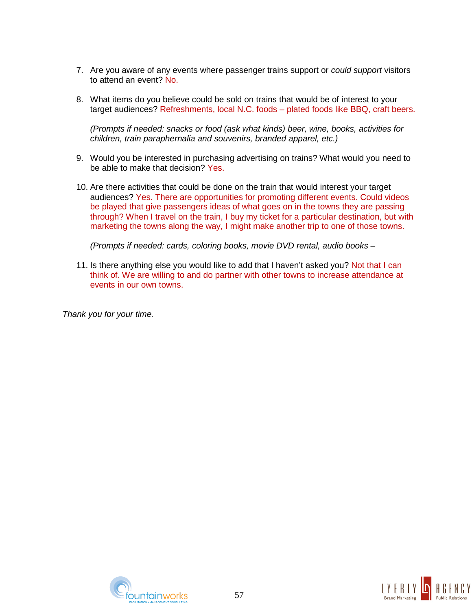- 7. Are you aware of any events where passenger trains support or *could support* visitors to attend an event? No.
- 8. What items do you believe could be sold on trains that would be of interest to your target audiences? Refreshments, local N.C. foods – plated foods like BBQ, craft beers.

*(Prompts if needed: snacks or food (ask what kinds) beer, wine, books, activities for children, train paraphernalia and souvenirs, branded apparel, etc.)*

- 9. Would you be interested in purchasing advertising on trains? What would you need to be able to make that decision? Yes.
- 10. Are there activities that could be done on the train that would interest your target audiences? Yes. There are opportunities for promoting different events. Could videos be played that give passengers ideas of what goes on in the towns they are passing through? When I travel on the train, I buy my ticket for a particular destination, but with marketing the towns along the way, I might make another trip to one of those towns.

*(Prompts if needed: cards, coloring books, movie DVD rental, audio books* –

11. Is there anything else you would like to add that I haven't asked you? Not that I can think of. We are willing to and do partner with other towns to increase attendance at events in our own towns.



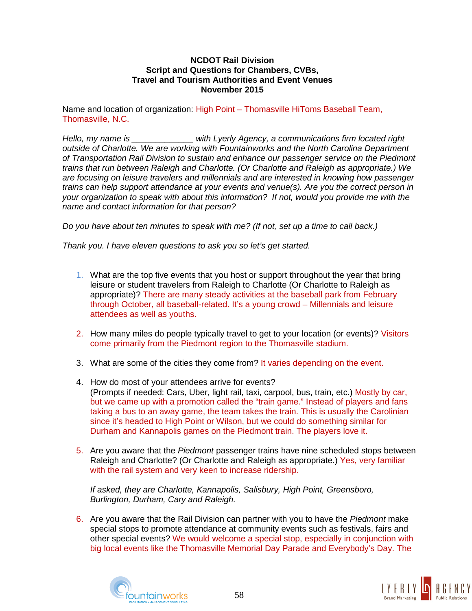Name and location of organization: High Point – Thomasville HiToms Baseball Team, Thomasville, N.C.

*Hello, my name is \_\_\_\_\_\_\_\_\_\_\_\_\_ with Lyerly Agency, a communications firm located right outside of Charlotte. We are working with Fountainworks and the North Carolina Department of Transportation Rail Division to sustain and enhance our passenger service on the Piedmont trains that run between Raleigh and Charlotte. (Or Charlotte and Raleigh as appropriate.) We are focusing on leisure travelers and millennials and are interested in knowing how passenger trains can help support attendance at your events and venue(s). Are you the correct person in your organization to speak with about this information? If not, would you provide me with the name and contact information for that person?*

*Do you have about ten minutes to speak with me? (If not, set up a time to call back.)*

*Thank you. I have eleven questions to ask you so let's get started.*

- 1. What are the top five events that you host or support throughout the year that bring leisure or student travelers from Raleigh to Charlotte (Or Charlotte to Raleigh as appropriate)? There are many steady activities at the baseball park from February through October, all baseball-related. It's a young crowd – Millennials and leisure attendees as well as youths.
- 2. How many miles do people typically travel to get to your location (or events)? Visitors come primarily from the Piedmont region to the Thomasville stadium.
- 3. What are some of the cities they come from? It varies depending on the event.
- 4. How do most of your attendees arrive for events? (Prompts if needed: Cars, Uber, light rail, taxi, carpool, bus, train, etc.) Mostly by car, but we came up with a promotion called the "train game." Instead of players and fans taking a bus to an away game, the team takes the train. This is usually the Carolinian since it's headed to High Point or Wilson, but we could do something similar for Durham and Kannapolis games on the Piedmont train. The players love it.
- 5. Are you aware that the *Piedmont* passenger trains have nine scheduled stops between Raleigh and Charlotte? (Or Charlotte and Raleigh as appropriate.) Yes, very familiar with the rail system and very keen to increase ridership.

*If asked, they are Charlotte, Kannapolis, Salisbury, High Point, Greensboro, Burlington, Durham, Cary and Raleigh.*

6. Are you aware that the Rail Division can partner with you to have the *Piedmont* make special stops to promote attendance at community events such as festivals, fairs and other special events? We would welcome a special stop, especially in conjunction with big local events like the Thomasville Memorial Day Parade and Everybody's Day. The



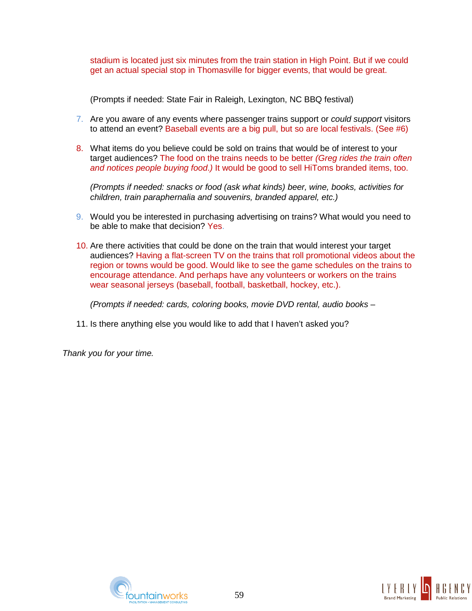stadium is located just six minutes from the train station in High Point. But if we could get an actual special stop in Thomasville for bigger events, that would be great.

(Prompts if needed: State Fair in Raleigh, Lexington, NC BBQ festival)

- 7. Are you aware of any events where passenger trains support or *could support* visitors to attend an event? Baseball events are a big pull, but so are local festivals. (See #6)
- 8. What items do you believe could be sold on trains that would be of interest to your target audiences? The food on the trains needs to be better *(Greg rides the train often and notices people buying food*.*)* It would be good to sell HiToms branded items, too.

*(Prompts if needed: snacks or food (ask what kinds) beer, wine, books, activities for children, train paraphernalia and souvenirs, branded apparel, etc.)*

- 9. Would you be interested in purchasing advertising on trains? What would you need to be able to make that decision? Yes.
- 10. Are there activities that could be done on the train that would interest your target audiences? Having a flat-screen TV on the trains that roll promotional videos about the region or towns would be good. Would like to see the game schedules on the trains to encourage attendance. And perhaps have any volunteers or workers on the trains wear seasonal jerseys (baseball, football, basketball, hockey, etc.).

*(Prompts if needed: cards, coloring books, movie DVD rental, audio books* –

11. Is there anything else you would like to add that I haven't asked you?



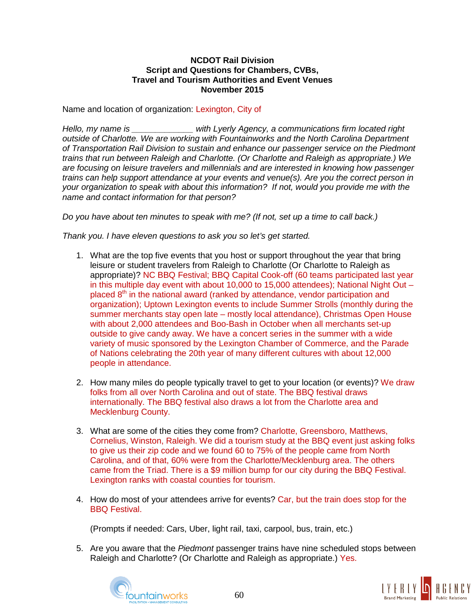Name and location of organization: Lexington, City of

*Hello, my name is \_\_\_\_\_\_\_\_\_\_\_\_\_ with Lyerly Agency, a communications firm located right outside of Charlotte. We are working with Fountainworks and the North Carolina Department of Transportation Rail Division to sustain and enhance our passenger service on the Piedmont trains that run between Raleigh and Charlotte. (Or Charlotte and Raleigh as appropriate.) We are focusing on leisure travelers and millennials and are interested in knowing how passenger trains can help support attendance at your events and venue(s). Are you the correct person in your organization to speak with about this information? If not, would you provide me with the name and contact information for that person?*

*Do you have about ten minutes to speak with me? (If not, set up a time to call back.)*

*Thank you. I have eleven questions to ask you so let's get started.*

- 1. What are the top five events that you host or support throughout the year that bring leisure or student travelers from Raleigh to Charlotte (Or Charlotte to Raleigh as appropriate)? NC BBQ Festival; BBQ Capital Cook-off (60 teams participated last year in this multiple day event with about 10,000 to 15,000 attendees); National Night Out – placed  $8<sup>th</sup>$  in the national award (ranked by attendance, vendor participation and organization); Uptown Lexington events to include Summer Strolls (monthly during the summer merchants stay open late – mostly local attendance), Christmas Open House with about 2,000 attendees and Boo-Bash in October when all merchants set-up outside to give candy away. We have a concert series in the summer with a wide variety of music sponsored by the Lexington Chamber of Commerce, and the Parade of Nations celebrating the 20th year of many different cultures with about 12,000 people in attendance.
- 2. How many miles do people typically travel to get to your location (or events)? We draw folks from all over North Carolina and out of state. The BBQ festival draws internationally. The BBQ festival also draws a lot from the Charlotte area and Mecklenburg County.
- 3. What are some of the cities they come from? Charlotte, Greensboro, Matthews, Cornelius, Winston, Raleigh. We did a tourism study at the BBQ event just asking folks to give us their zip code and we found 60 to 75% of the people came from North Carolina, and of that, 60% were from the Charlotte/Mecklenburg area. The others came from the Triad. There is a \$9 million bump for our city during the BBQ Festival. Lexington ranks with coastal counties for tourism.
- 4. How do most of your attendees arrive for events? Car, but the train does stop for the BBQ Festival.

(Prompts if needed: Cars, Uber, light rail, taxi, carpool, bus, train, etc.)

5. Are you aware that the *Piedmont* passenger trains have nine scheduled stops between Raleigh and Charlotte? (Or Charlotte and Raleigh as appropriate.) Yes.



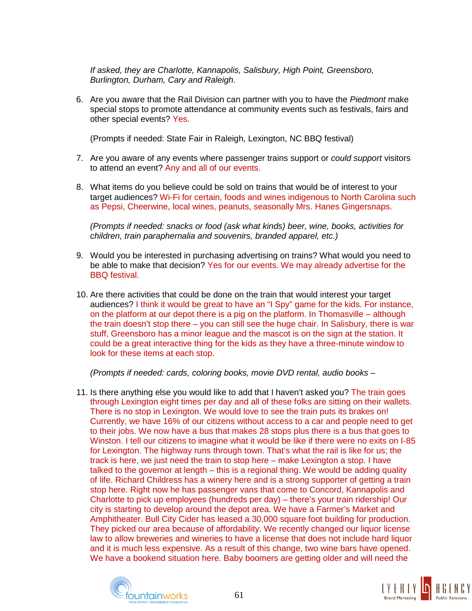*If asked, they are Charlotte, Kannapolis, Salisbury, High Point, Greensboro, Burlington, Durham, Cary and Raleigh.*

6. Are you aware that the Rail Division can partner with you to have the *Piedmont* make special stops to promote attendance at community events such as festivals, fairs and other special events? Yes.

(Prompts if needed: State Fair in Raleigh, Lexington, NC BBQ festival)

- 7. Are you aware of any events where passenger trains support or *could support* visitors to attend an event? Any and all of our events.
- 8. What items do you believe could be sold on trains that would be of interest to your target audiences? Wi-Fi for certain, foods and wines indigenous to North Carolina such as Pepsi, Cheerwine, local wines, peanuts, seasonally Mrs. Hanes Gingersnaps.

*(Prompts if needed: snacks or food (ask what kinds) beer, wine, books, activities for children, train paraphernalia and souvenirs, branded apparel, etc.)*

- 9. Would you be interested in purchasing advertising on trains? What would you need to be able to make that decision? Yes for our events. We may already advertise for the BBQ festival.
- 10. Are there activities that could be done on the train that would interest your target audiences? I think it would be great to have an "I Spy" game for the kids. For instance, on the platform at our depot there is a pig on the platform. In Thomasville – although the train doesn't stop there – you can still see the huge chair. In Salisbury, there is war stuff, Greensboro has a minor league and the mascot is on the sign at the station. It could be a great interactive thing for the kids as they have a three-minute window to look for these items at each stop.

*(Prompts if needed: cards, coloring books, movie DVD rental, audio books* –

11. Is there anything else you would like to add that I haven't asked you? The train goes through Lexington eight times per day and all of these folks are sitting on their wallets. There is no stop in Lexington. We would love to see the train puts its brakes on! Currently, we have 16% of our citizens without access to a car and people need to get to their jobs. We now have a bus that makes 28 stops plus there is a bus that goes to Winston. I tell our citizens to imagine what it would be like if there were no exits on I-85 for Lexington. The highway runs through town. That's what the rail is like for us; the track is here, we just need the train to stop here – make Lexington a stop. I have talked to the governor at length – this is a regional thing. We would be adding quality of life. Richard Childress has a winery here and is a strong supporter of getting a train stop here. Right now he has passenger vans that come to Concord, Kannapolis and Charlotte to pick up employees (hundreds per day) – there's your train ridership! Our city is starting to develop around the depot area. We have a Farmer's Market and Amphitheater. Bull City Cider has leased a 30,000 square foot building for production. They picked our area because of affordability. We recently changed our liquor license law to allow breweries and wineries to have a license that does not include hard liquor and it is much less expensive. As a result of this change, two wine bars have opened. We have a bookend situation here. Baby boomers are getting older and will need the



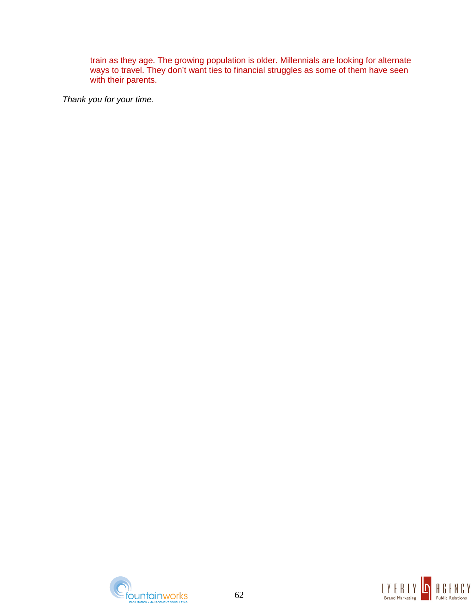train as they age. The growing population is older. Millennials are looking for alternate ways to travel. They don't want ties to financial struggles as some of them have seen with their parents.



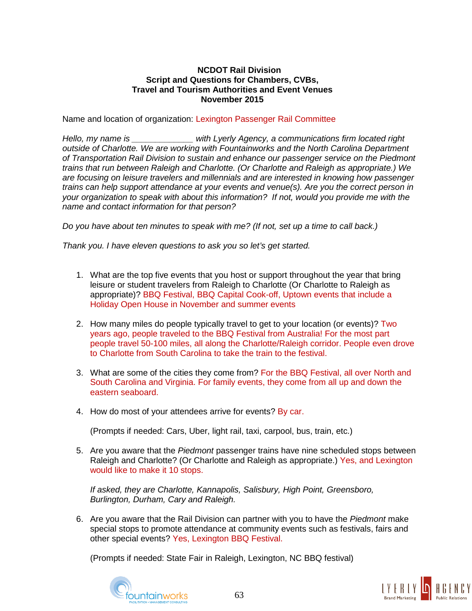Name and location of organization: Lexington Passenger Rail Committee

*Hello, my name is \_\_\_\_\_\_\_\_\_\_\_\_\_ with Lyerly Agency, a communications firm located right outside of Charlotte. We are working with Fountainworks and the North Carolina Department of Transportation Rail Division to sustain and enhance our passenger service on the Piedmont trains that run between Raleigh and Charlotte. (Or Charlotte and Raleigh as appropriate.) We are focusing on leisure travelers and millennials and are interested in knowing how passenger trains can help support attendance at your events and venue(s). Are you the correct person in your organization to speak with about this information? If not, would you provide me with the name and contact information for that person?*

*Do you have about ten minutes to speak with me? (If not, set up a time to call back.)*

*Thank you. I have eleven questions to ask you so let's get started.*

- 1. What are the top five events that you host or support throughout the year that bring leisure or student travelers from Raleigh to Charlotte (Or Charlotte to Raleigh as appropriate)? BBQ Festival, BBQ Capital Cook-off, Uptown events that include a Holiday Open House in November and summer events
- 2. How many miles do people typically travel to get to your location (or events)? Two years ago, people traveled to the BBQ Festival from Australia! For the most part people travel 50-100 miles, all along the Charlotte/Raleigh corridor. People even drove to Charlotte from South Carolina to take the train to the festival.
- 3. What are some of the cities they come from? For the BBQ Festival, all over North and South Carolina and Virginia. For family events, they come from all up and down the eastern seaboard.
- 4. How do most of your attendees arrive for events? By car.

(Prompts if needed: Cars, Uber, light rail, taxi, carpool, bus, train, etc.)

5. Are you aware that the *Piedmont* passenger trains have nine scheduled stops between Raleigh and Charlotte? (Or Charlotte and Raleigh as appropriate.) Yes, and Lexington would like to make it 10 stops.

*If asked, they are Charlotte, Kannapolis, Salisbury, High Point, Greensboro, Burlington, Durham, Cary and Raleigh.*

6. Are you aware that the Rail Division can partner with you to have the *Piedmont* make special stops to promote attendance at community events such as festivals, fairs and other special events? Yes, Lexington BBQ Festival.

(Prompts if needed: State Fair in Raleigh, Lexington, NC BBQ festival)



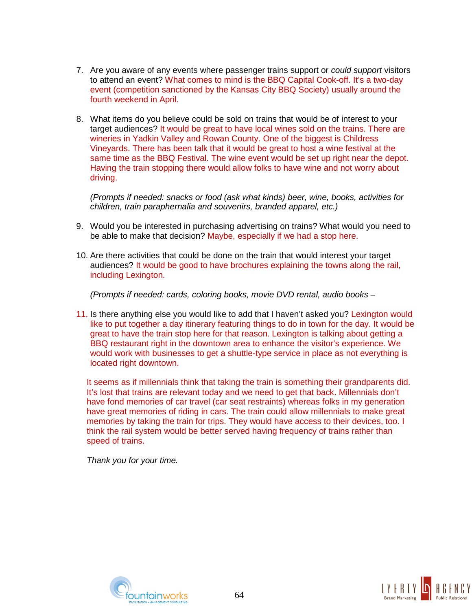- 7. Are you aware of any events where passenger trains support or *could support* visitors to attend an event? What comes to mind is the BBQ Capital Cook-off. It's a two-day event (competition sanctioned by the Kansas City BBQ Society) usually around the fourth weekend in April.
- 8. What items do you believe could be sold on trains that would be of interest to your target audiences? It would be great to have local wines sold on the trains. There are wineries in Yadkin Valley and Rowan County. One of the biggest is Childress Vineyards. There has been talk that it would be great to host a wine festival at the same time as the BBQ Festival. The wine event would be set up right near the depot. Having the train stopping there would allow folks to have wine and not worry about driving.

*(Prompts if needed: snacks or food (ask what kinds) beer, wine, books, activities for children, train paraphernalia and souvenirs, branded apparel, etc.)*

- 9. Would you be interested in purchasing advertising on trains? What would you need to be able to make that decision? Maybe, especially if we had a stop here.
- 10. Are there activities that could be done on the train that would interest your target audiences? It would be good to have brochures explaining the towns along the rail, including Lexington.

*(Prompts if needed: cards, coloring books, movie DVD rental, audio books* –

11. Is there anything else you would like to add that I haven't asked you? Lexington would like to put together a day itinerary featuring things to do in town for the day. It would be great to have the train stop here for that reason. Lexington is talking about getting a BBQ restaurant right in the downtown area to enhance the visitor's experience. We would work with businesses to get a shuttle-type service in place as not everything is located right downtown.

It seems as if millennials think that taking the train is something their grandparents did. It's lost that trains are relevant today and we need to get that back. Millennials don't have fond memories of car travel (car seat restraints) whereas folks in my generation have great memories of riding in cars. The train could allow millennials to make great memories by taking the train for trips. They would have access to their devices, too. I think the rail system would be better served having frequency of trains rather than speed of trains.



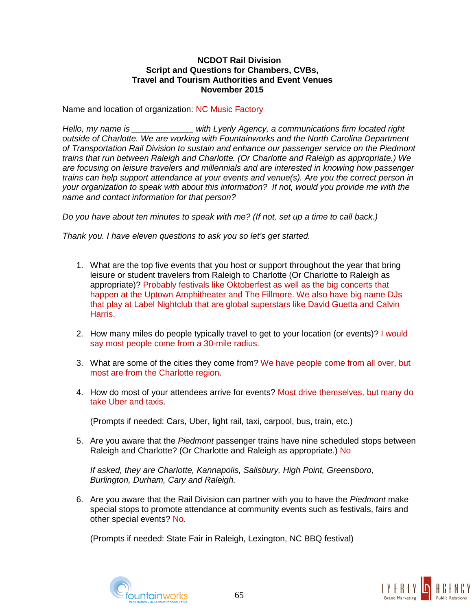Name and location of organization: NC Music Factory

*Hello, my name is \_\_\_\_\_\_\_\_\_\_\_\_\_ with Lyerly Agency, a communications firm located right outside of Charlotte. We are working with Fountainworks and the North Carolina Department of Transportation Rail Division to sustain and enhance our passenger service on the Piedmont trains that run between Raleigh and Charlotte. (Or Charlotte and Raleigh as appropriate.) We are focusing on leisure travelers and millennials and are interested in knowing how passenger trains can help support attendance at your events and venue(s). Are you the correct person in your organization to speak with about this information? If not, would you provide me with the name and contact information for that person?*

*Do you have about ten minutes to speak with me? (If not, set up a time to call back.)*

*Thank you. I have eleven questions to ask you so let's get started.*

- 1. What are the top five events that you host or support throughout the year that bring leisure or student travelers from Raleigh to Charlotte (Or Charlotte to Raleigh as appropriate)? Probably festivals like Oktoberfest as well as the big concerts that happen at the Uptown Amphitheater and The Fillmore. We also have big name DJs that play at Label Nightclub that are global superstars like David Guetta and Calvin Harris.
- 2. How many miles do people typically travel to get to your location (or events)? I would say most people come from a 30-mile radius.
- 3. What are some of the cities they come from? We have people come from all over, but most are from the Charlotte region.
- 4. How do most of your attendees arrive for events? Most drive themselves, but many do take Uber and taxis.

(Prompts if needed: Cars, Uber, light rail, taxi, carpool, bus, train, etc.)

5. Are you aware that the *Piedmont* passenger trains have nine scheduled stops between Raleigh and Charlotte? (Or Charlotte and Raleigh as appropriate.) No

*If asked, they are Charlotte, Kannapolis, Salisbury, High Point, Greensboro, Burlington, Durham, Cary and Raleigh.*

6. Are you aware that the Rail Division can partner with you to have the *Piedmont* make special stops to promote attendance at community events such as festivals, fairs and other special events? No.

(Prompts if needed: State Fair in Raleigh, Lexington, NC BBQ festival)



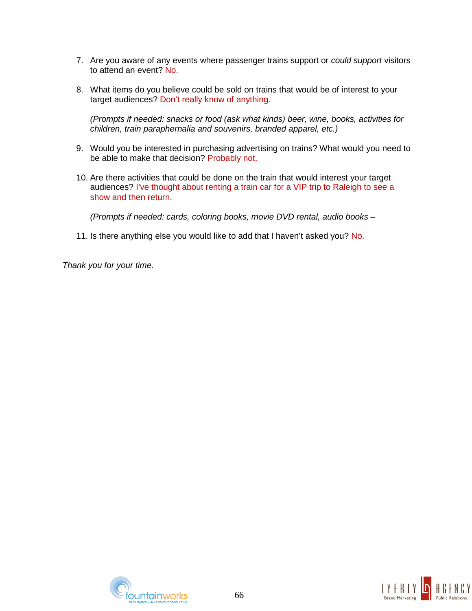- 7. Are you aware of any events where passenger trains support or *could support* visitors to attend an event? No.
- 8. What items do you believe could be sold on trains that would be of interest to your target audiences? Don't really know of anything.

*(Prompts if needed: snacks or food (ask what kinds) beer, wine, books, activities for children, train paraphernalia and souvenirs, branded apparel, etc.)*

- 9. Would you be interested in purchasing advertising on trains? What would you need to be able to make that decision? Probably not.
- 10. Are there activities that could be done on the train that would interest your target audiences? I've thought about renting a train car for a VIP trip to Raleigh to see a show and then return.

*(Prompts if needed: cards, coloring books, movie DVD rental, audio books* –

11. Is there anything else you would like to add that I haven't asked you? No.



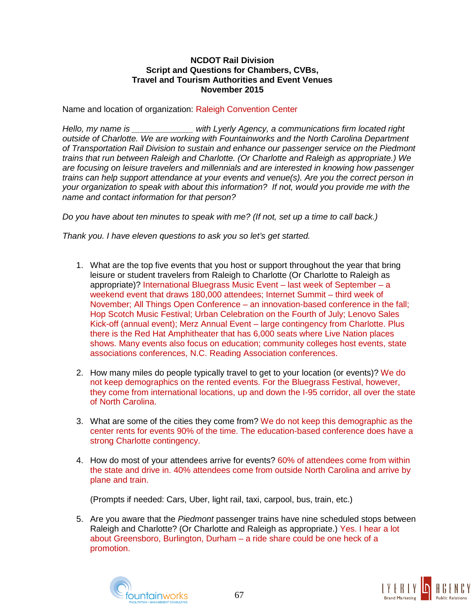Name and location of organization: Raleigh Convention Center

*Hello, my name is \_\_\_\_\_\_\_\_\_\_\_\_\_ with Lyerly Agency, a communications firm located right outside of Charlotte. We are working with Fountainworks and the North Carolina Department of Transportation Rail Division to sustain and enhance our passenger service on the Piedmont trains that run between Raleigh and Charlotte. (Or Charlotte and Raleigh as appropriate.) We are focusing on leisure travelers and millennials and are interested in knowing how passenger trains can help support attendance at your events and venue(s). Are you the correct person in your organization to speak with about this information? If not, would you provide me with the name and contact information for that person?*

*Do you have about ten minutes to speak with me? (If not, set up a time to call back.)*

*Thank you. I have eleven questions to ask you so let's get started.*

- 1. What are the top five events that you host or support throughout the year that bring leisure or student travelers from Raleigh to Charlotte (Or Charlotte to Raleigh as appropriate)? International Bluegrass Music Event – last week of September – a weekend event that draws 180,000 attendees; Internet Summit – third week of November; All Things Open Conference – an innovation-based conference in the fall; Hop Scotch Music Festival; Urban Celebration on the Fourth of July; Lenovo Sales Kick-off (annual event); Merz Annual Event – large contingency from Charlotte. Plus there is the Red Hat Amphitheater that has 6,000 seats where Live Nation places shows. Many events also focus on education; community colleges host events, state associations conferences, N.C. Reading Association conferences.
- 2. How many miles do people typically travel to get to your location (or events)? We do not keep demographics on the rented events. For the Bluegrass Festival, however, they come from international locations, up and down the I-95 corridor, all over the state of North Carolina.
- 3. What are some of the cities they come from? We do not keep this demographic as the center rents for events 90% of the time. The education-based conference does have a strong Charlotte contingency.
- 4. How do most of your attendees arrive for events? 60% of attendees come from within the state and drive in. 40% attendees come from outside North Carolina and arrive by plane and train.

(Prompts if needed: Cars, Uber, light rail, taxi, carpool, bus, train, etc.)

5. Are you aware that the *Piedmont* passenger trains have nine scheduled stops between Raleigh and Charlotte? (Or Charlotte and Raleigh as appropriate.) Yes. I hear a lot about Greensboro, Burlington, Durham – a ride share could be one heck of a promotion.



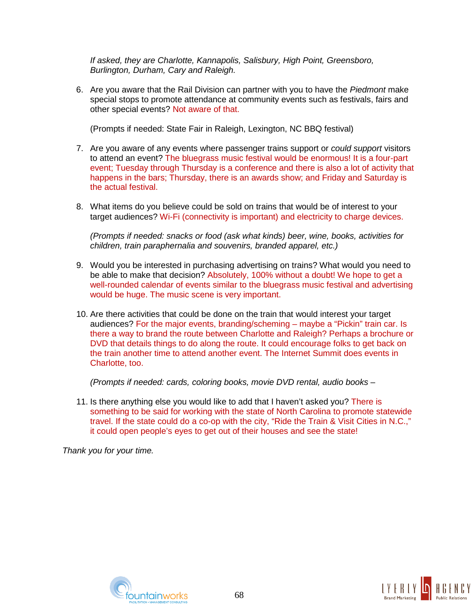*If asked, they are Charlotte, Kannapolis, Salisbury, High Point, Greensboro, Burlington, Durham, Cary and Raleigh.*

6. Are you aware that the Rail Division can partner with you to have the *Piedmont* make special stops to promote attendance at community events such as festivals, fairs and other special events? Not aware of that.

(Prompts if needed: State Fair in Raleigh, Lexington, NC BBQ festival)

- 7. Are you aware of any events where passenger trains support or *could support* visitors to attend an event? The bluegrass music festival would be enormous! It is a four-part event; Tuesday through Thursday is a conference and there is also a lot of activity that happens in the bars; Thursday, there is an awards show; and Friday and Saturday is the actual festival.
- 8. What items do you believe could be sold on trains that would be of interest to your target audiences? Wi-Fi (connectivity is important) and electricity to charge devices.

*(Prompts if needed: snacks or food (ask what kinds) beer, wine, books, activities for children, train paraphernalia and souvenirs, branded apparel, etc.)*

- 9. Would you be interested in purchasing advertising on trains? What would you need to be able to make that decision? Absolutely, 100% without a doubt! We hope to get a well-rounded calendar of events similar to the bluegrass music festival and advertising would be huge. The music scene is very important.
- 10. Are there activities that could be done on the train that would interest your target audiences? For the major events, branding/scheming – maybe a "Pickin" train car. Is there a way to brand the route between Charlotte and Raleigh? Perhaps a brochure or DVD that details things to do along the route. It could encourage folks to get back on the train another time to attend another event. The Internet Summit does events in Charlotte, too.

*(Prompts if needed: cards, coloring books, movie DVD rental, audio books* –

11. Is there anything else you would like to add that I haven't asked you? There is something to be said for working with the state of North Carolina to promote statewide travel. If the state could do a co-op with the city, "Ride the Train & Visit Cities in N.C.," it could open people's eyes to get out of their houses and see the state!



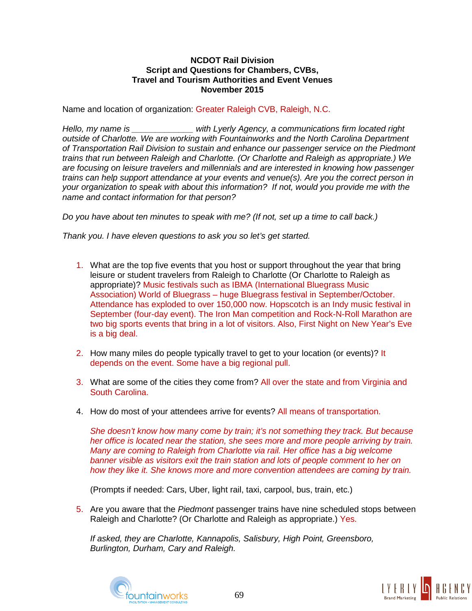Name and location of organization: Greater Raleigh CVB, Raleigh, N.C.

*Hello, my name is \_\_\_\_\_\_\_\_\_\_\_\_\_ with Lyerly Agency, a communications firm located right outside of Charlotte. We are working with Fountainworks and the North Carolina Department of Transportation Rail Division to sustain and enhance our passenger service on the Piedmont trains that run between Raleigh and Charlotte. (Or Charlotte and Raleigh as appropriate.) We are focusing on leisure travelers and millennials and are interested in knowing how passenger trains can help support attendance at your events and venue(s). Are you the correct person in your organization to speak with about this information? If not, would you provide me with the name and contact information for that person?*

*Do you have about ten minutes to speak with me? (If not, set up a time to call back.)*

*Thank you. I have eleven questions to ask you so let's get started.*

- 1. What are the top five events that you host or support throughout the year that bring leisure or student travelers from Raleigh to Charlotte (Or Charlotte to Raleigh as appropriate)? Music festivals such as IBMA (International Bluegrass Music Association) World of Bluegrass – huge Bluegrass festival in September/October. Attendance has exploded to over 150,000 now. Hopscotch is an Indy music festival in September (four-day event). The Iron Man competition and Rock-N-Roll Marathon are two big sports events that bring in a lot of visitors. Also, First Night on New Year's Eve is a big deal.
- 2. How many miles do people typically travel to get to your location (or events)? It depends on the event. Some have a big regional pull.
- 3. What are some of the cities they come from? All over the state and from Virginia and South Carolina.
- 4. How do most of your attendees arrive for events? All means of transportation.

*She doesn't know how many come by train; it's not something they track. But because her office is located near the station, she sees more and more people arriving by train. Many are coming to Raleigh from Charlotte via rail. Her office has a big welcome banner visible as visitors exit the train station and lots of people comment to her on how they like it. She knows more and more convention attendees are coming by train.*

(Prompts if needed: Cars, Uber, light rail, taxi, carpool, bus, train, etc.)

5. Are you aware that the *Piedmont* passenger trains have nine scheduled stops between Raleigh and Charlotte? (Or Charlotte and Raleigh as appropriate.) Yes.

*If asked, they are Charlotte, Kannapolis, Salisbury, High Point, Greensboro, Burlington, Durham, Cary and Raleigh.*



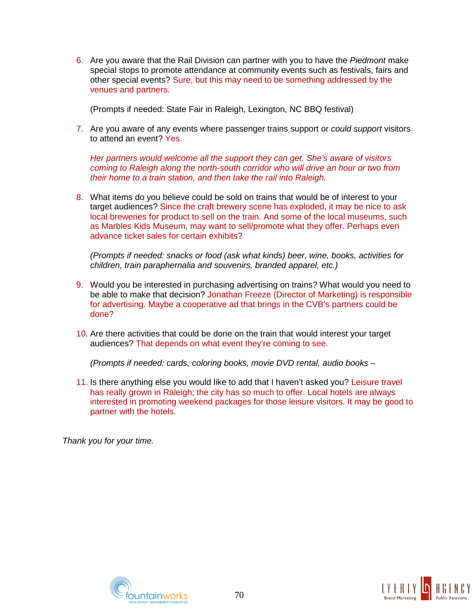6. Are you aware that the Rail Division can partner with you to have the *Piedmont* make special stops to promote attendance at community events such as festivals, fairs and other special events? Sure, but this may need to be something addressed by the venues and partners.

(Prompts if needed: State Fair in Raleigh, Lexington, NC BBQ festival)

7. Are you aware of any events where passenger trains support or *could support* visitors to attend an event? Yes.

*Her partners would welcome all the support they can get. She's aware of visitors coming to Raleigh along the north-south corridor who will drive an hour or two from their home to a train station, and then take the rail into Raleigh.*

8. What items do you believe could be sold on trains that would be of interest to your target audiences? Since the craft brewery scene has exploded, it may be nice to ask local breweries for product to sell on the train. And some of the local museums, such as Marbles Kids Museum, may want to sell/promote what they offer. Perhaps even advance ticket sales for certain exhibits?

*(Prompts if needed: snacks or food (ask what kinds) beer, wine, books, activities for children, train paraphernalia and souvenirs, branded apparel, etc.)*

- 9. Would you be interested in purchasing advertising on trains? What would you need to be able to make that decision? Jonathan Freeze (Director of Marketing) is responsible for advertising. Maybe a cooperative ad that brings in the CVB's partners could be done?
- 10. Are there activities that could be done on the train that would interest your target audiences? That depends on what event they're coming to see.

*(Prompts if needed: cards, coloring books, movie DVD rental, audio books* –

11. Is there anything else you would like to add that I haven't asked you? Leisure travel has really grown in Raleigh; the city has so much to offer. Local hotels are always interested in promoting weekend packages for those leisure visitors. It may be good to partner with the hotels.



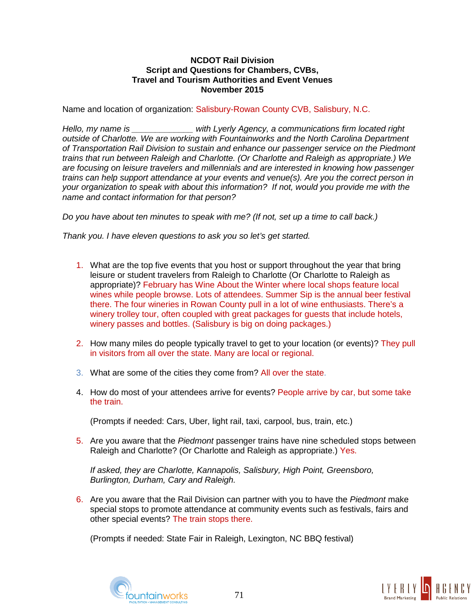## **NCDOT Rail Division Script and Questions for Chambers, CVBs, Travel and Tourism Authorities and Event Venues November 2015**

Name and location of organization: Salisbury-Rowan County CVB, Salisbury, N.C.

*Hello, my name is \_\_\_\_\_\_\_\_\_\_\_\_\_ with Lyerly Agency, a communications firm located right outside of Charlotte. We are working with Fountainworks and the North Carolina Department of Transportation Rail Division to sustain and enhance our passenger service on the Piedmont trains that run between Raleigh and Charlotte. (Or Charlotte and Raleigh as appropriate.) We are focusing on leisure travelers and millennials and are interested in knowing how passenger trains can help support attendance at your events and venue(s). Are you the correct person in your organization to speak with about this information? If not, would you provide me with the name and contact information for that person?*

*Do you have about ten minutes to speak with me? (If not, set up a time to call back.)*

*Thank you. I have eleven questions to ask you so let's get started.*

- 1. What are the top five events that you host or support throughout the year that bring leisure or student travelers from Raleigh to Charlotte (Or Charlotte to Raleigh as appropriate)? February has Wine About the Winter where local shops feature local wines while people browse. Lots of attendees. Summer Sip is the annual beer festival there. The four wineries in Rowan County pull in a lot of wine enthusiasts. There's a winery trolley tour, often coupled with great packages for guests that include hotels, winery passes and bottles. (Salisbury is big on doing packages.)
- 2. How many miles do people typically travel to get to your location (or events)? They pull in visitors from all over the state. Many are local or regional.
- 3. What are some of the cities they come from? All over the state.
- 4. How do most of your attendees arrive for events? People arrive by car, but some take the train.

(Prompts if needed: Cars, Uber, light rail, taxi, carpool, bus, train, etc.)

5. Are you aware that the *Piedmont* passenger trains have nine scheduled stops between Raleigh and Charlotte? (Or Charlotte and Raleigh as appropriate.) Yes.

*If asked, they are Charlotte, Kannapolis, Salisbury, High Point, Greensboro, Burlington, Durham, Cary and Raleigh.*

6. Are you aware that the Rail Division can partner with you to have the *Piedmont* make special stops to promote attendance at community events such as festivals, fairs and other special events? The train stops there.

(Prompts if needed: State Fair in Raleigh, Lexington, NC BBQ festival)



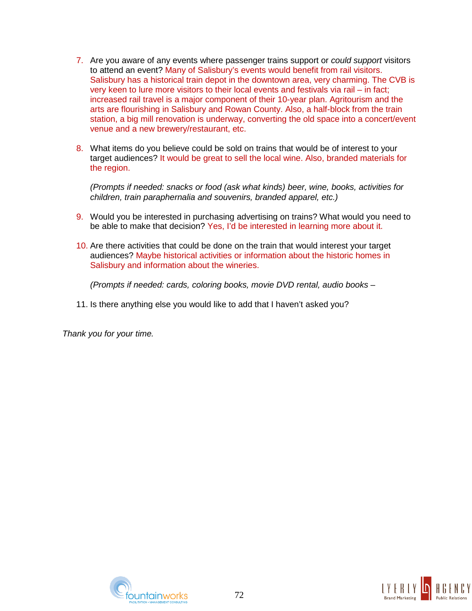- 7. Are you aware of any events where passenger trains support or *could support* visitors to attend an event? Many of Salisbury's events would benefit from rail visitors. Salisbury has a historical train depot in the downtown area, very charming. The CVB is very keen to lure more visitors to their local events and festivals via rail – in fact; increased rail travel is a major component of their 10-year plan. Agritourism and the arts are flourishing in Salisbury and Rowan County. Also, a half-block from the train station, a big mill renovation is underway, converting the old space into a concert/event venue and a new brewery/restaurant, etc.
- 8. What items do you believe could be sold on trains that would be of interest to your target audiences? It would be great to sell the local wine. Also, branded materials for the region.

*(Prompts if needed: snacks or food (ask what kinds) beer, wine, books, activities for children, train paraphernalia and souvenirs, branded apparel, etc.)*

- 9. Would you be interested in purchasing advertising on trains? What would you need to be able to make that decision? Yes, I'd be interested in learning more about it.
- 10. Are there activities that could be done on the train that would interest your target audiences? Maybe historical activities or information about the historic homes in Salisbury and information about the wineries.

*(Prompts if needed: cards, coloring books, movie DVD rental, audio books* –

11. Is there anything else you would like to add that I haven't asked you?

*Thank you for your time.*



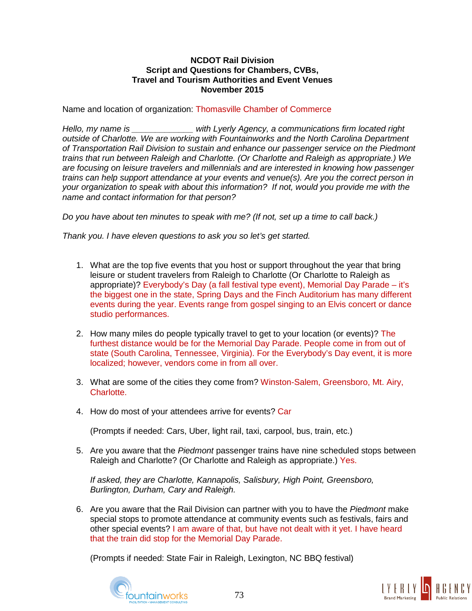## **NCDOT Rail Division Script and Questions for Chambers, CVBs, Travel and Tourism Authorities and Event Venues November 2015**

Name and location of organization: Thomasville Chamber of Commerce

*Hello, my name is \_\_\_\_\_\_\_\_\_\_\_\_\_ with Lyerly Agency, a communications firm located right outside of Charlotte. We are working with Fountainworks and the North Carolina Department of Transportation Rail Division to sustain and enhance our passenger service on the Piedmont trains that run between Raleigh and Charlotte. (Or Charlotte and Raleigh as appropriate.) We are focusing on leisure travelers and millennials and are interested in knowing how passenger trains can help support attendance at your events and venue(s). Are you the correct person in your organization to speak with about this information? If not, would you provide me with the name and contact information for that person?*

*Do you have about ten minutes to speak with me? (If not, set up a time to call back.)*

*Thank you. I have eleven questions to ask you so let's get started.*

- 1. What are the top five events that you host or support throughout the year that bring leisure or student travelers from Raleigh to Charlotte (Or Charlotte to Raleigh as appropriate)? Everybody's Day (a fall festival type event), Memorial Day Parade – it's the biggest one in the state, Spring Days and the Finch Auditorium has many different events during the year. Events range from gospel singing to an Elvis concert or dance studio performances.
- 2. How many miles do people typically travel to get to your location (or events)? The furthest distance would be for the Memorial Day Parade. People come in from out of state (South Carolina, Tennessee, Virginia). For the Everybody's Day event, it is more localized; however, vendors come in from all over.
- 3. What are some of the cities they come from? Winston-Salem, Greensboro, Mt. Airy, Charlotte.
- 4. How do most of your attendees arrive for events? Car

(Prompts if needed: Cars, Uber, light rail, taxi, carpool, bus, train, etc.)

5. Are you aware that the *Piedmont* passenger trains have nine scheduled stops between Raleigh and Charlotte? (Or Charlotte and Raleigh as appropriate.) Yes.

*If asked, they are Charlotte, Kannapolis, Salisbury, High Point, Greensboro, Burlington, Durham, Cary and Raleigh.*

6. Are you aware that the Rail Division can partner with you to have the *Piedmont* make special stops to promote attendance at community events such as festivals, fairs and other special events? I am aware of that, but have not dealt with it yet. I have heard that the train did stop for the Memorial Day Parade.

(Prompts if needed: State Fair in Raleigh, Lexington, NC BBQ festival)



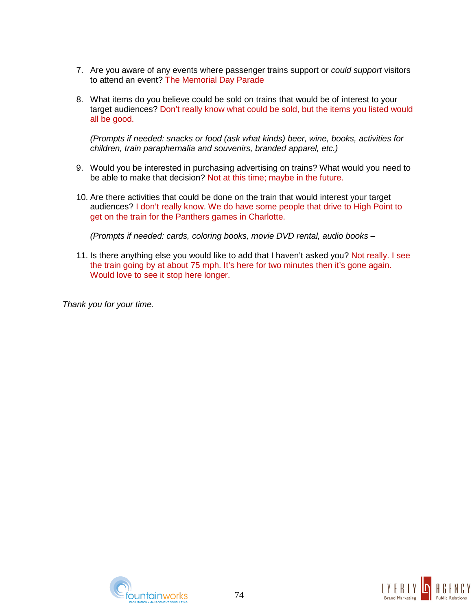- 7. Are you aware of any events where passenger trains support or *could support* visitors to attend an event? The Memorial Day Parade
- 8. What items do you believe could be sold on trains that would be of interest to your target audiences? Don't really know what could be sold, but the items you listed would all be good.

*(Prompts if needed: snacks or food (ask what kinds) beer, wine, books, activities for children, train paraphernalia and souvenirs, branded apparel, etc.)*

- 9. Would you be interested in purchasing advertising on trains? What would you need to be able to make that decision? Not at this time; maybe in the future.
- 10. Are there activities that could be done on the train that would interest your target audiences? I don't really know. We do have some people that drive to High Point to get on the train for the Panthers games in Charlotte.

*(Prompts if needed: cards, coloring books, movie DVD rental, audio books* –

11. Is there anything else you would like to add that I haven't asked you? Not really. I see the train going by at about 75 mph. It's here for two minutes then it's gone again. Would love to see it stop here longer.

*Thank you for your time.*



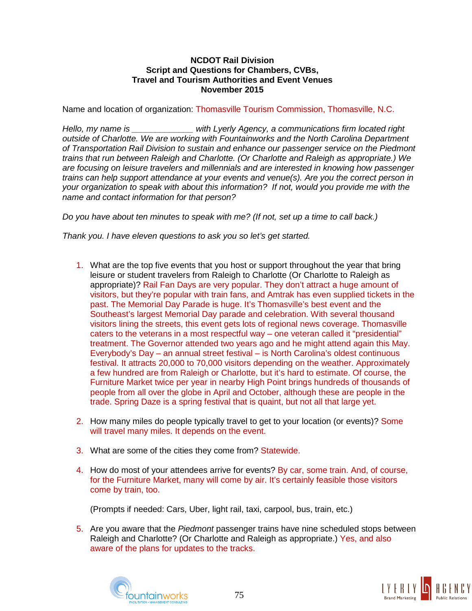## **NCDOT Rail Division Script and Questions for Chambers, CVBs, Travel and Tourism Authorities and Event Venues November 2015**

Name and location of organization: Thomasville Tourism Commission, Thomasville, N.C.

*Hello, my name is \_\_\_\_\_\_\_\_\_\_\_\_\_ with Lyerly Agency, a communications firm located right outside of Charlotte. We are working with Fountainworks and the North Carolina Department of Transportation Rail Division to sustain and enhance our passenger service on the Piedmont trains that run between Raleigh and Charlotte. (Or Charlotte and Raleigh as appropriate.) We are focusing on leisure travelers and millennials and are interested in knowing how passenger trains can help support attendance at your events and venue(s). Are you the correct person in your organization to speak with about this information? If not, would you provide me with the name and contact information for that person?*

*Do you have about ten minutes to speak with me? (If not, set up a time to call back.)*

*Thank you. I have eleven questions to ask you so let's get started.*

- 1. What are the top five events that you host or support throughout the year that bring leisure or student travelers from Raleigh to Charlotte (Or Charlotte to Raleigh as appropriate)? Rail Fan Days are very popular. They don't attract a huge amount of visitors, but they're popular with train fans, and Amtrak has even supplied tickets in the past. The Memorial Day Parade is huge. It's Thomasville's best event and the Southeast's largest Memorial Day parade and celebration. With several thousand visitors lining the streets, this event gets lots of regional news coverage. Thomasville caters to the veterans in a most respectful way – one veteran called it "presidential" treatment. The Governor attended two years ago and he might attend again this May. Everybody's Day – an annual street festival – is North Carolina's oldest continuous festival. It attracts 20,000 to 70,000 visitors depending on the weather. Approximately a few hundred are from Raleigh or Charlotte, but it's hard to estimate. Of course, the Furniture Market twice per year in nearby High Point brings hundreds of thousands of people from all over the globe in April and October, although these are people in the trade. Spring Daze is a spring festival that is quaint, but not all that large yet.
- 2. How many miles do people typically travel to get to your location (or events)? Some will travel many miles. It depends on the event.
- 3. What are some of the cities they come from? Statewide.
- 4. How do most of your attendees arrive for events? By car, some train. And, of course, for the Furniture Market, many will come by air. It's certainly feasible those visitors come by train, too.

(Prompts if needed: Cars, Uber, light rail, taxi, carpool, bus, train, etc.)

5. Are you aware that the *Piedmont* passenger trains have nine scheduled stops between Raleigh and Charlotte? (Or Charlotte and Raleigh as appropriate.) Yes, and also aware of the plans for updates to the tracks.



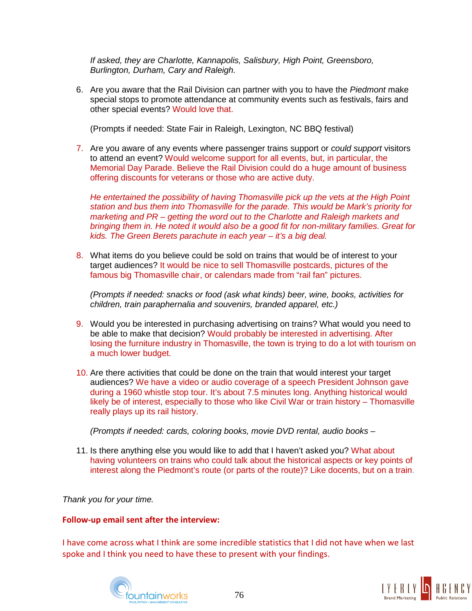*If asked, they are Charlotte, Kannapolis, Salisbury, High Point, Greensboro, Burlington, Durham, Cary and Raleigh.*

6. Are you aware that the Rail Division can partner with you to have the *Piedmont* make special stops to promote attendance at community events such as festivals, fairs and other special events? Would love that.

(Prompts if needed: State Fair in Raleigh, Lexington, NC BBQ festival)

7. Are you aware of any events where passenger trains support or *could support* visitors to attend an event? Would welcome support for all events, but, in particular, the Memorial Day Parade. Believe the Rail Division could do a huge amount of business offering discounts for veterans or those who are active duty.

*He entertained the possibility of having Thomasville pick up the vets at the High Point station and bus them into Thomasville for the parade. This would be Mark's priority for marketing and PR – getting the word out to the Charlotte and Raleigh markets and bringing them in. He noted it would also be a good fit for non-military families. Great for kids. The Green Berets parachute in each year – it's a big deal.*

8. What items do you believe could be sold on trains that would be of interest to your target audiences? It would be nice to sell Thomasville postcards, pictures of the famous big Thomasville chair, or calendars made from "rail fan" pictures.

*(Prompts if needed: snacks or food (ask what kinds) beer, wine, books, activities for children, train paraphernalia and souvenirs, branded apparel, etc.)*

- 9. Would you be interested in purchasing advertising on trains? What would you need to be able to make that decision? Would probably be interested in advertising. After losing the furniture industry in Thomasville, the town is trying to do a lot with tourism on a much lower budget.
- 10. Are there activities that could be done on the train that would interest your target audiences? We have a video or audio coverage of a speech President Johnson gave during a 1960 whistle stop tour. It's about 7.5 minutes long. Anything historical would likely be of interest, especially to those who like Civil War or train history – Thomasville really plays up its rail history.

*(Prompts if needed: cards, coloring books, movie DVD rental, audio books* –

11. Is there anything else you would like to add that I haven't asked you? What about having volunteers on trains who could talk about the historical aspects or key points of interest along the Piedmont's route (or parts of the route)? Like docents, but on a train.

*Thank you for your time.*

# **Follow-up email sent after the interview:**

I have come across what I think are some incredible statistics that I did not have when we last spoke and I think you need to have these to present with your findings.



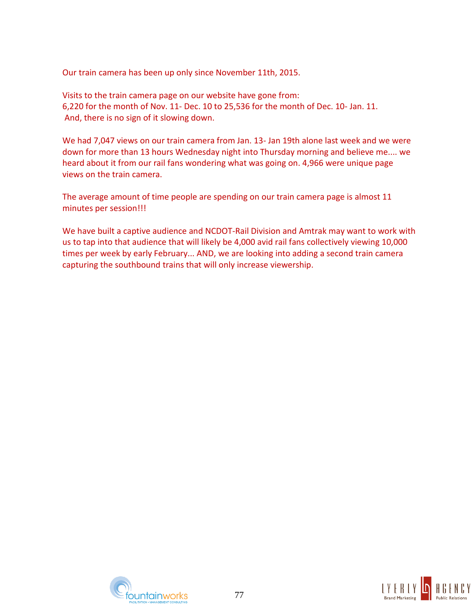Our train camera has been up only since November 11th, 2015.

Visits to the train camera page on our website have gone from: 6,220 for the month of Nov. 11- Dec. 10 to 25,536 for the month of Dec. 10- Jan. 11. And, there is no sign of it slowing down.

We had 7,047 views on our train camera from Jan. 13- Jan 19th alone last week and we were down for more than 13 hours Wednesday night into Thursday morning and believe me.... we heard about it from our rail fans wondering what was going on. 4,966 were unique page views on the train camera.

The average amount of time people are spending on our train camera page is almost 11 minutes per session!!!

We have built a captive audience and NCDOT-Rail Division and Amtrak may want to work with us to tap into that audience that will likely be 4,000 avid rail fans collectively viewing 10,000 times per week by early February... AND, we are looking into adding a second train camera capturing the southbound trains that will only increase viewership.



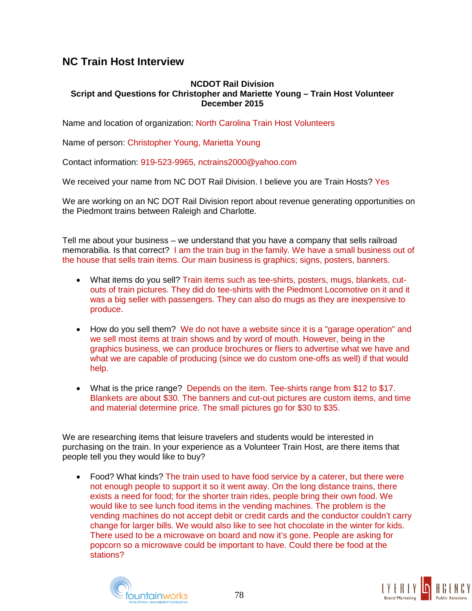# **NC Train Host Interview**

## **NCDOT Rail Division Script and Questions for Christopher and Mariette Young – Train Host Volunteer December 2015**

Name and location of organization: North Carolina Train Host Volunteers

Name of person: Christopher Young, Marietta Young

Contact information: 919-523-9965, nctrains2000@yahoo.com

We received your name from NC DOT Rail Division. I believe you are Train Hosts? Yes

We are working on an NC DOT Rail Division report about revenue generating opportunities on the Piedmont trains between Raleigh and Charlotte.

Tell me about your business – we understand that you have a company that sells railroad memorabilia. Is that correct? I am the train bug in the family. We have a small business out of the house that sells train items. Our main business is graphics; signs, posters, banners.

- What items do you sell? Train items such as tee-shirts, posters, mugs, blankets, cutouts of train pictures. They did do tee-shirts with the Piedmont Locomotive on it and it was a big seller with passengers. They can also do mugs as they are inexpensive to produce.
- How do you sell them? We do not have a website since it is a "garage operation" and we sell most items at train shows and by word of mouth. However, being in the graphics business, we can produce brochures or fliers to advertise what we have and what we are capable of producing (since we do custom one-offs as well) if that would help.
- What is the price range? Depends on the item. Tee-shirts range from \$12 to \$17. Blankets are about \$30. The banners and cut-out pictures are custom items, and time and material determine price. The small pictures go for \$30 to \$35.

We are researching items that leisure travelers and students would be interested in purchasing on the train. In your experience as a Volunteer Train Host, are there items that people tell you they would like to buy?

• Food? What kinds? The train used to have food service by a caterer, but there were not enough people to support it so it went away. On the long distance trains, there exists a need for food; for the shorter train rides, people bring their own food. We would like to see lunch food items in the vending machines. The problem is the vending machines do not accept debit or credit cards and the conductor couldn't carry change for larger bills. We would also like to see hot chocolate in the winter for kids. There used to be a microwave on board and now it's gone. People are asking for popcorn so a microwave could be important to have. Could there be food at the stations?



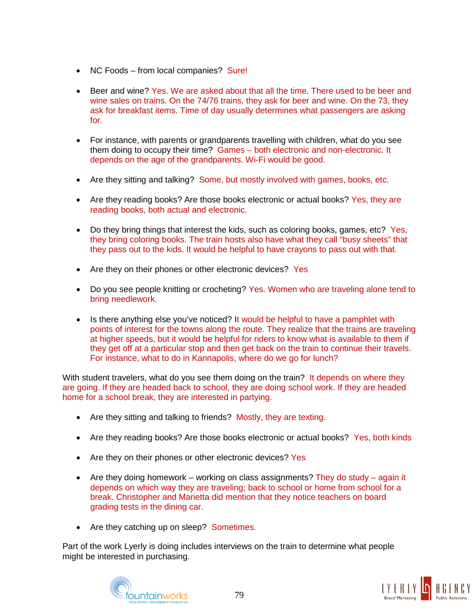- NC Foods from local companies? Sure!
- Beer and wine? Yes. We are asked about that all the time. There used to be beer and wine sales on trains. On the 74/76 trains, they ask for beer and wine. On the 73, they ask for breakfast items. Time of day usually determines what passengers are asking for.
- For instance, with parents or grandparents travelling with children, what do you see them doing to occupy their time? Games – both electronic and non-electronic. It depends on the age of the grandparents. Wi-Fi would be good.
- Are they sitting and talking? Some, but mostly involved with games, books, etc.
- Are they reading books? Are those books electronic or actual books? Yes, they are reading books, both actual and electronic.
- Do they bring things that interest the kids, such as coloring books, games, etc? Yes, they bring coloring books. The train hosts also have what they call "busy sheets" that they pass out to the kids. It would be helpful to have crayons to pass out with that.
- Are they on their phones or other electronic devices? Yes
- Do you see people knitting or crocheting? Yes. Women who are traveling alone tend to bring needlework.
- Is there anything else you've noticed? It would be helpful to have a pamphlet with points of interest for the towns along the route. They realize that the trains are traveling at higher speeds, but it would be helpful for riders to know what is available to them if they get off at a particular stop and then get back on the train to continue their travels. For instance, what to do in Kannapolis, where do we go for lunch?

With student travelers, what do you see them doing on the train? It depends on where they are going. If they are headed back to school, they are doing school work. If they are headed home for a school break, they are interested in partying.

- Are they sitting and talking to friends? Mostly, they are texting.
- Are they reading books? Are those books electronic or actual books? Yes, both kinds
- Are they on their phones or other electronic devices? Yes
- Are they doing homework working on class assignments? They do study again it depends on which way they are traveling; back to school or home from school for a break. Christopher and Marietta did mention that they notice teachers on board grading tests in the dining car.
- Are they catching up on sleep? Sometimes.

Part of the work Lyerly is doing includes interviews on the train to determine what people might be interested in purchasing.